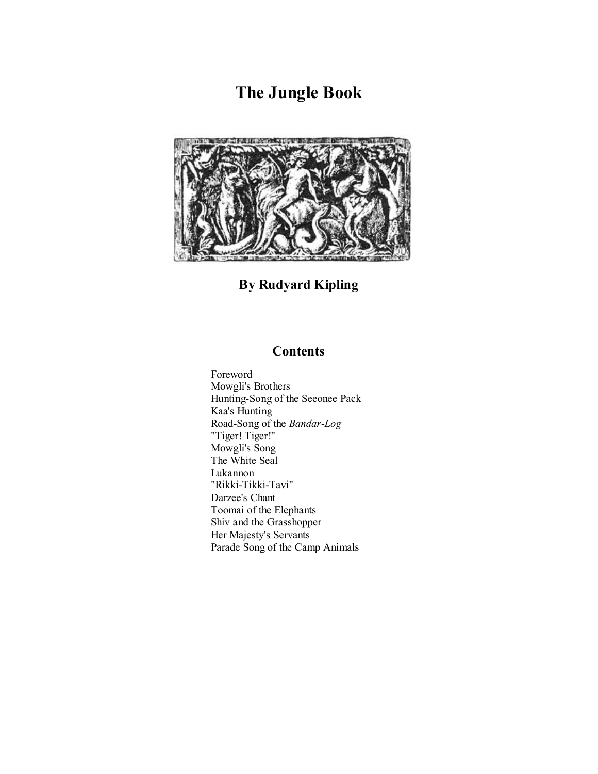# **The Jungle Book**



**By Rudyard Kipling**

### **Contents**

Foreword Mowgli's Brothers Hunting-Song of the Seeonee Pack Kaa's Hunting Road-Song of the *Bandar-Log* "Tiger! Tiger!" Mowgli's Song The White Seal Lukannon "Rikki-Tikki-Tavi" Darzee's Chant Toomai of the Elephants Shiv and the Grasshopper Her Majesty's Servants Parade Song of the Camp Animals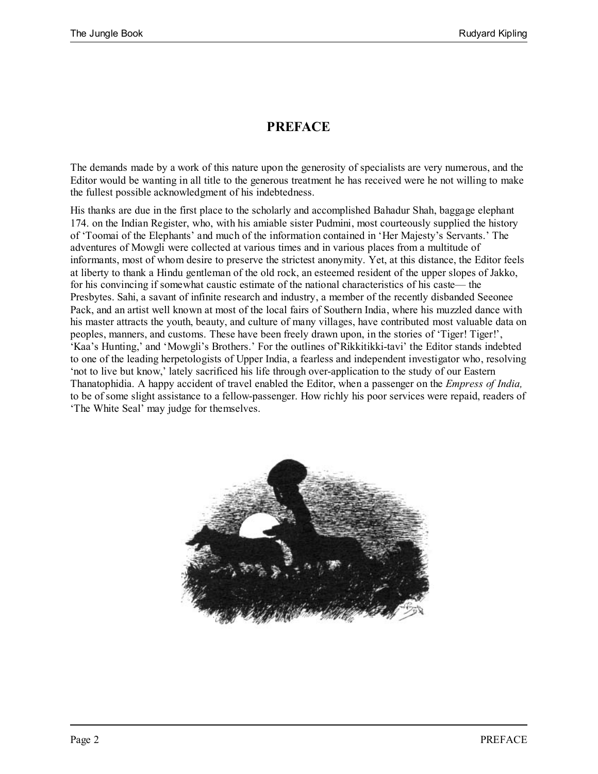## **PREFACE**

The demands made by a work of this nature upon the generosity of specialists are very numerous, and the Editor would be wanting in all title to the generous treatment he has received were he not willing to make the fullest possible acknowledgment of his indebtedness.

His thanks are due in the first place to the scholarly and accomplished Bahadur Shah, baggage elephant 174. on the Indian Register, who, with his amiable sister Pudmini, most courteously supplied the history of 'Toomai of the Elephants' and much of the information contained in 'Her Majesty's Servants.' The adventures of Mowgli were collected at various times and in various places from a multitude of informants, most of whom desire to preserve the strictest anonymity. Yet, at this distance, the Editor feels at liberty to thank a Hindu gentleman of the old rock, an esteemed resident of the upper slopes of Jakko, for his convincing if somewhat caustic estimate of the national characteristics of his caste— the Presbytes. Sahi, a savant of infinite research and industry, a member of the recently disbanded Seeonee Pack, and an artist well known at most of the local fairs of Southern India, where his muzzled dance with his master attracts the youth, beauty, and culture of many villages, have contributed most valuable data on peoples, manners, and customs. These have been freely drawn upon, in the stories of 'Tiger! Tiger!', 'Kaa's Hunting,' and 'Mowgli's Brothers.' For the outlines of'Rikkitikki-tavi' the Editor stands indebted to one of the leading herpetologists of Upper India, a fearless and independent investigator who, resolving 'not to live but know,' lately sacrificed his life through over-application to the study of our Eastern Thanatophidia. A happy accident of travel enabled the Editor, when a passenger on the *Empress of India,* to be of some slight assistance to a fellow-passenger. How richly his poor services were repaid, readers of 'The White Seal' may judge for themselves.

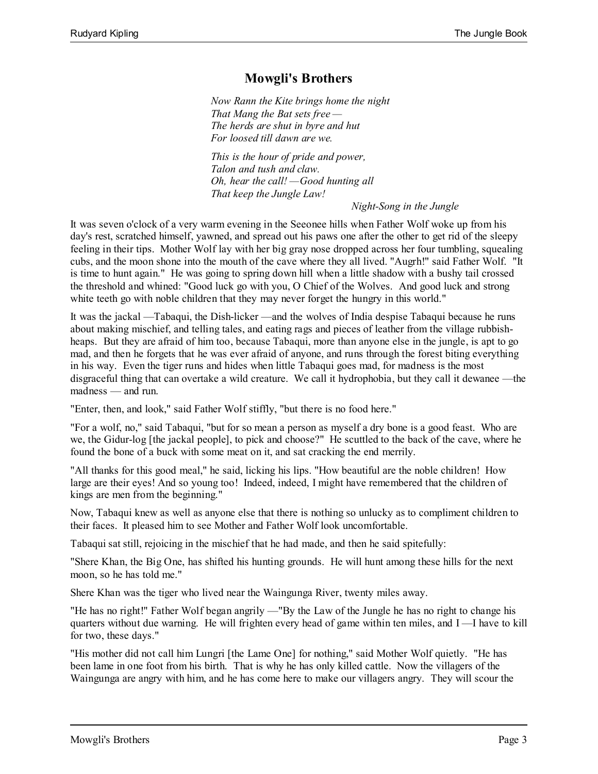### **Mowgli's Brothers**

*Now Rann the Kite brings home the night That Mang the Bat sets free — The herds are shut in byre and hut For loosed till dawn are we.*

*This is the hour of pride and power, Talon and tush and claw. Oh, hear the call! —Good hunting all That keep the Jungle Law!*

#### *Night-Song in the Jungle*

It was seven o'clock of a very warm evening in the Seeonee hills when Father Wolf woke up from his day's rest, scratched himself, yawned, and spread out his paws one after the other to get rid of the sleepy feeling in their tips. Mother Wolf lay with her big gray nose dropped across her four tumbling, squealing cubs, and the moon shone into the mouth of the cave where they all lived. "Augrh!" said Father Wolf. "It is time to hunt again." He was going to spring down hill when a little shadow with a bushy tail crossed the threshold and whined: "Good luck go with you, O Chief of the Wolves. And good luck and strong white teeth go with noble children that they may never forget the hungry in this world."

It was the jackal —Tabaqui, the Dish-licker —and the wolves of India despise Tabaqui because he runs about making mischief, and telling tales, and eating rags and pieces of leather from the village rubbishheaps. But they are afraid of him too, because Tabaqui, more than anyone else in the jungle, is apt to go mad, and then he forgets that he was ever afraid of anyone, and runs through the forest biting everything in his way. Even the tiger runs and hides when little Tabaqui goes mad, for madness is the most disgraceful thing that can overtake a wild creature. We call it hydrophobia, but they call it dewanee —the madness — and run.

"Enter, then, and look," said Father Wolf stiffly, "but there is no food here."

"For a wolf, no," said Tabaqui, "but for so mean a person as myself a dry bone is a good feast. Who are we, the Gidur-log [the jackal people], to pick and choose?" He scuttled to the back of the cave, where he found the bone of a buck with some meat on it, and sat cracking the end merrily.

"All thanks for this good meal," he said, licking his lips. "How beautiful are the noble children! How large are their eyes! And so young too! Indeed, indeed, I might have remembered that the children of kings are men from the beginning."

Now, Tabaqui knew as well as anyone else that there is nothing so unlucky as to compliment children to their faces. It pleased him to see Mother and Father Wolf look uncomfortable.

Tabaqui sat still, rejoicing in the mischief that he had made, and then he said spitefully:

"Shere Khan, the Big One, has shifted his hunting grounds. He will hunt among these hills for the next moon, so he has told me."

Shere Khan was the tiger who lived near the Waingunga River, twenty miles away.

"He has no right!" Father Wolf began angrily —"By the Law of the Jungle he has no right to change his quarters without due warning. He will frighten every head of game within ten miles, and I —I have to kill for two, these days."

"His mother did not call him Lungri [the Lame One] for nothing," said Mother Wolf quietly. "He has been lame in one foot from his birth. That is why he has only killed cattle. Now the villagers of the Waingunga are angry with him, and he has come here to make our villagers angry. They will scour the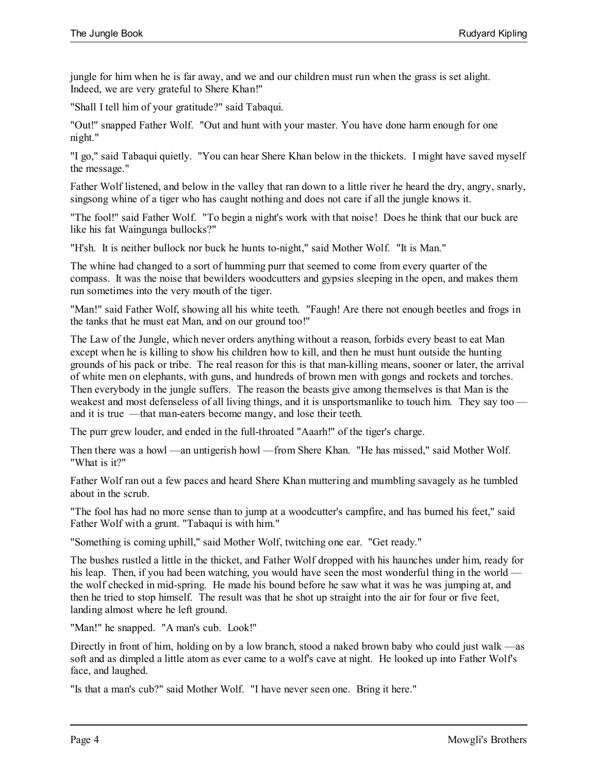jungle for him when he is far away, and we and our children must run when the grass is set alight. Indeed, we are very grateful to Shere Khan!"

"Shall I tell him of your gratitude?" said Tabaqui.

"Out!" snapped Father Wolf. "Out and hunt with your master. You have done harm enough for one night."

"I go," said Tabaqui quietly. "You can hear Shere Khan below in the thickets. I might have saved myself the message."

Father Wolf listened, and below in the valley that ran down to a little river he heard the dry, angry, snarly, singsong whine of a tiger who has caught nothing and does not care if all the jungle knows it.

"The fool!" said Father Wolf. "To begin a night's work with that noise! Does he think that our buck are like his fat Waingunga bullocks?"

"H'sh. It is neither bullock nor buck he hunts to-night," said Mother Wolf. "It is Man."

The whine had changed to a sort of humming purr that seemed to come from every quarter of the compass. It was the noise that bewilders woodcutters and gypsies sleeping in the open, and makes them run sometimes into the very mouth of the tiger.

"Man!" said Father Wolf, showing all his white teeth. "Faugh! Are there not enough beetles and frogs in the tanks that he must eat Man, and on our ground too!"

The Law of the Jungle, which never orders anything without a reason, forbids every beast to eat Man except when he is killing to show his children how to kill, and then he must hunt outside the hunting grounds of his pack or tribe. The real reason for this is that man-killing means, sooner or later, the arrival of white men on elephants, with guns, and hundreds of brown men with gongs and rockets and torches. Then everybody in the jungle suffers. The reason the beasts give among themselves is that Man is the weakest and most defenseless of all living things, and it is unsportsmanlike to touch him. They say too and it is true —that man-eaters become mangy, and lose their teeth.

The purr grew louder, and ended in the full-throated "Aaarh!" of the tiger's charge.

Then there was a howl —an untigerish howl —from Shere Khan. "He has missed," said Mother Wolf. "What is it?"

Father Wolf ran out a few paces and heard Shere Khan muttering and mumbling savagely as he tumbled about in the scrub.

"The fool has had no more sense than to jump at a woodcutter's campfire, and has burned his feet," said Father Wolf with a grunt. "Tabaqui is with him."

"Something is coming uphill," said Mother Wolf, twitching one ear. "Get ready."

The bushes rustled a little in the thicket, and Father Wolf dropped with his haunches under him, ready for his leap. Then, if you had been watching, you would have seen the most wonderful thing in the world the wolf checked in mid-spring. He made his bound before he saw what it was he was jumping at, and then he tried to stop himself. The result was that he shot up straight into the air for four or five feet, landing almost where he left ground.

"Man!" he snapped. "A man's cub. Look!"

Directly in front of him, holding on by a low branch, stood a naked brown baby who could just walk —as soft and as dimpled a little atom as ever came to a wolf's cave at night. He looked up into Father Wolf's face, and laughed.

"Is that a man's cub?" said Mother Wolf. "I have never seen one. Bring it here."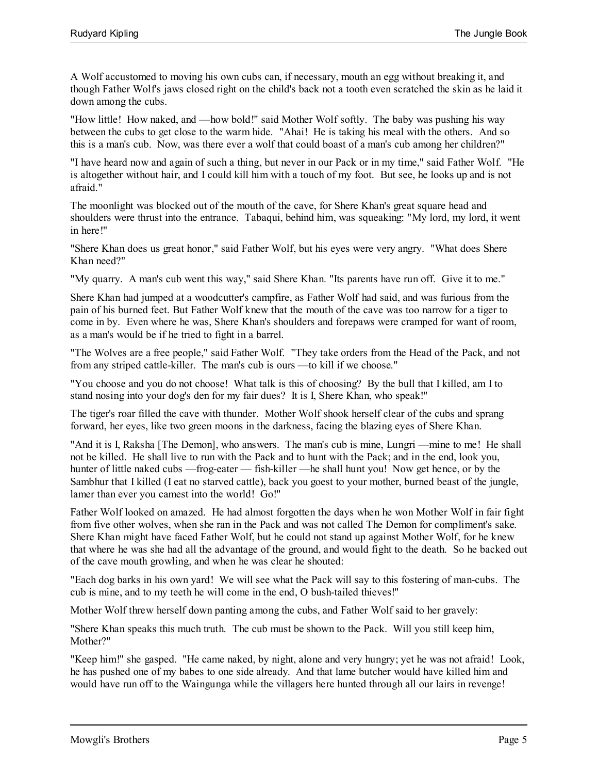A Wolf accustomed to moving his own cubs can, if necessary, mouth an egg without breaking it, and though Father Wolf's jaws closed right on the child's back not a tooth even scratched the skin as he laid it down among the cubs.

"How little! How naked, and —how bold!" said Mother Wolf softly. The baby was pushing his way between the cubs to get close to the warm hide. "Ahai! He is taking his meal with the others. And so this is a man's cub. Now, was there ever a wolf that could boast of a man's cub among her children?"

"I have heard now and again of such a thing, but never in our Pack or in my time," said Father Wolf. "He is altogether without hair, and I could kill him with a touch of my foot. But see, he looks up and is not afraid."

The moonlight was blocked out of the mouth of the cave, for Shere Khan's great square head and shoulders were thrust into the entrance. Tabaqui, behind him, was squeaking: "My lord, my lord, it went in here!"

"Shere Khan does us great honor," said Father Wolf, but his eyes were very angry. "What does Shere Khan need?"

"My quarry. A man's cub went this way," said Shere Khan. "Its parents have run off. Give it to me."

Shere Khan had jumped at a woodcutter's campfire, as Father Wolf had said, and was furious from the pain of his burned feet. But Father Wolf knew that the mouth of the cave was too narrow for a tiger to come in by. Even where he was, Shere Khan's shoulders and forepaws were cramped for want of room, as a man's would be if he tried to fight in a barrel.

"The Wolves are a free people," said Father Wolf. "They take orders from the Head of the Pack, and not from any striped cattle-killer. The man's cub is ours —to kill if we choose."

"You choose and you do not choose! What talk is this of choosing? By the bull that I killed, am I to stand nosing into your dog's den for my fair dues? It is I, Shere Khan, who speak!"

The tiger's roar filled the cave with thunder. Mother Wolf shook herself clear of the cubs and sprang forward, her eyes, like two green moons in the darkness, facing the blazing eyes of Shere Khan.

"And it is I, Raksha [The Demon], who answers. The man's cub is mine, Lungri —mine to me! He shall not be killed. He shall live to run with the Pack and to hunt with the Pack; and in the end, look you, hunter of little naked cubs —frog-eater — fish-killer —he shall hunt you! Now get hence, or by the Sambhur that I killed (I eat no starved cattle), back you goest to your mother, burned beast of the jungle, lamer than ever you camest into the world! Go!"

Father Wolf looked on amazed. He had almost forgotten the days when he won Mother Wolf in fair fight from five other wolves, when she ran in the Pack and was not called The Demon for compliment's sake. Shere Khan might have faced Father Wolf, but he could not stand up against Mother Wolf, for he knew that where he was she had all the advantage of the ground, and would fight to the death. So he backed out of the cave mouth growling, and when he was clear he shouted:

"Each dog barks in his own yard! We will see what the Pack will say to this fostering of man-cubs. The cub is mine, and to my teeth he will come in the end, O bush-tailed thieves!"

Mother Wolf threw herself down panting among the cubs, and Father Wolf said to her gravely:

"Shere Khan speaks this much truth. The cub must be shown to the Pack. Will you still keep him, Mother?"

"Keep him!" she gasped. "He came naked, by night, alone and very hungry; yet he was not afraid! Look, he has pushed one of my babes to one side already. And that lame butcher would have killed him and would have run off to the Waingunga while the villagers here hunted through all our lairs in revenge!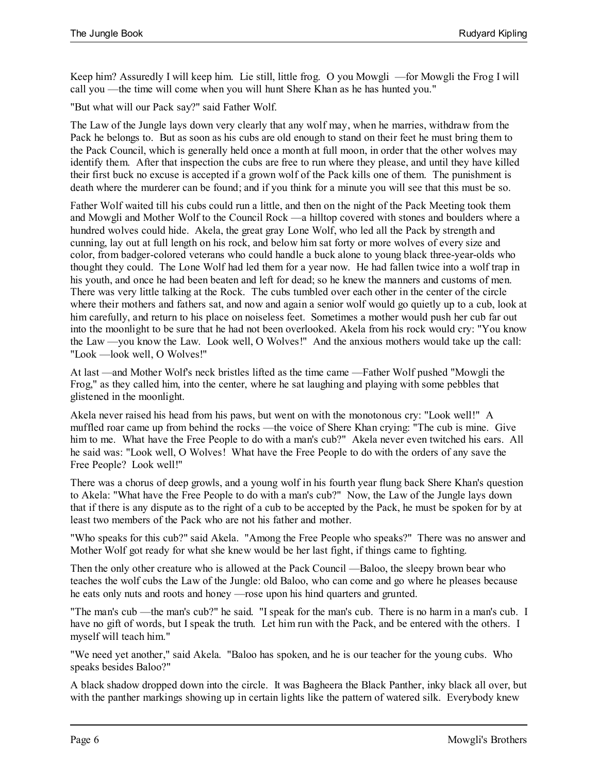Keep him? Assuredly I will keep him. Lie still, little frog. O you Mowgli —for Mowgli the Frog I will call you —the time will come when you will hunt Shere Khan as he has hunted you."

"But what will our Pack say?" said Father Wolf.

The Law of the Jungle lays down very clearly that any wolf may, when he marries, withdraw from the Pack he belongs to. But as soon as his cubs are old enough to stand on their feet he must bring them to the Pack Council, which is generally held once a month at full moon, in order that the other wolves may identify them. After that inspection the cubs are free to run where they please, and until they have killed their first buck no excuse is accepted if a grown wolf of the Pack kills one of them. The punishment is death where the murderer can be found; and if you think for a minute you will see that this must be so.

Father Wolf waited till his cubs could run a little, and then on the night of the Pack Meeting took them and Mowgli and Mother Wolf to the Council Rock —a hilltop covered with stones and boulders where a hundred wolves could hide. Akela, the great gray Lone Wolf, who led all the Pack by strength and cunning, lay out at full length on his rock, and below him sat forty or more wolves of every size and color, from badger-colored veterans who could handle a buck alone to young black three-year-olds who thought they could. The Lone Wolf had led them for a year now. He had fallen twice into a wolf trap in his youth, and once he had been beaten and left for dead; so he knew the manners and customs of men. There was very little talking at the Rock. The cubs tumbled over each other in the center of the circle where their mothers and fathers sat, and now and again a senior wolf would go quietly up to a cub, look at him carefully, and return to his place on noiseless feet. Sometimes a mother would push her cub far out into the moonlight to be sure that he had not been overlooked. Akela from his rock would cry: "You know the Law —you know the Law. Look well, O Wolves!" And the anxious mothers would take up the call: "Look —look well, O Wolves!"

At last —and Mother Wolf's neck bristles lifted as the time came —Father Wolf pushed "Mowgli the Frog," as they called him, into the center, where he sat laughing and playing with some pebbles that glistened in the moonlight.

Akela never raised his head from his paws, but went on with the monotonous cry: "Look well!" A muffled roar came up from behind the rocks —the voice of Shere Khan crying: "The cub is mine. Give him to me. What have the Free People to do with a man's cub?" Akela never even twitched his ears. All he said was: "Look well, O Wolves! What have the Free People to do with the orders of any save the Free People? Look well!"

There was a chorus of deep growls, and a young wolf in his fourth year flung back Shere Khan's question to Akela: "What have the Free People to do with a man's cub?" Now, the Law of the Jungle lays down that if there is any dispute as to the right of a cub to be accepted by the Pack, he must be spoken for by at least two members of the Pack who are not his father and mother.

"Who speaks for this cub?" said Akela. "Among the Free People who speaks?" There was no answer and Mother Wolf got ready for what she knew would be her last fight, if things came to fighting.

Then the only other creature who is allowed at the Pack Council —Baloo, the sleepy brown bear who teaches the wolf cubs the Law of the Jungle: old Baloo, who can come and go where he pleases because he eats only nuts and roots and honey —rose upon his hind quarters and grunted.

"The man's cub —the man's cub?" he said. "I speak for the man's cub. There is no harm in a man's cub. I have no gift of words, but I speak the truth. Let him run with the Pack, and be entered with the others. I myself will teach him."

"We need yet another," said Akela. "Baloo has spoken, and he is our teacher for the young cubs. Who speaks besides Baloo?"

A black shadow dropped down into the circle. It was Bagheera the Black Panther, inky black all over, but with the panther markings showing up in certain lights like the pattern of watered silk. Everybody knew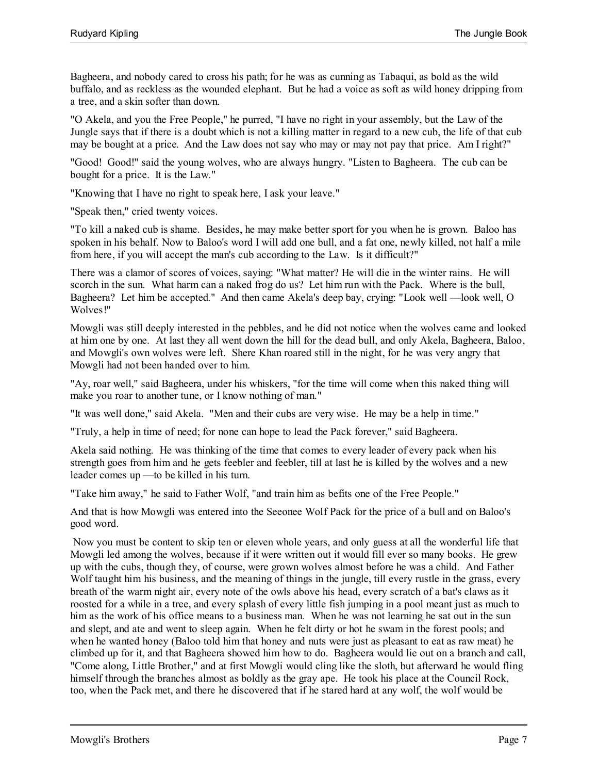Bagheera, and nobody cared to cross his path; for he was as cunning as Tabaqui, as bold as the wild buffalo, and as reckless as the wounded elephant. But he had a voice as soft as wild honey dripping from a tree, and a skin softer than down.

"O Akela, and you the Free People," he purred, "I have no right in your assembly, but the Law of the Jungle says that if there is a doubt which is not a killing matter in regard to a new cub, the life of that cub may be bought at a price. And the Law does not say who may or may not pay that price. Am I right?"

"Good! Good!" said the young wolves, who are always hungry. "Listen to Bagheera. The cub can be bought for a price. It is the Law."

"Knowing that I have no right to speak here, I ask your leave."

"Speak then," cried twenty voices.

"To kill a naked cub is shame. Besides, he may make better sport for you when he is grown. Baloo has spoken in his behalf. Now to Baloo's word I will add one bull, and a fat one, newly killed, not half a mile from here, if you will accept the man's cub according to the Law. Is it difficult?"

There was a clamor of scores of voices, saying: "What matter? He will die in the winter rains. He will scorch in the sun. What harm can a naked frog do us? Let him run with the Pack. Where is the bull, Bagheera? Let him be accepted." And then came Akela's deep bay, crying: "Look well —look well, O Wolves!"

Mowgli was still deeply interested in the pebbles, and he did not notice when the wolves came and looked at him one by one. At last they all went down the hill for the dead bull, and only Akela, Bagheera, Baloo, and Mowgli's own wolves were left. Shere Khan roared still in the night, for he was very angry that Mowgli had not been handed over to him.

"Ay, roar well," said Bagheera, under his whiskers, "for the time will come when this naked thing will make you roar to another tune, or I know nothing of man."

"It was well done," said Akela. "Men and their cubs are very wise. He may be a help in time."

"Truly, a help in time of need; for none can hope to lead the Pack forever," said Bagheera.

Akela said nothing. He was thinking of the time that comes to every leader of every pack when his strength goes from him and he gets feebler and feebler, till at last he is killed by the wolves and a new leader comes up —to be killed in his turn.

"Take him away," he said to Father Wolf, "and train him as befits one of the Free People."

And that is how Mowgli was entered into the Seeonee Wolf Pack for the price of a bull and on Baloo's good word.

 Now you must be content to skip ten or eleven whole years, and only guess at all the wonderful life that Mowgli led among the wolves, because if it were written out it would fill ever so many books. He grew up with the cubs, though they, of course, were grown wolves almost before he was a child. And Father Wolf taught him his business, and the meaning of things in the jungle, till every rustle in the grass, every breath of the warm night air, every note of the owls above his head, every scratch of a bat's claws as it roosted for a while in a tree, and every splash of every little fish jumping in a pool meant just as much to him as the work of his office means to a business man. When he was not learning he sat out in the sun and slept, and ate and went to sleep again. When he felt dirty or hot he swam in the forest pools; and when he wanted honey (Baloo told him that honey and nuts were just as pleasant to eat as raw meat) he climbed up for it, and that Bagheera showed him how to do. Bagheera would lie out on a branch and call, "Come along, Little Brother," and at first Mowgli would cling like the sloth, but afterward he would fling himself through the branches almost as boldly as the gray ape. He took his place at the Council Rock, too, when the Pack met, and there he discovered that if he stared hard at any wolf, the wolf would be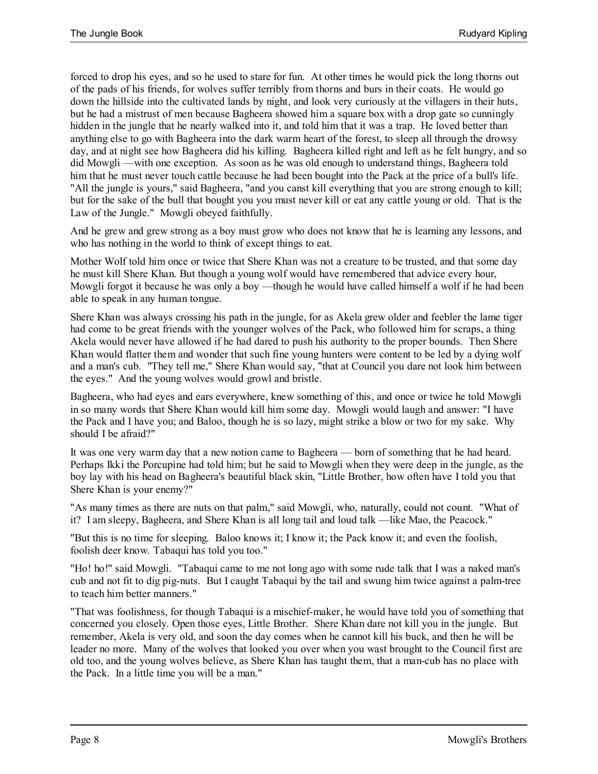forced to drop his eyes, and so he used to stare for fun. At other times he would pick the long thorns out of the pads of his friends, for wolves suffer terribly from thorns and burs in their coats. He would go down the hillside into the cultivated lands by night, and look very curiously at the villagers in their huts, but he had a mistrust of men because Bagheera showed him a square box with a drop gate so cunningly hidden in the jungle that he nearly walked into it, and told him that it was a trap. He loved better than anything else to go with Bagheera into the dark warm heart of the forest, to sleep all through the drowsy day, and at night see how Bagheera did his killing. Bagheera killed right and left as he felt hungry, and so did Mowgli —with one exception. As soon as he was old enough to understand things, Bagheera told him that he must never touch cattle because he had been bought into the Pack at the price of a bull's life. "All the jungle is yours," said Bagheera, "and you canst kill everything that you are strong enough to kill; but for the sake of the bull that bought you you must never kill or eat any cattle young or old. That is the Law of the Jungle." Mowgli obeyed faithfully.

And he grew and grew strong as a boy must grow who does not know that he is learning any lessons, and who has nothing in the world to think of except things to eat.

Mother Wolf told him once or twice that Shere Khan was not a creature to be trusted, and that some day he must kill Shere Khan. But though a young wolf would have remembered that advice every hour, Mowgli forgot it because he was only a boy —though he would have called himself a wolf if he had been able to speak in any human tongue.

Shere Khan was always crossing his path in the jungle, for as Akela grew older and feebler the lame tiger had come to be great friends with the younger wolves of the Pack, who followed him for scraps, a thing Akela would never have allowed if he had dared to push his authority to the proper bounds. Then Shere Khan would flatter them and wonder that such fine young hunters were content to be led by a dying wolf and a man's cub. "They tell me," Shere Khan would say, "that at Council you dare not look him between the eyes." And the young wolves would growl and bristle.

Bagheera, who had eyes and ears everywhere, knew something of this, and once or twice he told Mowgli in so many words that Shere Khan would kill him some day. Mowgli would laugh and answer: "I have the Pack and I have you; and Baloo, though he is so lazy, might strike a blow or two for my sake. Why should I be afraid?"

It was one very warm day that a new notion came to Bagheera — born of something that he had heard. Perhaps Ikki the Porcupine had told him; but he said to Mowgli when they were deep in the jungle, as the boy lay with his head on Bagheera's beautiful black skin, "Little Brother, how often have I told you that Shere Khan is your enemy?"

"As many times as there are nuts on that palm," said Mowgli, who, naturally, could not count. "What of it? I am sleepy, Bagheera, and Shere Khan is all long tail and loud talk —like Mao, the Peacock."

"But this is no time for sleeping. Baloo knows it; I know it; the Pack know it; and even the foolish, foolish deer know. Tabaqui has told you too."

"Ho! ho!" said Mowgli. "Tabaqui came to me not long ago with some rude talk that I was a naked man's cub and not fit to dig pig-nuts. But I caught Tabaqui by the tail and swung him twice against a palm-tree to teach him better manners."

"That was foolishness, for though Tabaqui is a mischief-maker, he would have told you of something that concerned you closely. Open those eyes, Little Brother. Shere Khan dare not kill you in the jungle. But remember, Akela is very old, and soon the day comes when he cannot kill his buck, and then he will be leader no more. Many of the wolves that looked you over when you wast brought to the Council first are old too, and the young wolves believe, as Shere Khan has taught them, that a man-cub has no place with the Pack. In a little time you will be a man."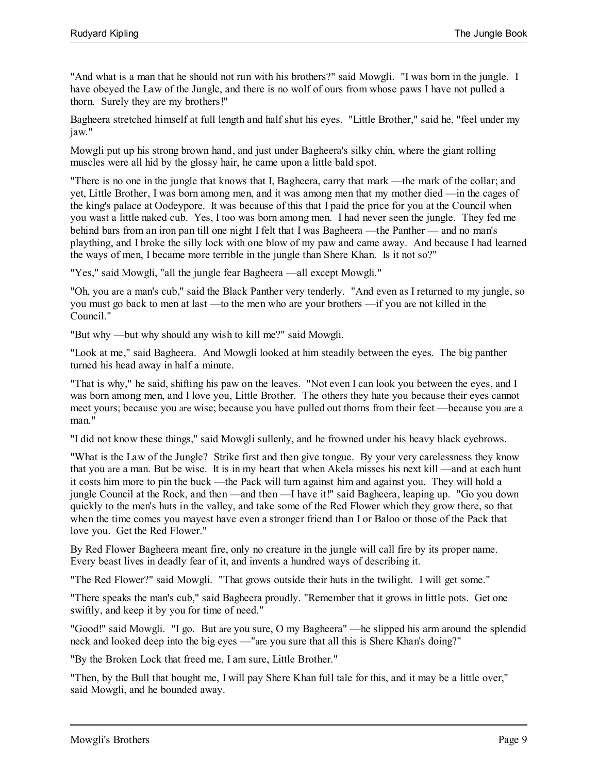"And what is a man that he should not run with his brothers?" said Mowgli. "I was born in the jungle. I have obeyed the Law of the Jungle, and there is no wolf of ours from whose paws I have not pulled a thorn. Surely they are my brothers!"

Bagheera stretched himself at full length and half shut his eyes. "Little Brother," said he, "feel under my jaw."

Mowgli put up his strong brown hand, and just under Bagheera's silky chin, where the giant rolling muscles were all hid by the glossy hair, he came upon a little bald spot.

"There is no one in the jungle that knows that I, Bagheera, carry that mark —the mark of the collar; and yet, Little Brother, I was born among men, and it was among men that my mother died —in the cages of the king's palace at Oodeypore. It was because of this that I paid the price for you at the Council when you wast a little naked cub. Yes, I too was born among men. I had never seen the jungle. They fed me behind bars from an iron pan till one night I felt that I was Bagheera —the Panther — and no man's plaything, and I broke the silly lock with one blow of my paw and came away. And because I had learned the ways of men, I became more terrible in the jungle than Shere Khan. Is it not so?"

"Yes," said Mowgli, "all the jungle fear Bagheera —all except Mowgli."

"Oh, you are a man's cub," said the Black Panther very tenderly. "And even as I returned to my jungle, so you must go back to men at last —to the men who are your brothers —if you are not killed in the Council."

"But why —but why should any wish to kill me?" said Mowgli.

"Look at me," said Bagheera. And Mowgli looked at him steadily between the eyes. The big panther turned his head away in half a minute.

"That is why," he said, shifting his paw on the leaves. "Not even I can look you between the eyes, and I was born among men, and I love you, Little Brother. The others they hate you because their eyes cannot meet yours; because you are wise; because you have pulled out thorns from their feet —because you are a man."

"I did not know these things," said Mowgli sullenly, and he frowned under his heavy black eyebrows.

"What is the Law of the Jungle? Strike first and then give tongue. By your very carelessness they know that you are a man. But be wise. It is in my heart that when Akela misses his next kill —and at each hunt it costs him more to pin the buck —the Pack will turn against him and against you. They will hold a jungle Council at the Rock, and then —and then —I have it!" said Bagheera, leaping up. "Go you down quickly to the men's huts in the valley, and take some of the Red Flower which they grow there, so that when the time comes you mayest have even a stronger friend than I or Baloo or those of the Pack that love you. Get the Red Flower."

By Red Flower Bagheera meant fire, only no creature in the jungle will call fire by its proper name. Every beast lives in deadly fear of it, and invents a hundred ways of describing it.

"The Red Flower?" said Mowgli. "That grows outside their huts in the twilight. I will get some."

"There speaks the man's cub," said Bagheera proudly. "Remember that it grows in little pots. Get one swiftly, and keep it by you for time of need."

"Good!" said Mowgli. "I go. But are you sure, O my Bagheera" —he slipped his arm around the splendid neck and looked deep into the big eyes —"are you sure that all this is Shere Khan's doing?"

"By the Broken Lock that freed me, I am sure, Little Brother."

"Then, by the Bull that bought me, I will pay Shere Khan full tale for this, and it may be a little over," said Mowgli, and he bounded away.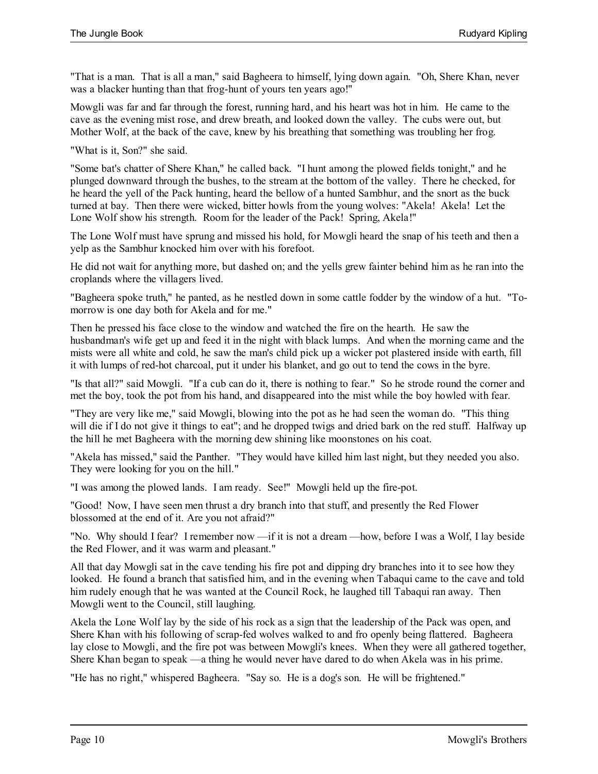"That is a man. That is all a man," said Bagheera to himself, lying down again. "Oh, Shere Khan, never was a blacker hunting than that frog-hunt of yours ten years ago!"

Mowgli was far and far through the forest, running hard, and his heart was hot in him. He came to the cave as the evening mist rose, and drew breath, and looked down the valley. The cubs were out, but Mother Wolf, at the back of the cave, knew by his breathing that something was troubling her frog.

"What is it, Son?" she said.

"Some bat's chatter of Shere Khan," he called back. "I hunt among the plowed fields tonight," and he plunged downward through the bushes, to the stream at the bottom of the valley. There he checked, for he heard the yell of the Pack hunting, heard the bellow of a hunted Sambhur, and the snort as the buck turned at bay. Then there were wicked, bitter howls from the young wolves: "Akela! Akela! Let the Lone Wolf show his strength. Room for the leader of the Pack! Spring, Akela!"

The Lone Wolf must have sprung and missed his hold, for Mowgli heard the snap of his teeth and then a yelp as the Sambhur knocked him over with his forefoot.

He did not wait for anything more, but dashed on; and the yells grew fainter behind him as he ran into the croplands where the villagers lived.

"Bagheera spoke truth," he panted, as he nestled down in some cattle fodder by the window of a hut. "Tomorrow is one day both for Akela and for me."

Then he pressed his face close to the window and watched the fire on the hearth. He saw the husbandman's wife get up and feed it in the night with black lumps. And when the morning came and the mists were all white and cold, he saw the man's child pick up a wicker pot plastered inside with earth, fill it with lumps of red-hot charcoal, put it under his blanket, and go out to tend the cows in the byre.

"Is that all?" said Mowgli. "If a cub can do it, there is nothing to fear." So he strode round the corner and met the boy, took the pot from his hand, and disappeared into the mist while the boy howled with fear.

"They are very like me," said Mowgli, blowing into the pot as he had seen the woman do. "This thing will die if I do not give it things to eat"; and he dropped twigs and dried bark on the red stuff. Halfway up the hill he met Bagheera with the morning dew shining like moonstones on his coat.

"Akela has missed," said the Panther. "They would have killed him last night, but they needed you also. They were looking for you on the hill."

"I was among the plowed lands. I am ready. See!" Mowgli held up the fire-pot.

"Good! Now, I have seen men thrust a dry branch into that stuff, and presently the Red Flower blossomed at the end of it. Are you not afraid?"

"No. Why should I fear? I remember now —if it is not a dream —how, before I was a Wolf, I lay beside the Red Flower, and it was warm and pleasant."

All that day Mowgli sat in the cave tending his fire pot and dipping dry branches into it to see how they looked. He found a branch that satisfied him, and in the evening when Tabaqui came to the cave and told him rudely enough that he was wanted at the Council Rock, he laughed till Tabaqui ran away. Then Mowgli went to the Council, still laughing.

Akela the Lone Wolf lay by the side of his rock as a sign that the leadership of the Pack was open, and Shere Khan with his following of scrap-fed wolves walked to and fro openly being flattered. Bagheera lay close to Mowgli, and the fire pot was between Mowgli's knees. When they were all gathered together, Shere Khan began to speak —a thing he would never have dared to do when Akela was in his prime.

"He has no right," whispered Bagheera. "Say so. He is a dog's son. He will be frightened."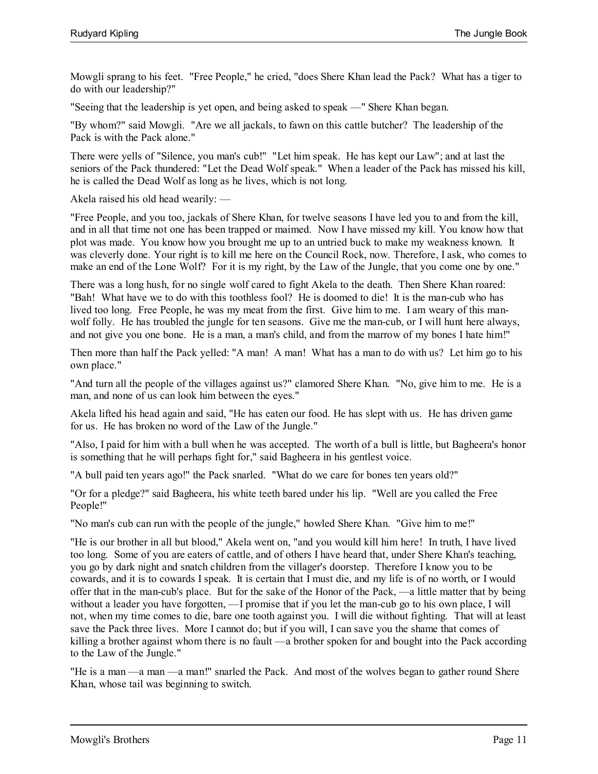Mowgli sprang to his feet. "Free People," he cried, "does Shere Khan lead the Pack? What has a tiger to do with our leadership?"

"Seeing that the leadership is yet open, and being asked to speak —" Shere Khan began.

"By whom?" said Mowgli. "Are we all jackals, to fawn on this cattle butcher? The leadership of the Pack is with the Pack alone."

There were yells of "Silence, you man's cub!" "Let him speak. He has kept our Law"; and at last the seniors of the Pack thundered: "Let the Dead Wolf speak." When a leader of the Pack has missed his kill, he is called the Dead Wolf as long as he lives, which is not long.

Akela raised his old head wearily: —

"Free People, and you too, jackals of Shere Khan, for twelve seasons I have led you to and from the kill, and in all that time not one has been trapped or maimed. Now I have missed my kill. You know how that plot was made. You know how you brought me up to an untried buck to make my weakness known. It was cleverly done. Your right is to kill me here on the Council Rock, now. Therefore, I ask, who comes to make an end of the Lone Wolf? For it is my right, by the Law of the Jungle, that you come one by one."

There was a long hush, for no single wolf cared to fight Akela to the death. Then Shere Khan roared: "Bah! What have we to do with this toothless fool? He is doomed to die! It is the man-cub who has lived too long. Free People, he was my meat from the first. Give him to me. I am weary of this manwolf folly. He has troubled the jungle for ten seasons. Give me the man-cub, or I will hunt here always, and not give you one bone. He is a man, a man's child, and from the marrow of my bones I hate him!"

Then more than half the Pack yelled: "A man! A man! What has a man to do with us? Let him go to his own place."

"And turn all the people of the villages against us?" clamored Shere Khan. "No, give him to me. He is a man, and none of us can look him between the eyes."

Akela lifted his head again and said, "He has eaten our food. He has slept with us. He has driven game for us. He has broken no word of the Law of the Jungle."

"Also, I paid for him with a bull when he was accepted. The worth of a bull is little, but Bagheera's honor is something that he will perhaps fight for," said Bagheera in his gentlest voice.

"A bull paid ten years ago!" the Pack snarled. "What do we care for bones ten years old?"

"Or for a pledge?" said Bagheera, his white teeth bared under his lip. "Well are you called the Free People!"

"No man's cub can run with the people of the jungle," howled Shere Khan. "Give him to me!"

"He is our brother in all but blood," Akela went on, "and you would kill him here! In truth, I have lived too long. Some of you are eaters of cattle, and of others I have heard that, under Shere Khan's teaching, you go by dark night and snatch children from the villager's doorstep. Therefore I know you to be cowards, and it is to cowards I speak. It is certain that I must die, and my life is of no worth, or I would offer that in the man-cub's place. But for the sake of the Honor of the Pack, —a little matter that by being without a leader you have forgotten, —I promise that if you let the man-cub go to his own place, I will not, when my time comes to die, bare one tooth against you. I will die without fighting. That will at least save the Pack three lives. More I cannot do; but if you will, I can save you the shame that comes of killing a brother against whom there is no fault —a brother spoken for and bought into the Pack according to the Law of the Jungle."

"He is a man —a man —a man!" snarled the Pack. And most of the wolves began to gather round Shere Khan, whose tail was beginning to switch.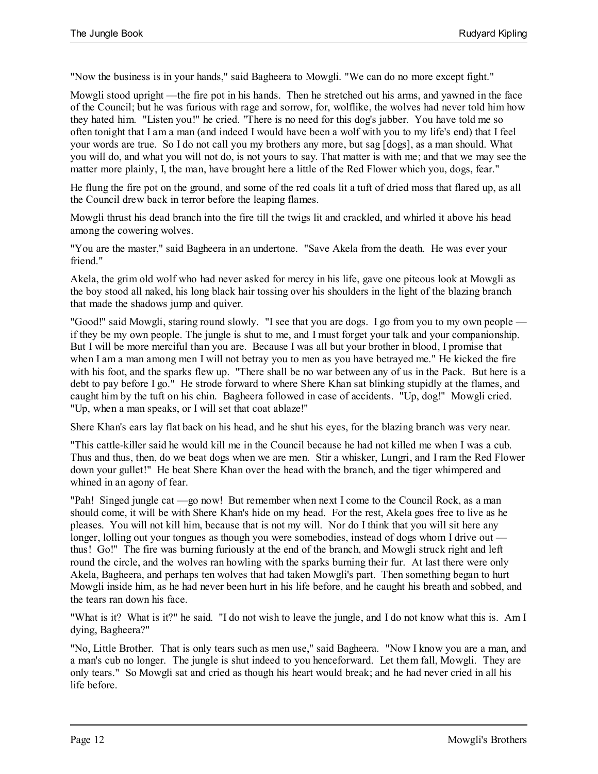"Now the business is in your hands," said Bagheera to Mowgli. "We can do no more except fight."

Mowgli stood upright —the fire pot in his hands. Then he stretched out his arms, and yawned in the face of the Council; but he was furious with rage and sorrow, for, wolflike, the wolves had never told him how they hated him. "Listen you!" he cried. "There is no need for this dog's jabber. You have told me so often tonight that I am a man (and indeed I would have been a wolf with you to my life's end) that I feel your words are true. So I do not call you my brothers any more, but sag [dogs], as a man should. What you will do, and what you will not do, is not yours to say. That matter is with me; and that we may see the matter more plainly, I, the man, have brought here a little of the Red Flower which you, dogs, fear."

He flung the fire pot on the ground, and some of the red coals lit a tuft of dried moss that flared up, as all the Council drew back in terror before the leaping flames.

Mowgli thrust his dead branch into the fire till the twigs lit and crackled, and whirled it above his head among the cowering wolves.

"You are the master," said Bagheera in an undertone. "Save Akela from the death. He was ever your friend."

Akela, the grim old wolf who had never asked for mercy in his life, gave one piteous look at Mowgli as the boy stood all naked, his long black hair tossing over his shoulders in the light of the blazing branch that made the shadows jump and quiver.

"Good!" said Mowgli, staring round slowly. "I see that you are dogs. I go from you to my own people if they be my own people. The jungle is shut to me, and I must forget your talk and your companionship. But I will be more merciful than you are. Because I was all but your brother in blood, I promise that when I am a man among men I will not betray you to men as you have betrayed me." He kicked the fire with his foot, and the sparks flew up. "There shall be no war between any of us in the Pack. But here is a debt to pay before I go." He strode forward to where Shere Khan sat blinking stupidly at the flames, and caught him by the tuft on his chin. Bagheera followed in case of accidents. "Up, dog!" Mowgli cried. "Up, when a man speaks, or I will set that coat ablaze!"

Shere Khan's ears lay flat back on his head, and he shut his eyes, for the blazing branch was very near.

"This cattle-killer said he would kill me in the Council because he had not killed me when I was a cub. Thus and thus, then, do we beat dogs when we are men. Stir a whisker, Lungri, and I ram the Red Flower down your gullet!" He beat Shere Khan over the head with the branch, and the tiger whimpered and whined in an agony of fear.

"Pah! Singed jungle cat —go now! But remember when next I come to the Council Rock, as a man should come, it will be with Shere Khan's hide on my head. For the rest, Akela goes free to live as he pleases. You will not kill him, because that is not my will. Nor do I think that you will sit here any longer, lolling out your tongues as though you were somebodies, instead of dogs whom I drive out thus! Go!" The fire was burning furiously at the end of the branch, and Mowgli struck right and left round the circle, and the wolves ran howling with the sparks burning their fur. At last there were only Akela, Bagheera, and perhaps ten wolves that had taken Mowgli's part. Then something began to hurt Mowgli inside him, as he had never been hurt in his life before, and he caught his breath and sobbed, and the tears ran down his face.

"What is it? What is it?" he said. "I do not wish to leave the jungle, and I do not know what this is. Am I dying, Bagheera?"

"No, Little Brother. That is only tears such as men use," said Bagheera. "Now I know you are a man, and a man's cub no longer. The jungle is shut indeed to you henceforward. Let them fall, Mowgli. They are only tears." So Mowgli sat and cried as though his heart would break; and he had never cried in all his life before.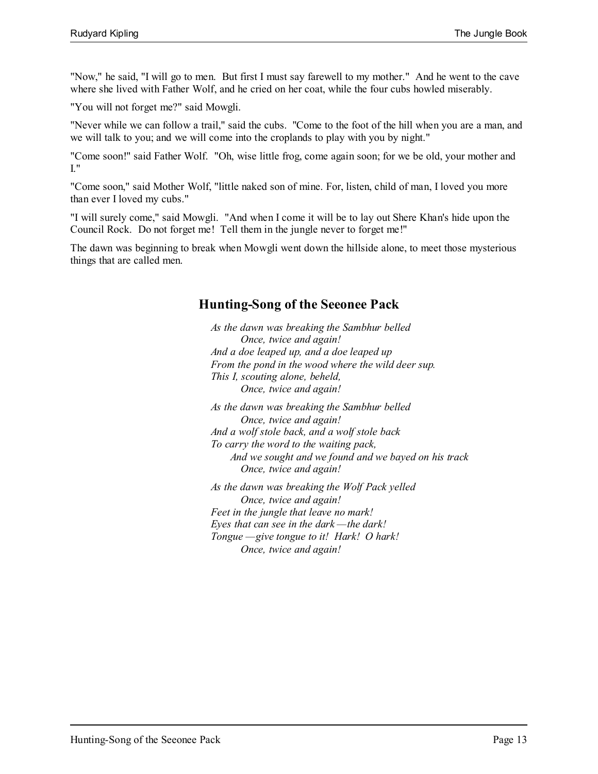"Now," he said, "I will go to men. But first I must say farewell to my mother." And he went to the cave where she lived with Father Wolf, and he cried on her coat, while the four cubs howled miserably.

"You will not forget me?" said Mowgli.

"Never while we can follow a trail," said the cubs. "Come to the foot of the hill when you are a man, and we will talk to you; and we will come into the croplands to play with you by night."

"Come soon!" said Father Wolf. "Oh, wise little frog, come again soon; for we be old, your mother and I."

"Come soon," said Mother Wolf, "little naked son of mine. For, listen, child of man, I loved you more than ever I loved my cubs."

"I will surely come," said Mowgli. "And when I come it will be to lay out Shere Khan's hide upon the Council Rock. Do not forget me! Tell them in the jungle never to forget me!"

The dawn was beginning to break when Mowgli went down the hillside alone, to meet those mysterious things that are called men.

### **Hunting-Song of the Seeonee Pack**

*As the dawn was breaking the Sambhur belled Once, twice and again! And a doe leaped up, and a doe leaped up From the pond in the wood where the wild deer sup. This I, scouting alone, beheld, Once, twice and again!*

*As the dawn was breaking the Sambhur belled Once, twice and again! And a wolf stole back, and a wolf stole back To carry the word to the waiting pack, And we sought and we found and we bayed on his track Once, twice and again!*

*As the dawn was breaking the Wolf Pack yelled Once, twice and again! Feet in the jungle that leave no mark! Eyes that can see in the dark —the dark! Tongue —give tongue to it! Hark! O hark! Once, twice and again!*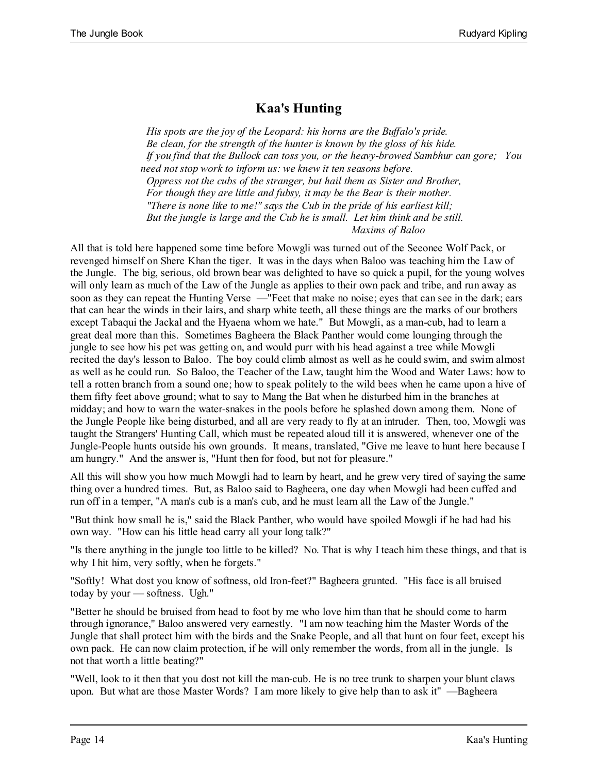# **Kaa's Hunting**

 *His spots are the joy of the Leopard: his horns are the Buffalo's pride. Be clean, for the strength of the hunter is known by the gloss of his hide. If you find that the Bullock can toss you, or the heavy-browed Sambhur can gore; You need not stop work to inform us: we knew it ten seasons before. Oppress not the cubs of the stranger, but hail them as Sister and Brother, For though they are little and fubsy, it may be the Bear is their mother. "There is none like to me!" says the Cub in the pride of his earliest kill; But the jungle is large and the Cub he is small. Let him think and be still. Maxims of Baloo*

All that is told here happened some time before Mowgli was turned out of the Seeonee Wolf Pack, or revenged himself on Shere Khan the tiger. It was in the days when Baloo was teaching him the Law of the Jungle. The big, serious, old brown bear was delighted to have so quick a pupil, for the young wolves will only learn as much of the Law of the Jungle as applies to their own pack and tribe, and run away as soon as they can repeat the Hunting Verse —"Feet that make no noise; eyes that can see in the dark; ears that can hear the winds in their lairs, and sharp white teeth, all these things are the marks of our brothers except Tabaqui the Jackal and the Hyaena whom we hate." But Mowgli, as a man-cub, had to learn a great deal more than this. Sometimes Bagheera the Black Panther would come lounging through the jungle to see how his pet was getting on, and would purr with his head against a tree while Mowgli recited the day's lesson to Baloo. The boy could climb almost as well as he could swim, and swim almost as well as he could run. So Baloo, the Teacher of the Law, taught him the Wood and Water Laws: how to tell a rotten branch from a sound one; how to speak politely to the wild bees when he came upon a hive of them fifty feet above ground; what to say to Mang the Bat when he disturbed him in the branches at midday; and how to warn the water-snakes in the pools before he splashed down among them. None of the Jungle People like being disturbed, and all are very ready to fly at an intruder. Then, too, Mowgli was taught the Strangers' Hunting Call, which must be repeated aloud till it is answered, whenever one of the Jungle-People hunts outside his own grounds. It means, translated, "Give me leave to hunt here because I am hungry." And the answer is, "Hunt then for food, but not for pleasure."

All this will show you how much Mowgli had to learn by heart, and he grew very tired of saying the same thing over a hundred times. But, as Baloo said to Bagheera, one day when Mowgli had been cuffed and run off in a temper, "A man's cub is a man's cub, and he must learn all the Law of the Jungle."

"But think how small he is," said the Black Panther, who would have spoiled Mowgli if he had had his own way. "How can his little head carry all your long talk?"

"Is there anything in the jungle too little to be killed? No. That is why I teach him these things, and that is why I hit him, very softly, when he forgets."

"Softly! What dost you know of softness, old Iron-feet?" Bagheera grunted. "His face is all bruised today by your — softness. Ugh."

"Better he should be bruised from head to foot by me who love him than that he should come to harm through ignorance," Baloo answered very earnestly. "I am now teaching him the Master Words of the Jungle that shall protect him with the birds and the Snake People, and all that hunt on four feet, except his own pack. He can now claim protection, if he will only remember the words, from all in the jungle. Is not that worth a little beating?"

"Well, look to it then that you dost not kill the man-cub. He is no tree trunk to sharpen your blunt claws upon. But what are those Master Words? I am more likely to give help than to ask it" —Bagheera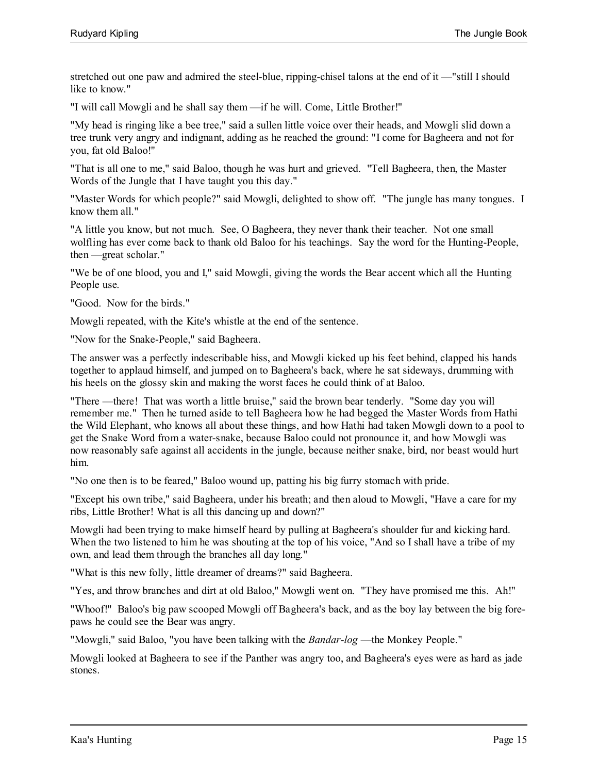stretched out one paw and admired the steel-blue, ripping-chisel talons at the end of it —"still I should like to know."

"I will call Mowgli and he shall say them —if he will. Come, Little Brother!"

"My head is ringing like a bee tree," said a sullen little voice over their heads, and Mowgli slid down a tree trunk very angry and indignant, adding as he reached the ground: "I come for Bagheera and not for you, fat old Baloo!"

"That is all one to me," said Baloo, though he was hurt and grieved. "Tell Bagheera, then, the Master Words of the Jungle that I have taught you this day."

"Master Words for which people?" said Mowgli, delighted to show off. "The jungle has many tongues. I know them all."

"A little you know, but not much. See, O Bagheera, they never thank their teacher. Not one small wolfling has ever come back to thank old Baloo for his teachings. Say the word for the Hunting-People, then —great scholar."

"We be of one blood, you and I," said Mowgli, giving the words the Bear accent which all the Hunting People use.

"Good. Now for the birds."

Mowgli repeated, with the Kite's whistle at the end of the sentence.

"Now for the Snake-People," said Bagheera.

The answer was a perfectly indescribable hiss, and Mowgli kicked up his feet behind, clapped his hands together to applaud himself, and jumped on to Bagheera's back, where he sat sideways, drumming with his heels on the glossy skin and making the worst faces he could think of at Baloo.

"There —there! That was worth a little bruise," said the brown bear tenderly. "Some day you will remember me." Then he turned aside to tell Bagheera how he had begged the Master Words from Hathi the Wild Elephant, who knows all about these things, and how Hathi had taken Mowgli down to a pool to get the Snake Word from a water-snake, because Baloo could not pronounce it, and how Mowgli was now reasonably safe against all accidents in the jungle, because neither snake, bird, nor beast would hurt him.

"No one then is to be feared," Baloo wound up, patting his big furry stomach with pride.

"Except his own tribe," said Bagheera, under his breath; and then aloud to Mowgli, "Have a care for my ribs, Little Brother! What is all this dancing up and down?"

Mowgli had been trying to make himself heard by pulling at Bagheera's shoulder fur and kicking hard. When the two listened to him he was shouting at the top of his voice, "And so I shall have a tribe of my own, and lead them through the branches all day long."

"What is this new folly, little dreamer of dreams?" said Bagheera.

"Yes, and throw branches and dirt at old Baloo," Mowgli went on. "They have promised me this. Ah!"

"Whoof!" Baloo's big paw scooped Mowgli off Bagheera's back, and as the boy lay between the big forepaws he could see the Bear was angry.

"Mowgli," said Baloo, "you have been talking with the *Bandar-log* —the Monkey People."

Mowgli looked at Bagheera to see if the Panther was angry too, and Bagheera's eyes were as hard as jade stones.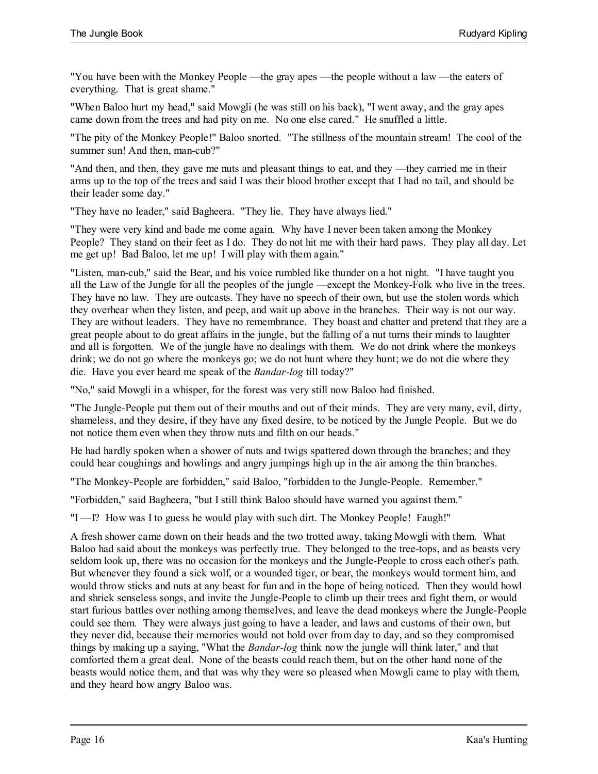"You have been with the Monkey People —the gray apes —the people without a law —the eaters of everything. That is great shame."

"When Baloo hurt my head," said Mowgli (he was still on his back), "I went away, and the gray apes came down from the trees and had pity on me. No one else cared." He snuffled a little.

"The pity of the Monkey People!" Baloo snorted. "The stillness of the mountain stream! The cool of the summer sun! And then, man-cub?"

"And then, and then, they gave me nuts and pleasant things to eat, and they —they carried me in their arms up to the top of the trees and said I was their blood brother except that I had no tail, and should be their leader some day."

"They have no leader," said Bagheera. "They lie. They have always lied."

"They were very kind and bade me come again. Why have I never been taken among the Monkey People? They stand on their feet as I do. They do not hit me with their hard paws. They play all day. Let me get up! Bad Baloo, let me up! I will play with them again."

"Listen, man-cub," said the Bear, and his voice rumbled like thunder on a hot night. "I have taught you all the Law of the Jungle for all the peoples of the jungle —except the Monkey-Folk who live in the trees. They have no law. They are outcasts. They have no speech of their own, but use the stolen words which they overhear when they listen, and peep, and wait up above in the branches. Their way is not our way. They are without leaders. They have no remembrance. They boast and chatter and pretend that they are a great people about to do great affairs in the jungle, but the falling of a nut turns their minds to laughter and all is forgotten. We of the jungle have no dealings with them. We do not drink where the monkeys drink; we do not go where the monkeys go; we do not hunt where they hunt; we do not die where they die. Have you ever heard me speak of the *Bandar-log* till today?"

"No," said Mowgli in a whisper, for the forest was very still now Baloo had finished.

"The Jungle-People put them out of their mouths and out of their minds. They are very many, evil, dirty, shameless, and they desire, if they have any fixed desire, to be noticed by the Jungle People. But we do not notice them even when they throw nuts and filth on our heads."

He had hardly spoken when a shower of nuts and twigs spattered down through the branches; and they could hear coughings and howlings and angry jumpings high up in the air among the thin branches.

"The Monkey-People are forbidden," said Baloo, "forbidden to the Jungle-People. Remember."

"Forbidden," said Bagheera, "but I still think Baloo should have warned you against them."

"I —I? How was I to guess he would play with such dirt. The Monkey People! Faugh!"

A fresh shower came down on their heads and the two trotted away, taking Mowgli with them. What Baloo had said about the monkeys was perfectly true. They belonged to the tree-tops, and as beasts very seldom look up, there was no occasion for the monkeys and the Jungle-People to cross each other's path. But whenever they found a sick wolf, or a wounded tiger, or bear, the monkeys would torment him, and would throw sticks and nuts at any beast for fun and in the hope of being noticed. Then they would howl and shriek senseless songs, and invite the Jungle-People to climb up their trees and fight them, or would start furious battles over nothing among themselves, and leave the dead monkeys where the Jungle-People could see them. They were always just going to have a leader, and laws and customs of their own, but they never did, because their memories would not hold over from day to day, and so they compromised things by making up a saying, "What the *Bandar-log* think now the jungle will think later," and that comforted them a great deal. None of the beasts could reach them, but on the other hand none of the beasts would notice them, and that was why they were so pleased when Mowgli came to play with them, and they heard how angry Baloo was.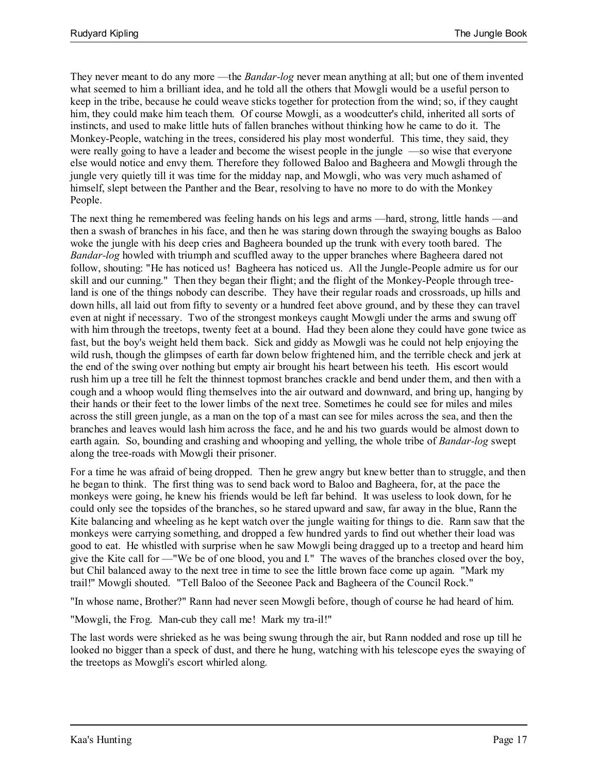They never meant to do any more —the *Bandar-log* never mean anything at all; but one of them invented what seemed to him a brilliant idea, and he told all the others that Mowgli would be a useful person to keep in the tribe, because he could weave sticks together for protection from the wind; so, if they caught him, they could make him teach them. Of course Mowgli, as a woodcutter's child, inherited all sorts of instincts, and used to make little huts of fallen branches without thinking how he came to do it. The Monkey-People, watching in the trees, considered his play most wonderful. This time, they said, they were really going to have a leader and become the wisest people in the jungle —so wise that everyone else would notice and envy them. Therefore they followed Baloo and Bagheera and Mowgli through the jungle very quietly till it was time for the midday nap, and Mowgli, who was very much ashamed of himself, slept between the Panther and the Bear, resolving to have no more to do with the Monkey People.

The next thing he remembered was feeling hands on his legs and arms —hard, strong, little hands —and then a swash of branches in his face, and then he was staring down through the swaying boughs as Baloo woke the jungle with his deep cries and Bagheera bounded up the trunk with every tooth bared. The *Bandar-log* howled with triumph and scuffled away to the upper branches where Bagheera dared not follow, shouting: "He has noticed us! Bagheera has noticed us. All the Jungle-People admire us for our skill and our cunning." Then they began their flight; and the flight of the Monkey-People through treeland is one of the things nobody can describe. They have their regular roads and crossroads, up hills and down hills, all laid out from fifty to seventy or a hundred feet above ground, and by these they can travel even at night if necessary. Two of the strongest monkeys caught Mowgli under the arms and swung off with him through the treetops, twenty feet at a bound. Had they been alone they could have gone twice as fast, but the boy's weight held them back. Sick and giddy as Mowgli was he could not help enjoying the wild rush, though the glimpses of earth far down below frightened him, and the terrible check and jerk at the end of the swing over nothing but empty air brought his heart between his teeth. His escort would rush him up a tree till he felt the thinnest topmost branches crackle and bend under them, and then with a cough and a whoop would fling themselves into the air outward and downward, and bring up, hanging by their hands or their feet to the lower limbs of the next tree. Sometimes he could see for miles and miles across the still green jungle, as a man on the top of a mast can see for miles across the sea, and then the branches and leaves would lash him across the face, and he and his two guards would be almost down to earth again. So, bounding and crashing and whooping and yelling, the whole tribe of *Bandar-log* swept along the tree-roads with Mowgli their prisoner.

For a time he was afraid of being dropped. Then he grew angry but knew better than to struggle, and then he began to think. The first thing was to send back word to Baloo and Bagheera, for, at the pace the monkeys were going, he knew his friends would be left far behind. It was useless to look down, for he could only see the topsides of the branches, so he stared upward and saw, far away in the blue, Rann the Kite balancing and wheeling as he kept watch over the jungle waiting for things to die. Rann saw that the monkeys were carrying something, and dropped a few hundred yards to find out whether their load was good to eat. He whistled with surprise when he saw Mowgli being dragged up to a treetop and heard him give the Kite call for —"We be of one blood, you and I." The waves of the branches closed over the boy, but Chil balanced away to the next tree in time to see the little brown face come up again. "Mark my trail!" Mowgli shouted. "Tell Baloo of the Seeonee Pack and Bagheera of the Council Rock."

"In whose name, Brother?" Rann had never seen Mowgli before, though of course he had heard of him.

"Mowgli, the Frog. Man-cub they call me! Mark my tra-il!"

The last words were shrieked as he was being swung through the air, but Rann nodded and rose up till he looked no bigger than a speck of dust, and there he hung, watching with his telescope eyes the swaying of the treetops as Mowgli's escort whirled along.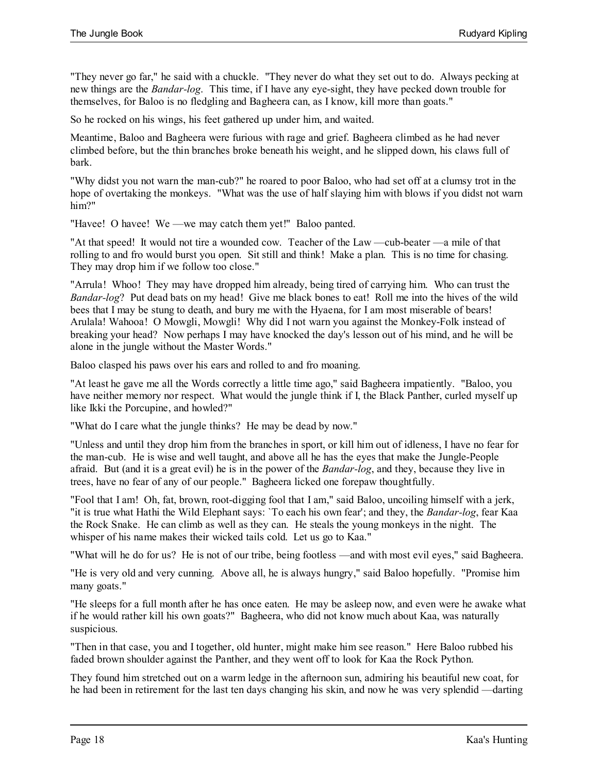"They never go far," he said with a chuckle. "They never do what they set out to do. Always pecking at new things are the *Bandar-log*. This time, if I have any eye-sight, they have pecked down trouble for themselves, for Baloo is no fledgling and Bagheera can, as I know, kill more than goats."

So he rocked on his wings, his feet gathered up under him, and waited.

Meantime, Baloo and Bagheera were furious with rage and grief. Bagheera climbed as he had never climbed before, but the thin branches broke beneath his weight, and he slipped down, his claws full of bark.

"Why didst you not warn the man-cub?" he roared to poor Baloo, who had set off at a clumsy trot in the hope of overtaking the monkeys. "What was the use of half slaying him with blows if you didst not warn him?"

"Havee! O havee! We —we may catch them yet!" Baloo panted.

"At that speed! It would not tire a wounded cow. Teacher of the Law —cub-beater —a mile of that rolling to and fro would burst you open. Sit still and think! Make a plan. This is no time for chasing. They may drop him if we follow too close."

"Arrula! Whoo! They may have dropped him already, being tired of carrying him. Who can trust the *Bandar-log*? Put dead bats on my head! Give me black bones to eat! Roll me into the hives of the wild bees that I may be stung to death, and bury me with the Hyaena, for I am most miserable of bears! Arulala! Wahooa! O Mowgli, Mowgli! Why did I not warn you against the Monkey-Folk instead of breaking your head? Now perhaps I may have knocked the day's lesson out of his mind, and he will be alone in the jungle without the Master Words."

Baloo clasped his paws over his ears and rolled to and fro moaning.

"At least he gave me all the Words correctly a little time ago," said Bagheera impatiently. "Baloo, you have neither memory nor respect. What would the jungle think if I, the Black Panther, curled myself up like Ikki the Porcupine, and howled?"

"What do I care what the jungle thinks? He may be dead by now."

"Unless and until they drop him from the branches in sport, or kill him out of idleness, I have no fear for the man-cub. He is wise and well taught, and above all he has the eyes that make the Jungle-People afraid. But (and it is a great evil) he is in the power of the *Bandar-log*, and they, because they live in trees, have no fear of any of our people." Bagheera licked one forepaw thoughtfully.

"Fool that I am! Oh, fat, brown, root-digging fool that I am," said Baloo, uncoiling himself with a jerk, "it is true what Hathi the Wild Elephant says: `To each his own fear'; and they, the *Bandar-log*, fear Kaa the Rock Snake. He can climb as well as they can. He steals the young monkeys in the night. The whisper of his name makes their wicked tails cold. Let us go to Kaa."

"What will he do for us? He is not of our tribe, being footless —and with most evil eyes," said Bagheera.

"He is very old and very cunning. Above all, he is always hungry," said Baloo hopefully. "Promise him many goats."

"He sleeps for a full month after he has once eaten. He may be asleep now, and even were he awake what if he would rather kill his own goats?" Bagheera, who did not know much about Kaa, was naturally suspicious.

"Then in that case, you and I together, old hunter, might make him see reason." Here Baloo rubbed his faded brown shoulder against the Panther, and they went off to look for Kaa the Rock Python.

They found him stretched out on a warm ledge in the afternoon sun, admiring his beautiful new coat, for he had been in retirement for the last ten days changing his skin, and now he was very splendid —darting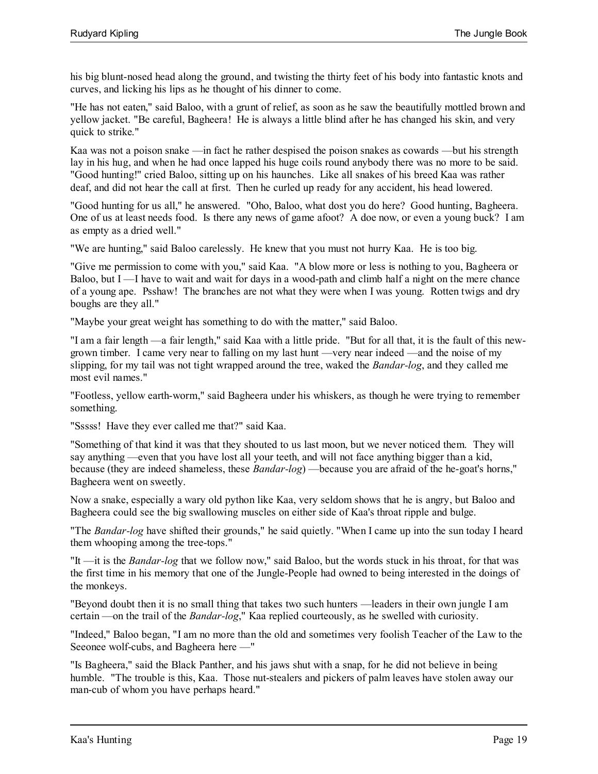his big blunt-nosed head along the ground, and twisting the thirty feet of his body into fantastic knots and curves, and licking his lips as he thought of his dinner to come.

"He has not eaten," said Baloo, with a grunt of relief, as soon as he saw the beautifully mottled brown and yellow jacket. "Be careful, Bagheera! He is always a little blind after he has changed his skin, and very quick to strike."

Kaa was not a poison snake —in fact he rather despised the poison snakes as cowards —but his strength lay in his hug, and when he had once lapped his huge coils round anybody there was no more to be said. "Good hunting!" cried Baloo, sitting up on his haunches. Like all snakes of his breed Kaa was rather deaf, and did not hear the call at first. Then he curled up ready for any accident, his head lowered.

"Good hunting for us all," he answered. "Oho, Baloo, what dost you do here? Good hunting, Bagheera. One of us at least needs food. Is there any news of game afoot? A doe now, or even a young buck? I am as empty as a dried well."

"We are hunting," said Baloo carelessly. He knew that you must not hurry Kaa. He is too big.

"Give me permission to come with you," said Kaa. "A blow more or less is nothing to you, Bagheera or Baloo, but I —I have to wait and wait for days in a wood-path and climb half a night on the mere chance of a young ape. Psshaw! The branches are not what they were when I was young. Rotten twigs and dry boughs are they all."

"Maybe your great weight has something to do with the matter," said Baloo.

"I am a fair length —a fair length," said Kaa with a little pride. "But for all that, it is the fault of this newgrown timber. I came very near to falling on my last hunt —very near indeed —and the noise of my slipping, for my tail was not tight wrapped around the tree, waked the *Bandar-log*, and they called me most evil names."

"Footless, yellow earth-worm," said Bagheera under his whiskers, as though he were trying to remember something.

"Sssss! Have they ever called me that?" said Kaa.

"Something of that kind it was that they shouted to us last moon, but we never noticed them. They will say anything —even that you have lost all your teeth, and will not face anything bigger than a kid, because (they are indeed shameless, these *Bandar-log*) —because you are afraid of the he-goat's horns," Bagheera went on sweetly.

Now a snake, especially a wary old python like Kaa, very seldom shows that he is angry, but Baloo and Bagheera could see the big swallowing muscles on either side of Kaa's throat ripple and bulge.

"The *Bandar-log* have shifted their grounds," he said quietly. "When I came up into the sun today I heard them whooping among the tree-tops."

"It —it is the *Bandar-log* that we follow now," said Baloo, but the words stuck in his throat, for that was the first time in his memory that one of the Jungle-People had owned to being interested in the doings of the monkeys.

"Beyond doubt then it is no small thing that takes two such hunters —leaders in their own jungle I am certain —on the trail of the *Bandar-log*," Kaa replied courteously, as he swelled with curiosity.

"Indeed," Baloo began, "I am no more than the old and sometimes very foolish Teacher of the Law to the Seeonee wolf-cubs, and Bagheera here —"

"Is Bagheera," said the Black Panther, and his jaws shut with a snap, for he did not believe in being humble. "The trouble is this, Kaa. Those nut-stealers and pickers of palm leaves have stolen away our man-cub of whom you have perhaps heard."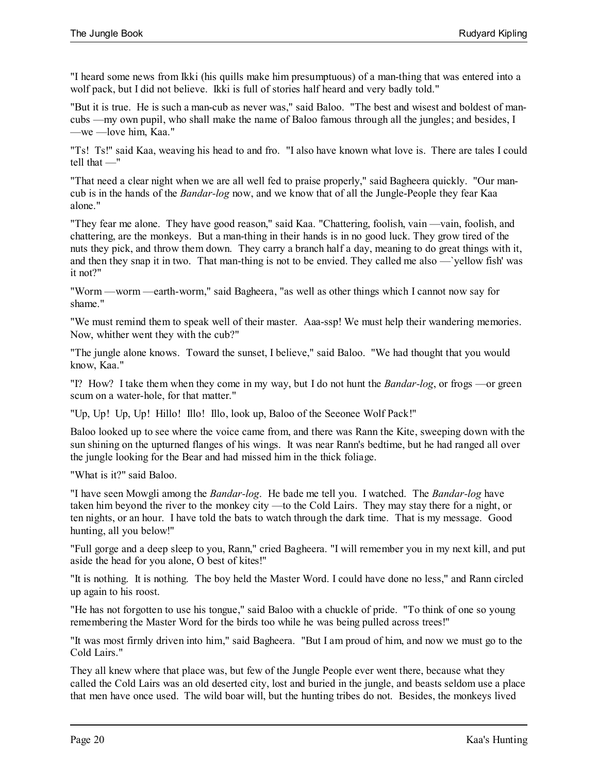"I heard some news from Ikki (his quills make him presumptuous) of a man-thing that was entered into a wolf pack, but I did not believe. Ikki is full of stories half heard and very badly told."

"But it is true. He is such a man-cub as never was," said Baloo. "The best and wisest and boldest of mancubs —my own pupil, who shall make the name of Baloo famous through all the jungles; and besides, I —we —love him, Kaa."

"Ts! Ts!" said Kaa, weaving his head to and fro. "I also have known what love is. There are tales I could tell that —"

"That need a clear night when we are all well fed to praise properly," said Bagheera quickly. "Our mancub is in the hands of the *Bandar-log* now, and we know that of all the Jungle-People they fear Kaa alone."

"They fear me alone. They have good reason," said Kaa. "Chattering, foolish, vain —vain, foolish, and chattering, are the monkeys. But a man-thing in their hands is in no good luck. They grow tired of the nuts they pick, and throw them down. They carry a branch half a day, meaning to do great things with it, and then they snap it in two. That man-thing is not to be envied. They called me also —`yellow fish' was it not?"

"Worm —worm —earth-worm," said Bagheera, "as well as other things which I cannot now say for shame."

"We must remind them to speak well of their master. Aaa-ssp! We must help their wandering memories. Now, whither went they with the cub?"

"The jungle alone knows. Toward the sunset, I believe," said Baloo. "We had thought that you would know, Kaa."

"I? How? I take them when they come in my way, but I do not hunt the *Bandar-log*, or frogs —or green scum on a water-hole, for that matter."

"Up, Up! Up, Up! Hillo! Illo! Illo, look up, Baloo of the Seeonee Wolf Pack!"

Baloo looked up to see where the voice came from, and there was Rann the Kite, sweeping down with the sun shining on the upturned flanges of his wings. It was near Rann's bedtime, but he had ranged all over the jungle looking for the Bear and had missed him in the thick foliage.

"What is it?" said Baloo.

"I have seen Mowgli among the *Bandar-log*. He bade me tell you. I watched. The *Bandar-log* have taken him beyond the river to the monkey city —to the Cold Lairs. They may stay there for a night, or ten nights, or an hour. I have told the bats to watch through the dark time. That is my message. Good hunting, all you below!"

"Full gorge and a deep sleep to you, Rann," cried Bagheera. "I will remember you in my next kill, and put aside the head for you alone, O best of kites!"

"It is nothing. It is nothing. The boy held the Master Word. I could have done no less," and Rann circled up again to his roost.

"He has not forgotten to use his tongue," said Baloo with a chuckle of pride. "To think of one so young remembering the Master Word for the birds too while he was being pulled across trees!"

"It was most firmly driven into him," said Bagheera. "But I am proud of him, and now we must go to the Cold Lairs."

They all knew where that place was, but few of the Jungle People ever went there, because what they called the Cold Lairs was an old deserted city, lost and buried in the jungle, and beasts seldom use a place that men have once used. The wild boar will, but the hunting tribes do not. Besides, the monkeys lived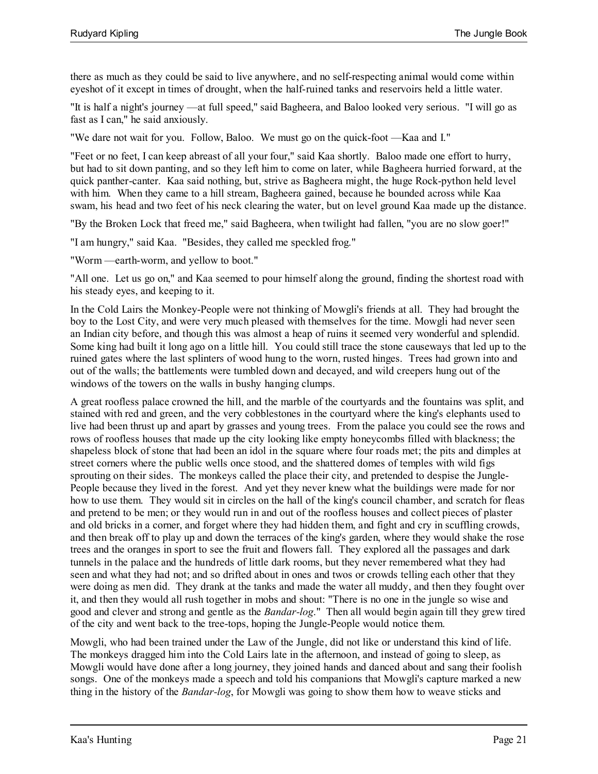there as much as they could be said to live anywhere, and no self-respecting animal would come within eyeshot of it except in times of drought, when the half-ruined tanks and reservoirs held a little water.

"It is half a night's journey —at full speed," said Bagheera, and Baloo looked very serious. "I will go as fast as I can," he said anxiously.

"We dare not wait for you. Follow, Baloo. We must go on the quick-foot —Kaa and I."

"Feet or no feet, I can keep abreast of all your four," said Kaa shortly. Baloo made one effort to hurry, but had to sit down panting, and so they left him to come on later, while Bagheera hurried forward, at the quick panther-canter. Kaa said nothing, but, strive as Bagheera might, the huge Rock-python held level with him. When they came to a hill stream, Bagheera gained, because he bounded across while Kaa swam, his head and two feet of his neck clearing the water, but on level ground Kaa made up the distance.

"By the Broken Lock that freed me," said Bagheera, when twilight had fallen, "you are no slow goer!"

"I am hungry," said Kaa. "Besides, they called me speckled frog."

"Worm —earth-worm, and yellow to boot."

"All one. Let us go on," and Kaa seemed to pour himself along the ground, finding the shortest road with his steady eyes, and keeping to it.

In the Cold Lairs the Monkey-People were not thinking of Mowgli's friends at all. They had brought the boy to the Lost City, and were very much pleased with themselves for the time. Mowgli had never seen an Indian city before, and though this was almost a heap of ruins it seemed very wonderful and splendid. Some king had built it long ago on a little hill. You could still trace the stone causeways that led up to the ruined gates where the last splinters of wood hung to the worn, rusted hinges. Trees had grown into and out of the walls; the battlements were tumbled down and decayed, and wild creepers hung out of the windows of the towers on the walls in bushy hanging clumps.

A great roofless palace crowned the hill, and the marble of the courtyards and the fountains was split, and stained with red and green, and the very cobblestones in the courtyard where the king's elephants used to live had been thrust up and apart by grasses and young trees. From the palace you could see the rows and rows of roofless houses that made up the city looking like empty honeycombs filled with blackness; the shapeless block of stone that had been an idol in the square where four roads met; the pits and dimples at street corners where the public wells once stood, and the shattered domes of temples with wild figs sprouting on their sides. The monkeys called the place their city, and pretended to despise the Jungle-People because they lived in the forest. And yet they never knew what the buildings were made for nor how to use them. They would sit in circles on the hall of the king's council chamber, and scratch for fleas and pretend to be men; or they would run in and out of the roofless houses and collect pieces of plaster and old bricks in a corner, and forget where they had hidden them, and fight and cry in scuffling crowds, and then break off to play up and down the terraces of the king's garden, where they would shake the rose trees and the oranges in sport to see the fruit and flowers fall. They explored all the passages and dark tunnels in the palace and the hundreds of little dark rooms, but they never remembered what they had seen and what they had not; and so drifted about in ones and twos or crowds telling each other that they were doing as men did. They drank at the tanks and made the water all muddy, and then they fought over it, and then they would all rush together in mobs and shout: "There is no one in the jungle so wise and good and clever and strong and gentle as the *Bandar-log*." Then all would begin again till they grew tired of the city and went back to the tree-tops, hoping the Jungle-People would notice them.

Mowgli, who had been trained under the Law of the Jungle, did not like or understand this kind of life. The monkeys dragged him into the Cold Lairs late in the afternoon, and instead of going to sleep, as Mowgli would have done after a long journey, they joined hands and danced about and sang their foolish songs. One of the monkeys made a speech and told his companions that Mowgli's capture marked a new thing in the history of the *Bandar-log*, for Mowgli was going to show them how to weave sticks and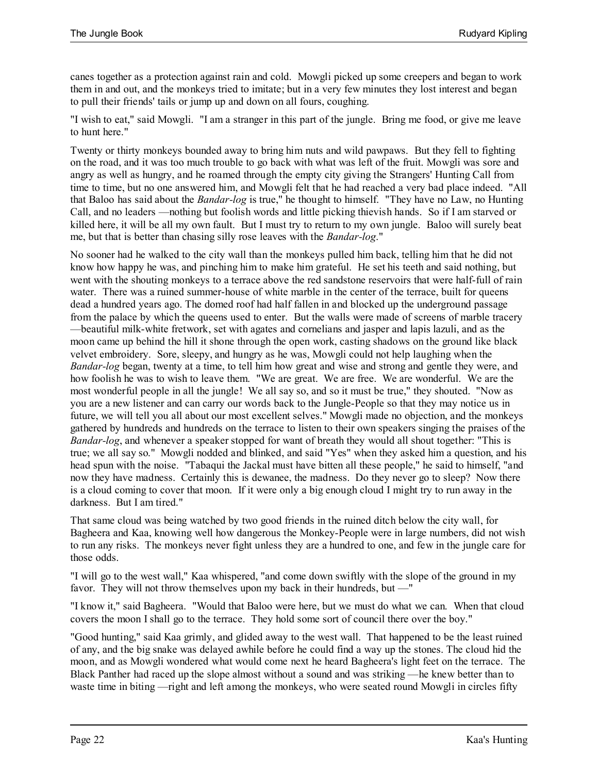canes together as a protection against rain and cold. Mowgli picked up some creepers and began to work them in and out, and the monkeys tried to imitate; but in a very few minutes they lost interest and began to pull their friends' tails or jump up and down on all fours, coughing.

"I wish to eat," said Mowgli. "I am a stranger in this part of the jungle. Bring me food, or give me leave to hunt here."

Twenty or thirty monkeys bounded away to bring him nuts and wild pawpaws. But they fell to fighting on the road, and it was too much trouble to go back with what was left of the fruit. Mowgli was sore and angry as well as hungry, and he roamed through the empty city giving the Strangers' Hunting Call from time to time, but no one answered him, and Mowgli felt that he had reached a very bad place indeed. "All that Baloo has said about the *Bandar-log* is true," he thought to himself. "They have no Law, no Hunting Call, and no leaders —nothing but foolish words and little picking thievish hands. So if I am starved or killed here, it will be all my own fault. But I must try to return to my own jungle. Baloo will surely beat me, but that is better than chasing silly rose leaves with the *Bandar-log*."

No sooner had he walked to the city wall than the monkeys pulled him back, telling him that he did not know how happy he was, and pinching him to make him grateful. He set his teeth and said nothing, but went with the shouting monkeys to a terrace above the red sandstone reservoirs that were half-full of rain water. There was a ruined summer-house of white marble in the center of the terrace, built for queens dead a hundred years ago. The domed roof had half fallen in and blocked up the underground passage from the palace by which the queens used to enter. But the walls were made of screens of marble tracery —beautiful milk-white fretwork, set with agates and cornelians and jasper and lapis lazuli, and as the moon came up behind the hill it shone through the open work, casting shadows on the ground like black velvet embroidery. Sore, sleepy, and hungry as he was, Mowgli could not help laughing when the *Bandar-log* began, twenty at a time, to tell him how great and wise and strong and gentle they were, and how foolish he was to wish to leave them. "We are great. We are free. We are wonderful. We are the most wonderful people in all the jungle! We all say so, and so it must be true," they shouted. "Now as you are a new listener and can carry our words back to the Jungle-People so that they may notice us in future, we will tell you all about our most excellent selves." Mowgli made no objection, and the monkeys gathered by hundreds and hundreds on the terrace to listen to their own speakers singing the praises of the *Bandar-log*, and whenever a speaker stopped for want of breath they would all shout together: "This is true; we all say so." Mowgli nodded and blinked, and said "Yes" when they asked him a question, and his head spun with the noise. "Tabaqui the Jackal must have bitten all these people," he said to himself, "and now they have madness. Certainly this is dewanee, the madness. Do they never go to sleep? Now there is a cloud coming to cover that moon. If it were only a big enough cloud I might try to run away in the darkness. But I am tired."

That same cloud was being watched by two good friends in the ruined ditch below the city wall, for Bagheera and Kaa, knowing well how dangerous the Monkey-People were in large numbers, did not wish to run any risks. The monkeys never fight unless they are a hundred to one, and few in the jungle care for those odds.

"I will go to the west wall," Kaa whispered, "and come down swiftly with the slope of the ground in my favor. They will not throw themselves upon my back in their hundreds, but —"

"I know it," said Bagheera. "Would that Baloo were here, but we must do what we can. When that cloud covers the moon I shall go to the terrace. They hold some sort of council there over the boy."

"Good hunting," said Kaa grimly, and glided away to the west wall. That happened to be the least ruined of any, and the big snake was delayed awhile before he could find a way up the stones. The cloud hid the moon, and as Mowgli wondered what would come next he heard Bagheera's light feet on the terrace. The Black Panther had raced up the slope almost without a sound and was striking —he knew better than to waste time in biting —right and left among the monkeys, who were seated round Mowgli in circles fifty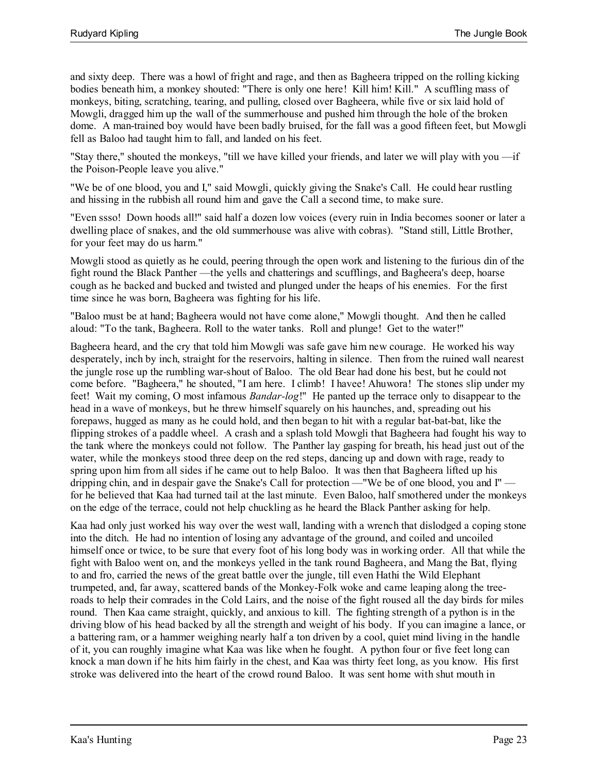and sixty deep. There was a howl of fright and rage, and then as Bagheera tripped on the rolling kicking bodies beneath him, a monkey shouted: "There is only one here! Kill him! Kill." A scuffling mass of monkeys, biting, scratching, tearing, and pulling, closed over Bagheera, while five or six laid hold of Mowgli, dragged him up the wall of the summerhouse and pushed him through the hole of the broken dome. A man-trained boy would have been badly bruised, for the fall was a good fifteen feet, but Mowgli fell as Baloo had taught him to fall, and landed on his feet.

"Stay there," shouted the monkeys, "till we have killed your friends, and later we will play with you —if the Poison-People leave you alive."

"We be of one blood, you and I," said Mowgli, quickly giving the Snake's Call. He could hear rustling and hissing in the rubbish all round him and gave the Call a second time, to make sure.

"Even ssso! Down hoods all!" said half a dozen low voices (every ruin in India becomes sooner or later a dwelling place of snakes, and the old summerhouse was alive with cobras). "Stand still, Little Brother, for your feet may do us harm."

Mowgli stood as quietly as he could, peering through the open work and listening to the furious din of the fight round the Black Panther —the yells and chatterings and scufflings, and Bagheera's deep, hoarse cough as he backed and bucked and twisted and plunged under the heaps of his enemies. For the first time since he was born, Bagheera was fighting for his life.

"Baloo must be at hand; Bagheera would not have come alone," Mowgli thought. And then he called aloud: "To the tank, Bagheera. Roll to the water tanks. Roll and plunge! Get to the water!"

Bagheera heard, and the cry that told him Mowgli was safe gave him new courage. He worked his way desperately, inch by inch, straight for the reservoirs, halting in silence. Then from the ruined wall nearest the jungle rose up the rumbling war-shout of Baloo. The old Bear had done his best, but he could not come before. "Bagheera," he shouted, "I am here. I climb! I havee! Ahuwora! The stones slip under my feet! Wait my coming, O most infamous *Bandar-log*!" He panted up the terrace only to disappear to the head in a wave of monkeys, but he threw himself squarely on his haunches, and, spreading out his forepaws, hugged as many as he could hold, and then began to hit with a regular bat-bat-bat, like the flipping strokes of a paddle wheel. A crash and a splash told Mowgli that Bagheera had fought his way to the tank where the monkeys could not follow. The Panther lay gasping for breath, his head just out of the water, while the monkeys stood three deep on the red steps, dancing up and down with rage, ready to spring upon him from all sides if he came out to help Baloo. It was then that Bagheera lifted up his dripping chin, and in despair gave the Snake's Call for protection —"We be of one blood, you and I" for he believed that Kaa had turned tail at the last minute. Even Baloo, half smothered under the monkeys on the edge of the terrace, could not help chuckling as he heard the Black Panther asking for help.

Kaa had only just worked his way over the west wall, landing with a wrench that dislodged a coping stone into the ditch. He had no intention of losing any advantage of the ground, and coiled and uncoiled himself once or twice, to be sure that every foot of his long body was in working order. All that while the fight with Baloo went on, and the monkeys yelled in the tank round Bagheera, and Mang the Bat, flying to and fro, carried the news of the great battle over the jungle, till even Hathi the Wild Elephant trumpeted, and, far away, scattered bands of the Monkey-Folk woke and came leaping along the treeroads to help their comrades in the Cold Lairs, and the noise of the fight roused all the day birds for miles round. Then Kaa came straight, quickly, and anxious to kill. The fighting strength of a python is in the driving blow of his head backed by all the strength and weight of his body. If you can imagine a lance, or a battering ram, or a hammer weighing nearly half a ton driven by a cool, quiet mind living in the handle of it, you can roughly imagine what Kaa was like when he fought. A python four or five feet long can knock a man down if he hits him fairly in the chest, and Kaa was thirty feet long, as you know. His first stroke was delivered into the heart of the crowd round Baloo. It was sent home with shut mouth in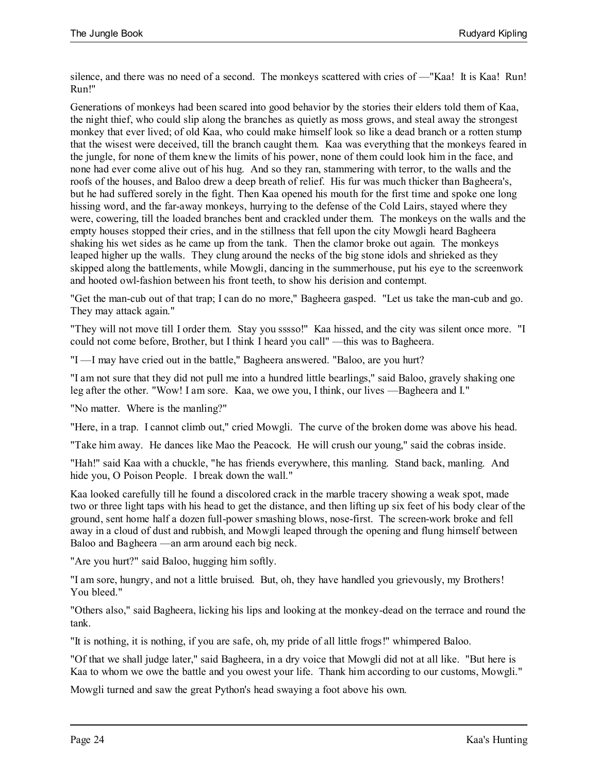silence, and there was no need of a second. The monkeys scattered with cries of —"Kaa! It is Kaa! Run! Run!"

Generations of monkeys had been scared into good behavior by the stories their elders told them of Kaa, the night thief, who could slip along the branches as quietly as moss grows, and steal away the strongest monkey that ever lived; of old Kaa, who could make himself look so like a dead branch or a rotten stump that the wisest were deceived, till the branch caught them. Kaa was everything that the monkeys feared in the jungle, for none of them knew the limits of his power, none of them could look him in the face, and none had ever come alive out of his hug. And so they ran, stammering with terror, to the walls and the roofs of the houses, and Baloo drew a deep breath of relief. His fur was much thicker than Bagheera's, but he had suffered sorely in the fight. Then Kaa opened his mouth for the first time and spoke one long hissing word, and the far-away monkeys, hurrying to the defense of the Cold Lairs, stayed where they were, cowering, till the loaded branches bent and crackled under them. The monkeys on the walls and the empty houses stopped their cries, and in the stillness that fell upon the city Mowgli heard Bagheera shaking his wet sides as he came up from the tank. Then the clamor broke out again. The monkeys leaped higher up the walls. They clung around the necks of the big stone idols and shrieked as they skipped along the battlements, while Mowgli, dancing in the summerhouse, put his eye to the screenwork and hooted owl-fashion between his front teeth, to show his derision and contempt.

"Get the man-cub out of that trap; I can do no more," Bagheera gasped. "Let us take the man-cub and go. They may attack again."

"They will not move till I order them. Stay you sssso!" Kaa hissed, and the city was silent once more. "I could not come before, Brother, but I think I heard you call" —this was to Bagheera.

"I —I may have cried out in the battle," Bagheera answered. "Baloo, are you hurt?

"I am not sure that they did not pull me into a hundred little bearlings," said Baloo, gravely shaking one leg after the other. "Wow! I am sore. Kaa, we owe you, I think, our lives —Bagheera and I."

"No matter. Where is the manling?"

"Here, in a trap. I cannot climb out," cried Mowgli. The curve of the broken dome was above his head.

"Take him away. He dances like Mao the Peacock. He will crush our young," said the cobras inside.

"Hah!" said Kaa with a chuckle, "he has friends everywhere, this manling. Stand back, manling. And hide you, O Poison People. I break down the wall."

Kaa looked carefully till he found a discolored crack in the marble tracery showing a weak spot, made two or three light taps with his head to get the distance, and then lifting up six feet of his body clear of the ground, sent home half a dozen full-power smashing blows, nose-first. The screen-work broke and fell away in a cloud of dust and rubbish, and Mowgli leaped through the opening and flung himself between Baloo and Bagheera —an arm around each big neck.

"Are you hurt?" said Baloo, hugging him softly.

"I am sore, hungry, and not a little bruised. But, oh, they have handled you grievously, my Brothers! You bleed."

"Others also," said Bagheera, licking his lips and looking at the monkey-dead on the terrace and round the tank.

"It is nothing, it is nothing, if you are safe, oh, my pride of all little frogs!" whimpered Baloo.

"Of that we shall judge later," said Bagheera, in a dry voice that Mowgli did not at all like. "But here is Kaa to whom we owe the battle and you owest your life. Thank him according to our customs, Mowgli."

Mowgli turned and saw the great Python's head swaying a foot above his own.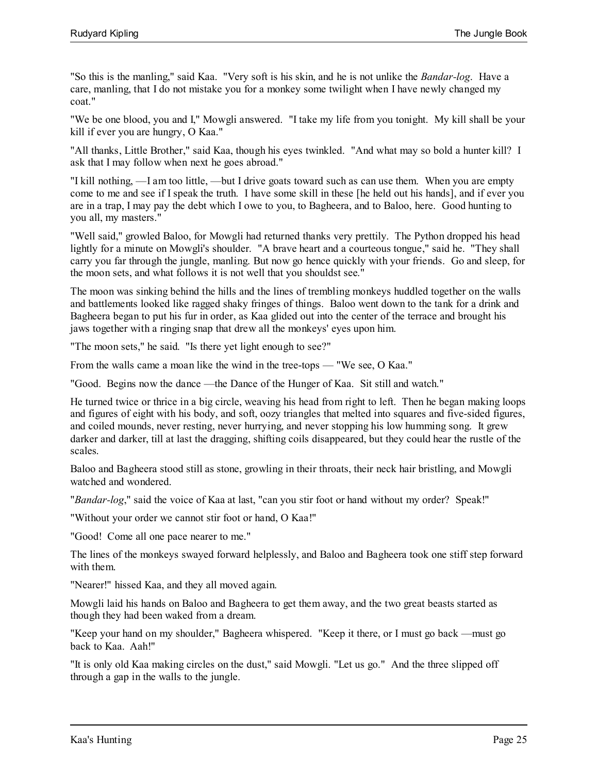"So this is the manling," said Kaa. "Very soft is his skin, and he is not unlike the *Bandar-log*. Have a care, manling, that I do not mistake you for a monkey some twilight when I have newly changed my coat."

"We be one blood, you and I," Mowgli answered. "I take my life from you tonight. My kill shall be your kill if ever you are hungry, O Kaa."

"All thanks, Little Brother," said Kaa, though his eyes twinkled. "And what may so bold a hunter kill? I ask that I may follow when next he goes abroad."

"I kill nothing, —I am too little, —but I drive goats toward such as can use them. When you are empty come to me and see if I speak the truth. I have some skill in these [he held out his hands], and if ever you are in a trap, I may pay the debt which I owe to you, to Bagheera, and to Baloo, here. Good hunting to you all, my masters."

"Well said," growled Baloo, for Mowgli had returned thanks very prettily. The Python dropped his head lightly for a minute on Mowgli's shoulder. "A brave heart and a courteous tongue," said he. "They shall carry you far through the jungle, manling. But now go hence quickly with your friends. Go and sleep, for the moon sets, and what follows it is not well that you shouldst see."

The moon was sinking behind the hills and the lines of trembling monkeys huddled together on the walls and battlements looked like ragged shaky fringes of things. Baloo went down to the tank for a drink and Bagheera began to put his fur in order, as Kaa glided out into the center of the terrace and brought his jaws together with a ringing snap that drew all the monkeys' eyes upon him.

"The moon sets," he said. "Is there yet light enough to see?"

From the walls came a moan like the wind in the tree-tops — "We see, O Kaa."

"Good. Begins now the dance —the Dance of the Hunger of Kaa. Sit still and watch."

He turned twice or thrice in a big circle, weaving his head from right to left. Then he began making loops and figures of eight with his body, and soft, oozy triangles that melted into squares and five-sided figures, and coiled mounds, never resting, never hurrying, and never stopping his low humming song. It grew darker and darker, till at last the dragging, shifting coils disappeared, but they could hear the rustle of the scales.

Baloo and Bagheera stood still as stone, growling in their throats, their neck hair bristling, and Mowgli watched and wondered.

"*Bandar-log*," said the voice of Kaa at last, "can you stir foot or hand without my order? Speak!"

"Without your order we cannot stir foot or hand, O Kaa!"

"Good! Come all one pace nearer to me."

The lines of the monkeys swayed forward helplessly, and Baloo and Bagheera took one stiff step forward with them.

"Nearer!" hissed Kaa, and they all moved again.

Mowgli laid his hands on Baloo and Bagheera to get them away, and the two great beasts started as though they had been waked from a dream.

"Keep your hand on my shoulder," Bagheera whispered. "Keep it there, or I must go back —must go back to Kaa. Aah!"

"It is only old Kaa making circles on the dust," said Mowgli. "Let us go." And the three slipped off through a gap in the walls to the jungle.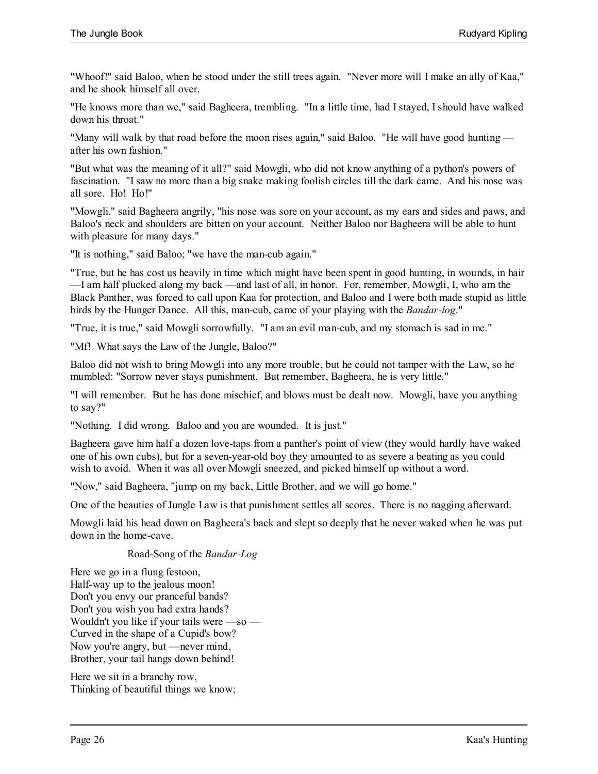"Whoof!" said Baloo, when he stood under the still trees again. "Never more will I make an ally of Kaa," and he shook himself all over.

"He knows more than we," said Bagheera, trembling. "In a little time, had I stayed, I should have walked down his throat."

"Many will walk by that road before the moon rises again," said Baloo. "He will have good hunting after his own fashion."

"But what was the meaning of it all?" said Mowgli, who did not know anything of a python's powers of fascination. "I saw no more than a big snake making foolish circles till the dark came. And his nose was all sore. Ho! Ho!"

"Mowgli," said Bagheera angrily, "his nose was sore on your account, as my ears and sides and paws, and Baloo's neck and shoulders are bitten on your account. Neither Baloo nor Bagheera will be able to hunt with pleasure for many days."

"It is nothing," said Baloo; "we have the man-cub again."

"True, but he has cost us heavily in time which might have been spent in good hunting, in wounds, in hair —I am half plucked along my back —and last of all, in honor. For, remember, Mowgli, I, who am the Black Panther, was forced to call upon Kaa for protection, and Baloo and I were both made stupid as little birds by the Hunger Dance. All this, man-cub, came of your playing with the *Bandar-log*."

"True, it is true," said Mowgli sorrowfully. "I am an evil man-cub, and my stomach is sad in me."

"Mf! What says the Law of the Jungle, Baloo?"

Baloo did not wish to bring Mowgli into any more trouble, but he could not tamper with the Law, so he mumbled: "Sorrow never stays punishment. But remember, Bagheera, he is very little."

"I will remember. But he has done mischief, and blows must be dealt now. Mowgli, have you anything to say?"

"Nothing. I did wrong. Baloo and you are wounded. It is just."

Bagheera gave him half a dozen love-taps from a panther's point of view (they would hardly have waked one of his own cubs), but for a seven-year-old boy they amounted to as severe a beating as you could wish to avoid. When it was all over Mowgli sneezed, and picked himself up without a word.

"Now," said Bagheera, "jump on my back, Little Brother, and we will go home."

One of the beauties of Jungle Law is that punishment settles all scores. There is no nagging afterward.

Mowgli laid his head down on Bagheera's back and slept so deeply that he never waked when he was put down in the home-cave.

#### Road-Song of the *Bandar-Log*

Here we go in a flung festoon, Half-way up to the jealous moon! Don't you envy our pranceful bands? Don't you wish you had extra hands? Wouldn't you like if your tails were —so — Curved in the shape of a Cupid's bow? Now you're angry, but —never mind, Brother, your tail hangs down behind!

Here we sit in a branchy row, Thinking of beautiful things we know;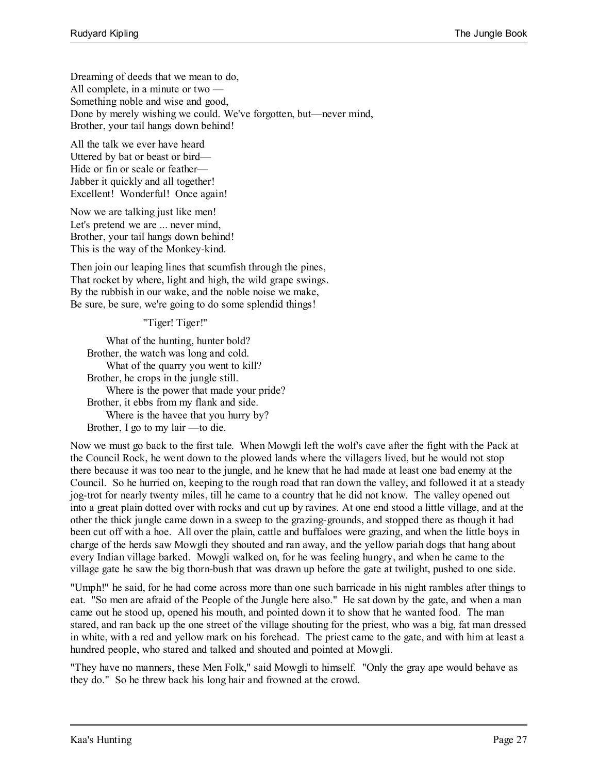Dreaming of deeds that we mean to do, All complete, in a minute or two — Something noble and wise and good, Done by merely wishing we could. We've forgotten, but—never mind, Brother, your tail hangs down behind!

All the talk we ever have heard Uttered by bat or beast or bird— Hide or fin or scale or feather— Jabber it quickly and all together! Excellent! Wonderful! Once again!

Now we are talking just like men! Let's pretend we are ... never mind, Brother, your tail hangs down behind! This is the way of the Monkey-kind.

Then join our leaping lines that scumfish through the pines, That rocket by where, light and high, the wild grape swings. By the rubbish in our wake, and the noble noise we make, Be sure, be sure, we're going to do some splendid things!

#### "Tiger! Tiger!"

 What of the hunting, hunter bold? Brother, the watch was long and cold. What of the quarry you went to kill? Brother, he crops in the jungle still. Where is the power that made your pride? Brother, it ebbs from my flank and side. Where is the havee that you hurry by? Brother, I go to my lair —to die.

Now we must go back to the first tale. When Mowgli left the wolf's cave after the fight with the Pack at the Council Rock, he went down to the plowed lands where the villagers lived, but he would not stop there because it was too near to the jungle, and he knew that he had made at least one bad enemy at the Council. So he hurried on, keeping to the rough road that ran down the valley, and followed it at a steady jog-trot for nearly twenty miles, till he came to a country that he did not know. The valley opened out into a great plain dotted over with rocks and cut up by ravines. At one end stood a little village, and at the other the thick jungle came down in a sweep to the grazing-grounds, and stopped there as though it had been cut off with a hoe. All over the plain, cattle and buffaloes were grazing, and when the little boys in charge of the herds saw Mowgli they shouted and ran away, and the yellow pariah dogs that hang about every Indian village barked. Mowgli walked on, for he was feeling hungry, and when he came to the village gate he saw the big thorn-bush that was drawn up before the gate at twilight, pushed to one side.

"Umph!" he said, for he had come across more than one such barricade in his night rambles after things to eat. "So men are afraid of the People of the Jungle here also." He sat down by the gate, and when a man came out he stood up, opened his mouth, and pointed down it to show that he wanted food. The man stared, and ran back up the one street of the village shouting for the priest, who was a big, fat man dressed in white, with a red and yellow mark on his forehead. The priest came to the gate, and with him at least a hundred people, who stared and talked and shouted and pointed at Mowgli.

"They have no manners, these Men Folk," said Mowgli to himself. "Only the gray ape would behave as they do." So he threw back his long hair and frowned at the crowd.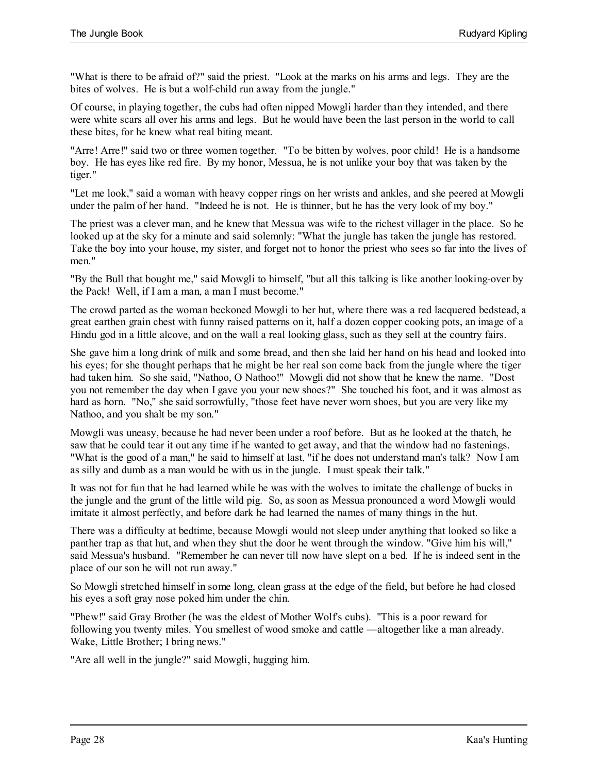"What is there to be afraid of?" said the priest. "Look at the marks on his arms and legs. They are the bites of wolves. He is but a wolf-child run away from the jungle."

Of course, in playing together, the cubs had often nipped Mowgli harder than they intended, and there were white scars all over his arms and legs. But he would have been the last person in the world to call these bites, for he knew what real biting meant.

"Arre! Arre!" said two or three women together. "To be bitten by wolves, poor child! He is a handsome boy. He has eyes like red fire. By my honor, Messua, he is not unlike your boy that was taken by the tiger."

"Let me look," said a woman with heavy copper rings on her wrists and ankles, and she peered at Mowgli under the palm of her hand. "Indeed he is not. He is thinner, but he has the very look of my boy."

The priest was a clever man, and he knew that Messua was wife to the richest villager in the place. So he looked up at the sky for a minute and said solemnly: "What the jungle has taken the jungle has restored. Take the boy into your house, my sister, and forget not to honor the priest who sees so far into the lives of men."

"By the Bull that bought me," said Mowgli to himself, "but all this talking is like another looking-over by the Pack! Well, if I am a man, a man I must become."

The crowd parted as the woman beckoned Mowgli to her hut, where there was a red lacquered bedstead, a great earthen grain chest with funny raised patterns on it, half a dozen copper cooking pots, an image of a Hindu god in a little alcove, and on the wall a real looking glass, such as they sell at the country fairs.

She gave him a long drink of milk and some bread, and then she laid her hand on his head and looked into his eyes; for she thought perhaps that he might be her real son come back from the jungle where the tiger had taken him. So she said, "Nathoo, O Nathoo!" Mowgli did not show that he knew the name. "Dost you not remember the day when I gave you your new shoes?" She touched his foot, and it was almost as hard as horn. "No," she said sorrowfully, "those feet have never worn shoes, but you are very like my Nathoo, and you shalt be my son."

Mowgli was uneasy, because he had never been under a roof before. But as he looked at the thatch, he saw that he could tear it out any time if he wanted to get away, and that the window had no fastenings. "What is the good of a man," he said to himself at last, "if he does not understand man's talk? Now I am as silly and dumb as a man would be with us in the jungle. I must speak their talk."

It was not for fun that he had learned while he was with the wolves to imitate the challenge of bucks in the jungle and the grunt of the little wild pig. So, as soon as Messua pronounced a word Mowgli would imitate it almost perfectly, and before dark he had learned the names of many things in the hut.

There was a difficulty at bedtime, because Mowgli would not sleep under anything that looked so like a panther trap as that hut, and when they shut the door he went through the window. "Give him his will," said Messua's husband. "Remember he can never till now have slept on a bed. If he is indeed sent in the place of our son he will not run away."

So Mowgli stretched himself in some long, clean grass at the edge of the field, but before he had closed his eyes a soft gray nose poked him under the chin.

"Phew!" said Gray Brother (he was the eldest of Mother Wolf's cubs). "This is a poor reward for following you twenty miles. You smellest of wood smoke and cattle —altogether like a man already. Wake, Little Brother; I bring news."

"Are all well in the jungle?" said Mowgli, hugging him.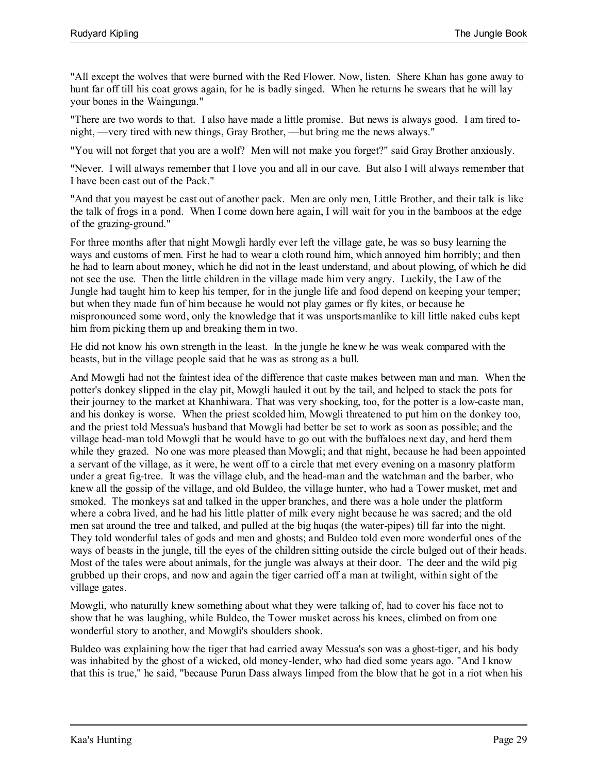"All except the wolves that were burned with the Red Flower. Now, listen. Shere Khan has gone away to hunt far off till his coat grows again, for he is badly singed. When he returns he swears that he will lay your bones in the Waingunga."

"There are two words to that. I also have made a little promise. But news is always good. I am tired tonight, —very tired with new things, Gray Brother, —but bring me the news always."

"You will not forget that you are a wolf? Men will not make you forget?" said Gray Brother anxiously.

"Never. I will always remember that I love you and all in our cave. But also I will always remember that I have been cast out of the Pack."

"And that you mayest be cast out of another pack. Men are only men, Little Brother, and their talk is like the talk of frogs in a pond. When I come down here again, I will wait for you in the bamboos at the edge of the grazing-ground."

For three months after that night Mowgli hardly ever left the village gate, he was so busy learning the ways and customs of men. First he had to wear a cloth round him, which annoyed him horribly; and then he had to learn about money, which he did not in the least understand, and about plowing, of which he did not see the use. Then the little children in the village made him very angry. Luckily, the Law of the Jungle had taught him to keep his temper, for in the jungle life and food depend on keeping your temper; but when they made fun of him because he would not play games or fly kites, or because he mispronounced some word, only the knowledge that it was unsportsmanlike to kill little naked cubs kept him from picking them up and breaking them in two.

He did not know his own strength in the least. In the jungle he knew he was weak compared with the beasts, but in the village people said that he was as strong as a bull.

And Mowgli had not the faintest idea of the difference that caste makes between man and man. When the potter's donkey slipped in the clay pit, Mowgli hauled it out by the tail, and helped to stack the pots for their journey to the market at Khanhiwara. That was very shocking, too, for the potter is a low-caste man, and his donkey is worse. When the priest scolded him, Mowgli threatened to put him on the donkey too, and the priest told Messua's husband that Mowgli had better be set to work as soon as possible; and the village head-man told Mowgli that he would have to go out with the buffaloes next day, and herd them while they grazed. No one was more pleased than Mowgli; and that night, because he had been appointed a servant of the village, as it were, he went off to a circle that met every evening on a masonry platform under a great fig-tree. It was the village club, and the head-man and the watchman and the barber, who knew all the gossip of the village, and old Buldeo, the village hunter, who had a Tower musket, met and smoked. The monkeys sat and talked in the upper branches, and there was a hole under the platform where a cobra lived, and he had his little platter of milk every night because he was sacred; and the old men sat around the tree and talked, and pulled at the big huqas (the water-pipes) till far into the night. They told wonderful tales of gods and men and ghosts; and Buldeo told even more wonderful ones of the ways of beasts in the jungle, till the eyes of the children sitting outside the circle bulged out of their heads. Most of the tales were about animals, for the jungle was always at their door. The deer and the wild pig grubbed up their crops, and now and again the tiger carried off a man at twilight, within sight of the village gates.

Mowgli, who naturally knew something about what they were talking of, had to cover his face not to show that he was laughing, while Buldeo, the Tower musket across his knees, climbed on from one wonderful story to another, and Mowgli's shoulders shook.

Buldeo was explaining how the tiger that had carried away Messua's son was a ghost-tiger, and his body was inhabited by the ghost of a wicked, old money-lender, who had died some years ago. "And I know that this is true," he said, "because Purun Dass always limped from the blow that he got in a riot when his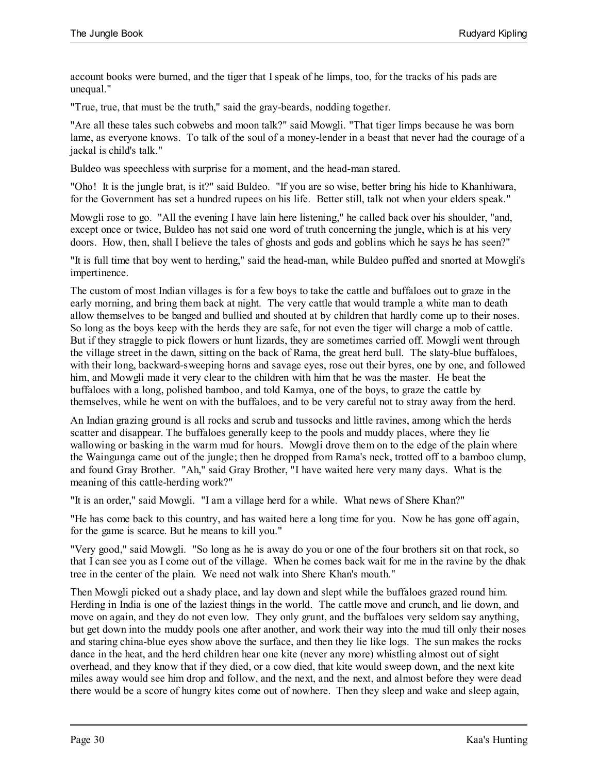account books were burned, and the tiger that I speak of he limps, too, for the tracks of his pads are unequal."

"True, true, that must be the truth," said the gray-beards, nodding together.

"Are all these tales such cobwebs and moon talk?" said Mowgli. "That tiger limps because he was born lame, as everyone knows. To talk of the soul of a money-lender in a beast that never had the courage of a jackal is child's talk."

Buldeo was speechless with surprise for a moment, and the head-man stared.

"Oho! It is the jungle brat, is it?" said Buldeo. "If you are so wise, better bring his hide to Khanhiwara, for the Government has set a hundred rupees on his life. Better still, talk not when your elders speak."

Mowgli rose to go. "All the evening I have lain here listening," he called back over his shoulder, "and, except once or twice, Buldeo has not said one word of truth concerning the jungle, which is at his very doors. How, then, shall I believe the tales of ghosts and gods and goblins which he says he has seen?"

"It is full time that boy went to herding," said the head-man, while Buldeo puffed and snorted at Mowgli's impertinence.

The custom of most Indian villages is for a few boys to take the cattle and buffaloes out to graze in the early morning, and bring them back at night. The very cattle that would trample a white man to death allow themselves to be banged and bullied and shouted at by children that hardly come up to their noses. So long as the boys keep with the herds they are safe, for not even the tiger will charge a mob of cattle. But if they straggle to pick flowers or hunt lizards, they are sometimes carried off. Mowgli went through the village street in the dawn, sitting on the back of Rama, the great herd bull. The slaty-blue buffaloes, with their long, backward-sweeping horns and savage eyes, rose out their byres, one by one, and followed him, and Mowgli made it very clear to the children with him that he was the master. He beat the buffaloes with a long, polished bamboo, and told Kamya, one of the boys, to graze the cattle by themselves, while he went on with the buffaloes, and to be very careful not to stray away from the herd.

An Indian grazing ground is all rocks and scrub and tussocks and little ravines, among which the herds scatter and disappear. The buffaloes generally keep to the pools and muddy places, where they lie wallowing or basking in the warm mud for hours. Mowgli drove them on to the edge of the plain where the Waingunga came out of the jungle; then he dropped from Rama's neck, trotted off to a bamboo clump, and found Gray Brother. "Ah," said Gray Brother, "I have waited here very many days. What is the meaning of this cattle-herding work?"

"It is an order," said Mowgli. "I am a village herd for a while. What news of Shere Khan?"

"He has come back to this country, and has waited here a long time for you. Now he has gone off again, for the game is scarce. But he means to kill you."

"Very good," said Mowgli. "So long as he is away do you or one of the four brothers sit on that rock, so that I can see you as I come out of the village. When he comes back wait for me in the ravine by the dhak tree in the center of the plain. We need not walk into Shere Khan's mouth."

Then Mowgli picked out a shady place, and lay down and slept while the buffaloes grazed round him. Herding in India is one of the laziest things in the world. The cattle move and crunch, and lie down, and move on again, and they do not even low. They only grunt, and the buffaloes very seldom say anything, but get down into the muddy pools one after another, and work their way into the mud till only their noses and staring china-blue eyes show above the surface, and then they lie like logs. The sun makes the rocks dance in the heat, and the herd children hear one kite (never any more) whistling almost out of sight overhead, and they know that if they died, or a cow died, that kite would sweep down, and the next kite miles away would see him drop and follow, and the next, and the next, and almost before they were dead there would be a score of hungry kites come out of nowhere. Then they sleep and wake and sleep again,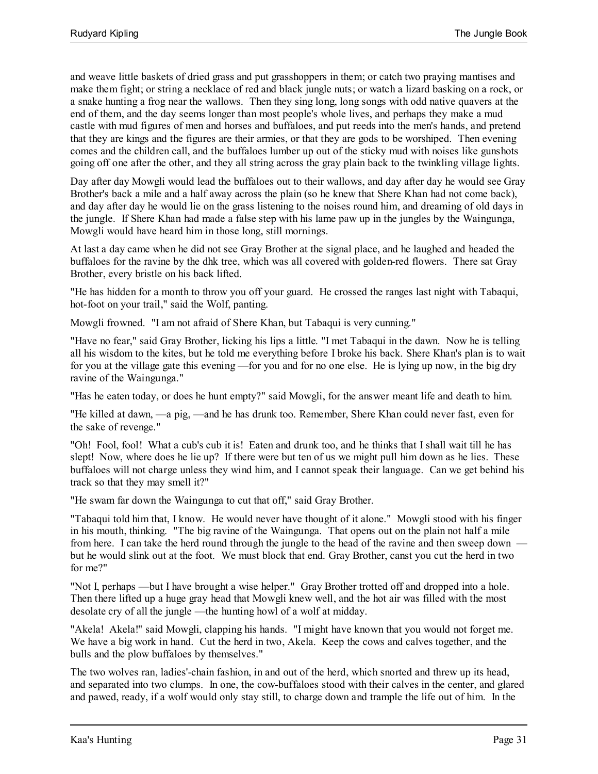and weave little baskets of dried grass and put grasshoppers in them; or catch two praying mantises and make them fight; or string a necklace of red and black jungle nuts; or watch a lizard basking on a rock, or a snake hunting a frog near the wallows. Then they sing long, long songs with odd native quavers at the end of them, and the day seems longer than most people's whole lives, and perhaps they make a mud castle with mud figures of men and horses and buffaloes, and put reeds into the men's hands, and pretend that they are kings and the figures are their armies, or that they are gods to be worshiped. Then evening comes and the children call, and the buffaloes lumber up out of the sticky mud with noises like gunshots going off one after the other, and they all string across the gray plain back to the twinkling village lights.

Day after day Mowgli would lead the buffaloes out to their wallows, and day after day he would see Gray Brother's back a mile and a half away across the plain (so he knew that Shere Khan had not come back), and day after day he would lie on the grass listening to the noises round him, and dreaming of old days in the jungle. If Shere Khan had made a false step with his lame paw up in the jungles by the Waingunga, Mowgli would have heard him in those long, still mornings.

At last a day came when he did not see Gray Brother at the signal place, and he laughed and headed the buffaloes for the ravine by the dhk tree, which was all covered with golden-red flowers. There sat Gray Brother, every bristle on his back lifted.

"He has hidden for a month to throw you off your guard. He crossed the ranges last night with Tabaqui, hot-foot on your trail," said the Wolf, panting.

Mowgli frowned. "I am not afraid of Shere Khan, but Tabaqui is very cunning."

"Have no fear," said Gray Brother, licking his lips a little. "I met Tabaqui in the dawn. Now he is telling all his wisdom to the kites, but he told me everything before I broke his back. Shere Khan's plan is to wait for you at the village gate this evening —for you and for no one else. He is lying up now, in the big dry ravine of the Waingunga."

"Has he eaten today, or does he hunt empty?" said Mowgli, for the answer meant life and death to him.

"He killed at dawn, —a pig, —and he has drunk too. Remember, Shere Khan could never fast, even for the sake of revenge."

"Oh! Fool, fool! What a cub's cub it is! Eaten and drunk too, and he thinks that I shall wait till he has slept! Now, where does he lie up? If there were but ten of us we might pull him down as he lies. These buffaloes will not charge unless they wind him, and I cannot speak their language. Can we get behind his track so that they may smell it?"

"He swam far down the Waingunga to cut that off," said Gray Brother.

"Tabaqui told him that, I know. He would never have thought of it alone." Mowgli stood with his finger in his mouth, thinking. "The big ravine of the Waingunga. That opens out on the plain not half a mile from here. I can take the herd round through the jungle to the head of the ravine and then sweep down but he would slink out at the foot. We must block that end. Gray Brother, canst you cut the herd in two for me?"

"Not I, perhaps —but I have brought a wise helper." Gray Brother trotted off and dropped into a hole. Then there lifted up a huge gray head that Mowgli knew well, and the hot air was filled with the most desolate cry of all the jungle —the hunting howl of a wolf at midday.

"Akela! Akela!" said Mowgli, clapping his hands. "I might have known that you would not forget me. We have a big work in hand. Cut the herd in two, Akela. Keep the cows and calves together, and the bulls and the plow buffaloes by themselves."

The two wolves ran, ladies'-chain fashion, in and out of the herd, which snorted and threw up its head, and separated into two clumps. In one, the cow-buffaloes stood with their calves in the center, and glared and pawed, ready, if a wolf would only stay still, to charge down and trample the life out of him. In the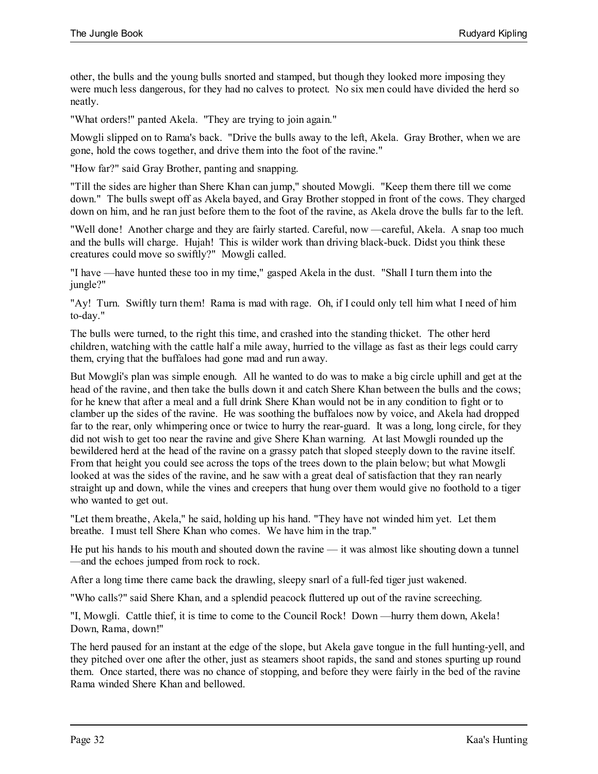other, the bulls and the young bulls snorted and stamped, but though they looked more imposing they were much less dangerous, for they had no calves to protect. No six men could have divided the herd so neatly.

"What orders!" panted Akela. "They are trying to join again."

Mowgli slipped on to Rama's back. "Drive the bulls away to the left, Akela. Gray Brother, when we are gone, hold the cows together, and drive them into the foot of the ravine."

"How far?" said Gray Brother, panting and snapping.

"Till the sides are higher than Shere Khan can jump," shouted Mowgli. "Keep them there till we come down." The bulls swept off as Akela bayed, and Gray Brother stopped in front of the cows. They charged down on him, and he ran just before them to the foot of the ravine, as Akela drove the bulls far to the left.

"Well done! Another charge and they are fairly started. Careful, now —careful, Akela. A snap too much and the bulls will charge. Hujah! This is wilder work than driving black-buck. Didst you think these creatures could move so swiftly?" Mowgli called.

"I have —have hunted these too in my time," gasped Akela in the dust. "Shall I turn them into the jungle?"

"Ay! Turn. Swiftly turn them! Rama is mad with rage. Oh, if I could only tell him what I need of him to-day."

The bulls were turned, to the right this time, and crashed into the standing thicket. The other herd children, watching with the cattle half a mile away, hurried to the village as fast as their legs could carry them, crying that the buffaloes had gone mad and run away.

But Mowgli's plan was simple enough. All he wanted to do was to make a big circle uphill and get at the head of the ravine, and then take the bulls down it and catch Shere Khan between the bulls and the cows; for he knew that after a meal and a full drink Shere Khan would not be in any condition to fight or to clamber up the sides of the ravine. He was soothing the buffaloes now by voice, and Akela had dropped far to the rear, only whimpering once or twice to hurry the rear-guard. It was a long, long circle, for they did not wish to get too near the ravine and give Shere Khan warning. At last Mowgli rounded up the bewildered herd at the head of the ravine on a grassy patch that sloped steeply down to the ravine itself. From that height you could see across the tops of the trees down to the plain below; but what Mowgli looked at was the sides of the ravine, and he saw with a great deal of satisfaction that they ran nearly straight up and down, while the vines and creepers that hung over them would give no foothold to a tiger who wanted to get out.

"Let them breathe, Akela," he said, holding up his hand. "They have not winded him yet. Let them breathe. I must tell Shere Khan who comes. We have him in the trap."

He put his hands to his mouth and shouted down the ravine — it was almost like shouting down a tunnel —and the echoes jumped from rock to rock.

After a long time there came back the drawling, sleepy snarl of a full-fed tiger just wakened.

"Who calls?" said Shere Khan, and a splendid peacock fluttered up out of the ravine screeching.

"I, Mowgli. Cattle thief, it is time to come to the Council Rock! Down —hurry them down, Akela! Down, Rama, down!"

The herd paused for an instant at the edge of the slope, but Akela gave tongue in the full hunting-yell, and they pitched over one after the other, just as steamers shoot rapids, the sand and stones spurting up round them. Once started, there was no chance of stopping, and before they were fairly in the bed of the ravine Rama winded Shere Khan and bellowed.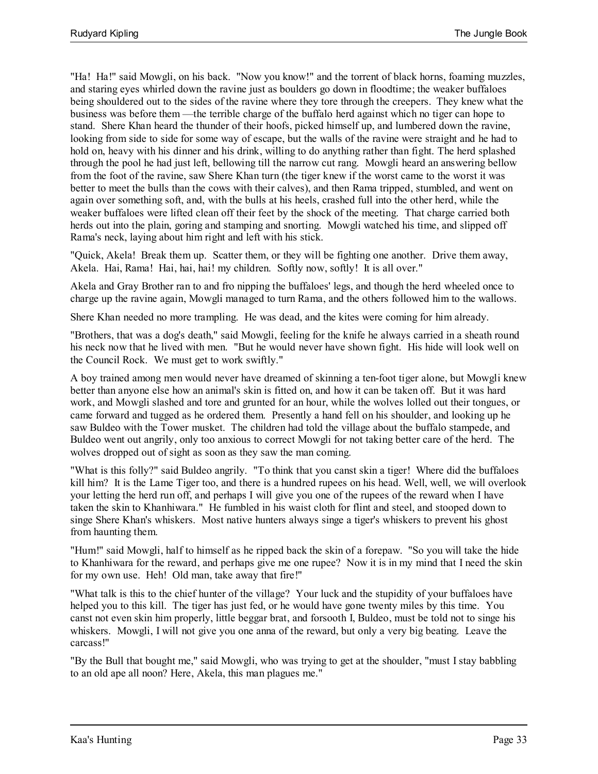"Ha! Ha!" said Mowgli, on his back. "Now you know!" and the torrent of black horns, foaming muzzles, and staring eyes whirled down the ravine just as boulders go down in floodtime; the weaker buffaloes being shouldered out to the sides of the ravine where they tore through the creepers. They knew what the business was before them —the terrible charge of the buffalo herd against which no tiger can hope to stand. Shere Khan heard the thunder of their hoofs, picked himself up, and lumbered down the ravine, looking from side to side for some way of escape, but the walls of the ravine were straight and he had to hold on, heavy with his dinner and his drink, willing to do anything rather than fight. The herd splashed through the pool he had just left, bellowing till the narrow cut rang. Mowgli heard an answering bellow from the foot of the ravine, saw Shere Khan turn (the tiger knew if the worst came to the worst it was better to meet the bulls than the cows with their calves), and then Rama tripped, stumbled, and went on again over something soft, and, with the bulls at his heels, crashed full into the other herd, while the weaker buffaloes were lifted clean off their feet by the shock of the meeting. That charge carried both herds out into the plain, goring and stamping and snorting. Mowgli watched his time, and slipped off Rama's neck, laying about him right and left with his stick.

"Quick, Akela! Break them up. Scatter them, or they will be fighting one another. Drive them away, Akela. Hai, Rama! Hai, hai, hai! my children. Softly now, softly! It is all over."

Akela and Gray Brother ran to and fro nipping the buffaloes' legs, and though the herd wheeled once to charge up the ravine again, Mowgli managed to turn Rama, and the others followed him to the wallows.

Shere Khan needed no more trampling. He was dead, and the kites were coming for him already.

"Brothers, that was a dog's death," said Mowgli, feeling for the knife he always carried in a sheath round his neck now that he lived with men. "But he would never have shown fight. His hide will look well on the Council Rock. We must get to work swiftly."

A boy trained among men would never have dreamed of skinning a ten-foot tiger alone, but Mowgli knew better than anyone else how an animal's skin is fitted on, and how it can be taken off. But it was hard work, and Mowgli slashed and tore and grunted for an hour, while the wolves lolled out their tongues, or came forward and tugged as he ordered them. Presently a hand fell on his shoulder, and looking up he saw Buldeo with the Tower musket. The children had told the village about the buffalo stampede, and Buldeo went out angrily, only too anxious to correct Mowgli for not taking better care of the herd. The wolves dropped out of sight as soon as they saw the man coming.

"What is this folly?" said Buldeo angrily. "To think that you canst skin a tiger! Where did the buffaloes kill him? It is the Lame Tiger too, and there is a hundred rupees on his head. Well, well, we will overlook your letting the herd run off, and perhaps I will give you one of the rupees of the reward when I have taken the skin to Khanhiwara." He fumbled in his waist cloth for flint and steel, and stooped down to singe Shere Khan's whiskers. Most native hunters always singe a tiger's whiskers to prevent his ghost from haunting them.

"Hum!" said Mowgli, half to himself as he ripped back the skin of a forepaw. "So you will take the hide to Khanhiwara for the reward, and perhaps give me one rupee? Now it is in my mind that I need the skin for my own use. Heh! Old man, take away that fire!"

"What talk is this to the chief hunter of the village? Your luck and the stupidity of your buffaloes have helped you to this kill. The tiger has just fed, or he would have gone twenty miles by this time. You canst not even skin him properly, little beggar brat, and forsooth I, Buldeo, must be told not to singe his whiskers. Mowgli, I will not give you one anna of the reward, but only a very big beating. Leave the carcass!"

"By the Bull that bought me," said Mowgli, who was trying to get at the shoulder, "must I stay babbling to an old ape all noon? Here, Akela, this man plagues me."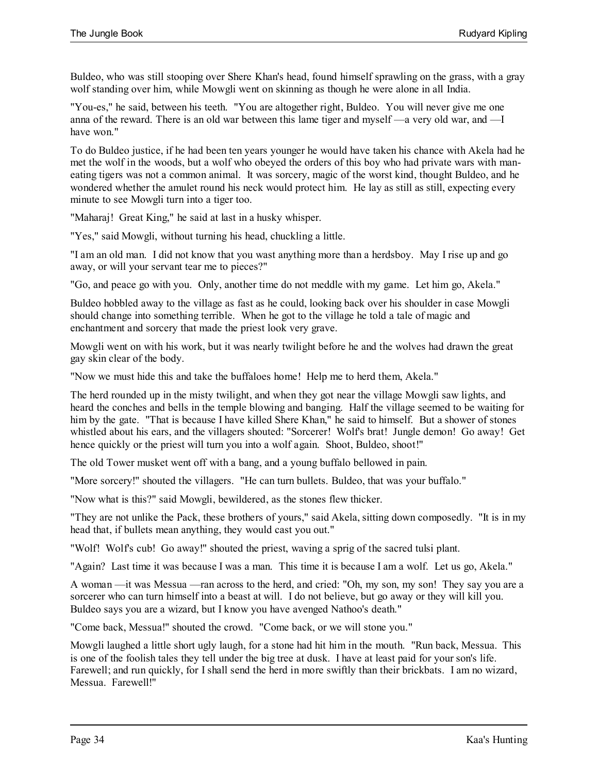Buldeo, who was still stooping over Shere Khan's head, found himself sprawling on the grass, with a gray wolf standing over him, while Mowgli went on skinning as though he were alone in all India.

"You-es," he said, between his teeth. "You are altogether right, Buldeo. You will never give me one anna of the reward. There is an old war between this lame tiger and myself —a very old war, and —I have won."

To do Buldeo justice, if he had been ten years younger he would have taken his chance with Akela had he met the wolf in the woods, but a wolf who obeyed the orders of this boy who had private wars with maneating tigers was not a common animal. It was sorcery, magic of the worst kind, thought Buldeo, and he wondered whether the amulet round his neck would protect him. He lay as still as still, expecting every minute to see Mowgli turn into a tiger too.

"Maharaj! Great King," he said at last in a husky whisper.

"Yes," said Mowgli, without turning his head, chuckling a little.

"I am an old man. I did not know that you wast anything more than a herdsboy. May I rise up and go away, or will your servant tear me to pieces?"

"Go, and peace go with you. Only, another time do not meddle with my game. Let him go, Akela."

Buldeo hobbled away to the village as fast as he could, looking back over his shoulder in case Mowgli should change into something terrible. When he got to the village he told a tale of magic and enchantment and sorcery that made the priest look very grave.

Mowgli went on with his work, but it was nearly twilight before he and the wolves had drawn the great gay skin clear of the body.

"Now we must hide this and take the buffaloes home! Help me to herd them, Akela."

The herd rounded up in the misty twilight, and when they got near the village Mowgli saw lights, and heard the conches and bells in the temple blowing and banging. Half the village seemed to be waiting for him by the gate. "That is because I have killed Shere Khan," he said to himself. But a shower of stones whistled about his ears, and the villagers shouted: "Sorcerer! Wolf's brat! Jungle demon! Go away! Get hence quickly or the priest will turn you into a wolf again. Shoot, Buldeo, shoot!"

The old Tower musket went off with a bang, and a young buffalo bellowed in pain.

"More sorcery!" shouted the villagers. "He can turn bullets. Buldeo, that was your buffalo."

"Now what is this?" said Mowgli, bewildered, as the stones flew thicker.

"They are not unlike the Pack, these brothers of yours," said Akela, sitting down composedly. "It is in my head that, if bullets mean anything, they would cast you out."

"Wolf! Wolf's cub! Go away!" shouted the priest, waving a sprig of the sacred tulsi plant.

"Again? Last time it was because I was a man. This time it is because I am a wolf. Let us go, Akela."

A woman —it was Messua —ran across to the herd, and cried: "Oh, my son, my son! They say you are a sorcerer who can turn himself into a beast at will. I do not believe, but go away or they will kill you. Buldeo says you are a wizard, but I know you have avenged Nathoo's death."

"Come back, Messua!" shouted the crowd. "Come back, or we will stone you."

Mowgli laughed a little short ugly laugh, for a stone had hit him in the mouth. "Run back, Messua. This is one of the foolish tales they tell under the big tree at dusk. I have at least paid for your son's life. Farewell; and run quickly, for I shall send the herd in more swiftly than their brickbats. I am no wizard, Messua. Farewell!"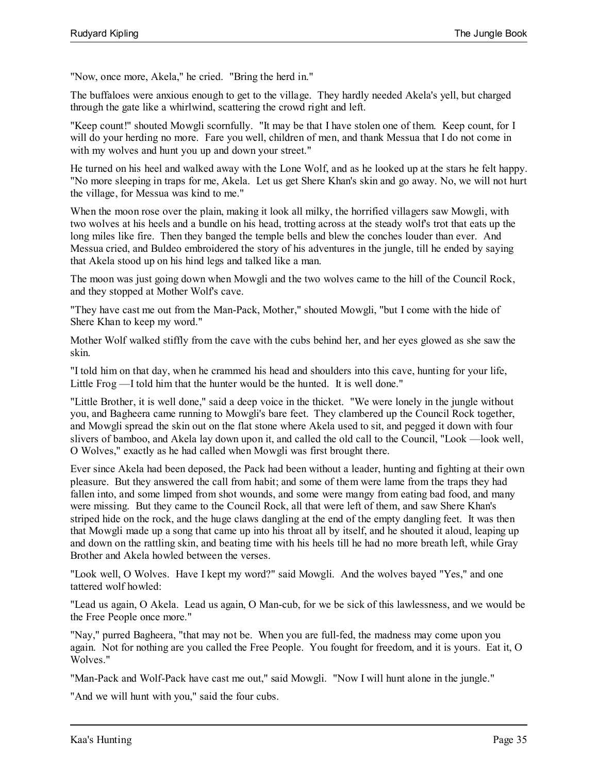"Now, once more, Akela," he cried. "Bring the herd in."

The buffaloes were anxious enough to get to the village. They hardly needed Akela's yell, but charged through the gate like a whirlwind, scattering the crowd right and left.

"Keep count!" shouted Mowgli scornfully. "It may be that I have stolen one of them. Keep count, for I will do your herding no more. Fare you well, children of men, and thank Messua that I do not come in with my wolves and hunt you up and down your street."

He turned on his heel and walked away with the Lone Wolf, and as he looked up at the stars he felt happy. "No more sleeping in traps for me, Akela. Let us get Shere Khan's skin and go away. No, we will not hurt the village, for Messua was kind to me."

When the moon rose over the plain, making it look all milky, the horrified villagers saw Mowgli, with two wolves at his heels and a bundle on his head, trotting across at the steady wolf's trot that eats up the long miles like fire. Then they banged the temple bells and blew the conches louder than ever. And Messua cried, and Buldeo embroidered the story of his adventures in the jungle, till he ended by saying that Akela stood up on his hind legs and talked like a man.

The moon was just going down when Mowgli and the two wolves came to the hill of the Council Rock, and they stopped at Mother Wolf's cave.

"They have cast me out from the Man-Pack, Mother," shouted Mowgli, "but I come with the hide of Shere Khan to keep my word."

Mother Wolf walked stiffly from the cave with the cubs behind her, and her eyes glowed as she saw the skin.

"I told him on that day, when he crammed his head and shoulders into this cave, hunting for your life, Little Frog —I told him that the hunter would be the hunted. It is well done."

"Little Brother, it is well done," said a deep voice in the thicket. "We were lonely in the jungle without you, and Bagheera came running to Mowgli's bare feet. They clambered up the Council Rock together, and Mowgli spread the skin out on the flat stone where Akela used to sit, and pegged it down with four slivers of bamboo, and Akela lay down upon it, and called the old call to the Council, "Look —look well, O Wolves," exactly as he had called when Mowgli was first brought there.

Ever since Akela had been deposed, the Pack had been without a leader, hunting and fighting at their own pleasure. But they answered the call from habit; and some of them were lame from the traps they had fallen into, and some limped from shot wounds, and some were mangy from eating bad food, and many were missing. But they came to the Council Rock, all that were left of them, and saw Shere Khan's striped hide on the rock, and the huge claws dangling at the end of the empty dangling feet. It was then that Mowgli made up a song that came up into his throat all by itself, and he shouted it aloud, leaping up and down on the rattling skin, and beating time with his heels till he had no more breath left, while Gray Brother and Akela howled between the verses.

"Look well, O Wolves. Have I kept my word?" said Mowgli. And the wolves bayed "Yes," and one tattered wolf howled:

"Lead us again, O Akela. Lead us again, O Man-cub, for we be sick of this lawlessness, and we would be the Free People once more."

"Nay," purred Bagheera, "that may not be. When you are full-fed, the madness may come upon you again. Not for nothing are you called the Free People. You fought for freedom, and it is yours. Eat it, O Wolves."

"Man-Pack and Wolf-Pack have cast me out," said Mowgli. "Now I will hunt alone in the jungle."

"And we will hunt with you," said the four cubs.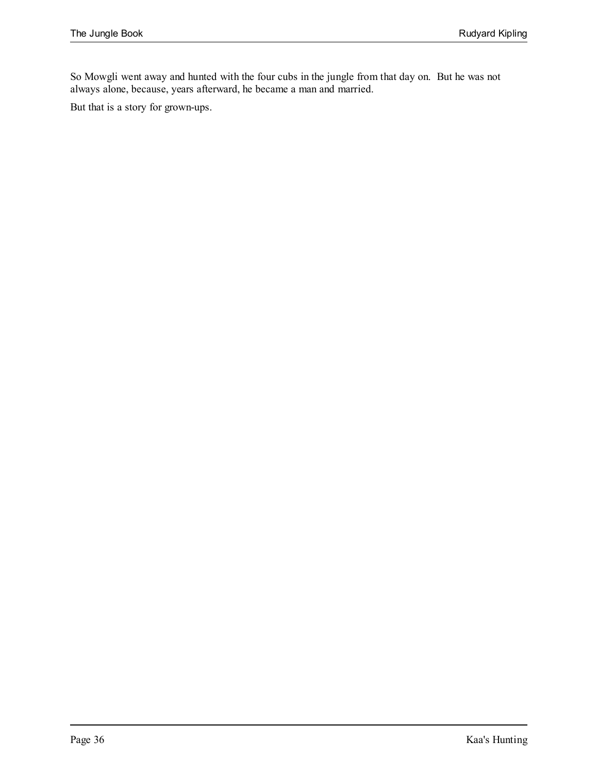So Mowgli went away and hunted with the four cubs in the jungle from that day on. But he was not always alone, because, years afterward, he became a man and married.

But that is a story for grown-ups.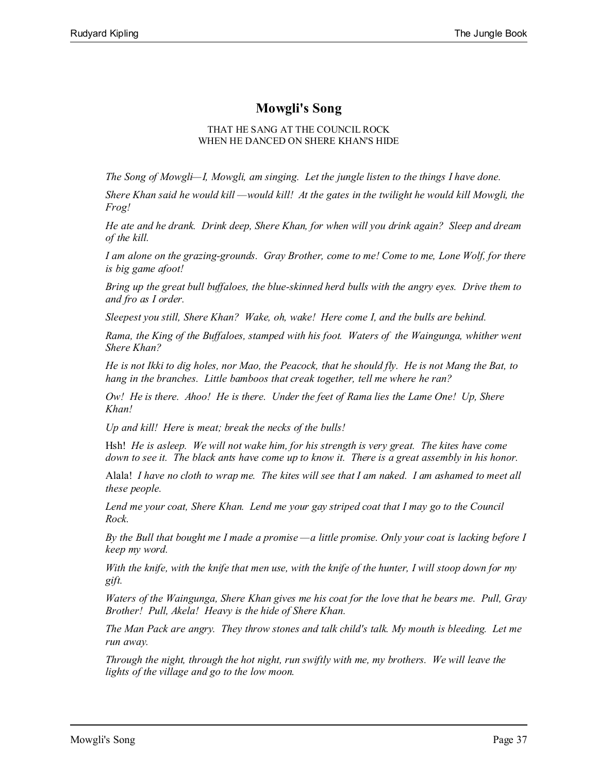## **Mowgli's Song**

#### THAT HE SANG AT THE COUNCIL ROCK WHEN HE DANCED ON SHERE KHAN'S HIDE

*The Song of Mowgli—I, Mowgli, am singing. Let the jungle listen to the things I have done.*

*Shere Khan said he would kill —would kill! At the gates in the twilight he would kill Mowgli, the Frog!*

*He ate and he drank. Drink deep, Shere Khan, for when will you drink again? Sleep and dream of the kill.*

*I am alone on the grazing-grounds. Gray Brother, come to me! Come to me, Lone Wolf, for there is big game afoot!*

*Bring up the great bull buffaloes, the blue-skinned herd bulls with the angry eyes. Drive them to and fro as I order.*

*Sleepest you still, Shere Khan? Wake, oh, wake! Here come I, and the bulls are behind.*

*Rama, the King of the Buffaloes, stamped with his foot. Waters of the Waingunga, whither went Shere Khan?*

*He is not Ikki to dig holes, nor Mao, the Peacock, that he should fly. He is not Mang the Bat, to hang in the branches. Little bamboos that creak together, tell me where he ran?*

*Ow! He is there. Ahoo! He is there. Under the feet of Rama lies the Lame One! Up, Shere Khan!*

*Up and kill! Here is meat; break the necks of the bulls!*

Hsh! *He is asleep. We will not wake him, for his strength is very great. The kites have come down to see it. The black ants have come up to know it. There is a great assembly in his honor.*

Alala! *I have no cloth to wrap me. The kites will see that I am naked. I am ashamed to meet all these people.*

*Lend me your coat, Shere Khan. Lend me your gay striped coat that I may go to the Council Rock.*

*By the Bull that bought me I made a promise —a little promise. Only your coat is lacking before I keep my word.*

*With the knife, with the knife that men use, with the knife of the hunter, I will stoop down for my gift.*

*Waters of the Waingunga, Shere Khan gives me his coat for the love that he bears me. Pull, Gray Brother! Pull, Akela! Heavy is the hide of Shere Khan.*

*The Man Pack are angry. They throw stones and talk child's talk. My mouth is bleeding. Let me run away.*

*Through the night, through the hot night, run swiftly with me, my brothers. We will leave the lights of the village and go to the low moon.*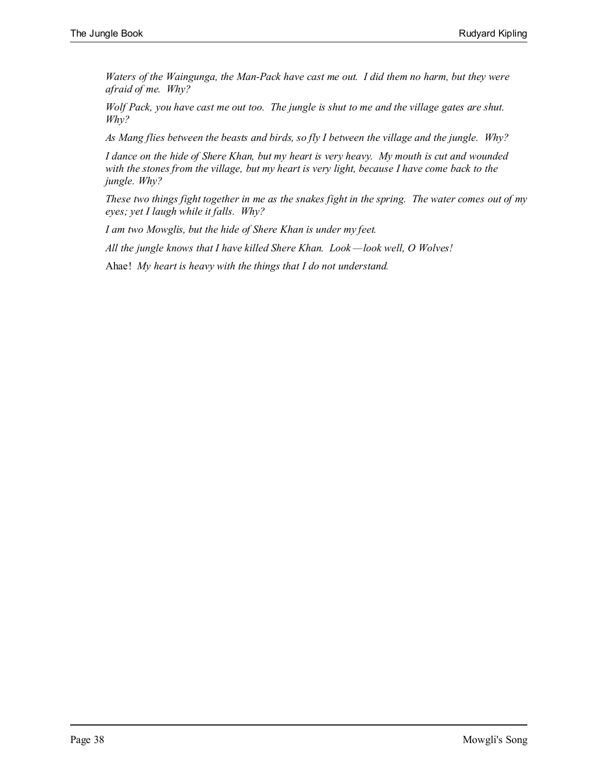*Waters of the Waingunga, the Man-Pack have cast me out. I did them no harm, but they were afraid of me. Why?*

*Wolf Pack, you have cast me out too. The jungle is shut to me and the village gates are shut. Why?*

*As Mang flies between the beasts and birds, so fly I between the village and the jungle. Why?*

*I dance on the hide of Shere Khan, but my heart is very heavy. My mouth is cut and wounded with the stones from the village, but my heart is very light, because I have come back to the jungle. Why?*

*These two things fight together in me as the snakes fight in the spring. The water comes out of my eyes; yet I laugh while it falls. Why?*

*I am two Mowglis, but the hide of Shere Khan is under my feet.*

*All the jungle knows that I have killed Shere Khan. Look —look well, O Wolves!*

Ahae! *My heart is heavy with the things that I do not understand.*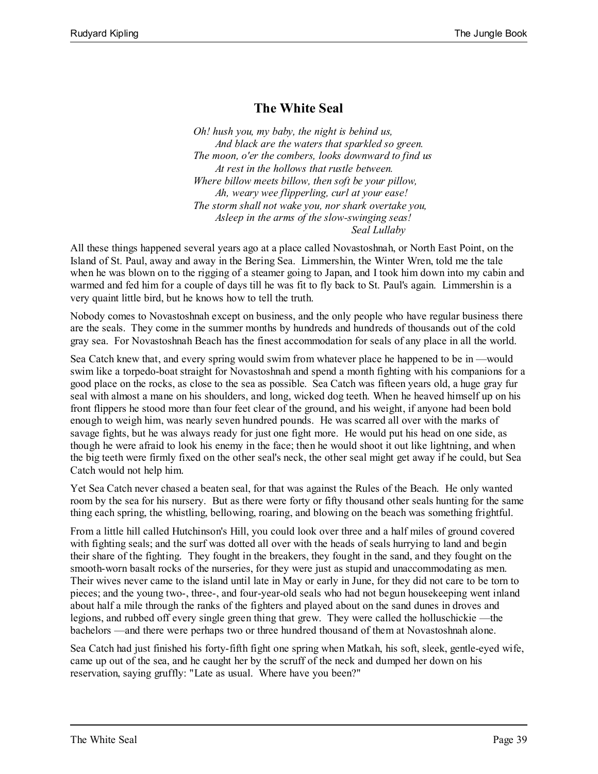### **The White Seal**

*Oh! hush you, my baby, the night is behind us, And black are the waters that sparkled so green. The moon, o'er the combers, looks downward to find us At rest in the hollows that rustle between. Where billow meets billow, then soft be your pillow, Ah, weary wee flipperling, curl at your ease! The storm shall not wake you, nor shark overtake you, Asleep in the arms of the slow-swinging seas! Seal Lullaby*

All these things happened several years ago at a place called Novastoshnah, or North East Point, on the Island of St. Paul, away and away in the Bering Sea. Limmershin, the Winter Wren, told me the tale when he was blown on to the rigging of a steamer going to Japan, and I took him down into my cabin and warmed and fed him for a couple of days till he was fit to fly back to St. Paul's again. Limmershin is a very quaint little bird, but he knows how to tell the truth.

Nobody comes to Novastoshnah except on business, and the only people who have regular business there are the seals. They come in the summer months by hundreds and hundreds of thousands out of the cold gray sea. For Novastoshnah Beach has the finest accommodation for seals of any place in all the world.

Sea Catch knew that, and every spring would swim from whatever place he happened to be in —would swim like a torpedo-boat straight for Novastoshnah and spend a month fighting with his companions for a good place on the rocks, as close to the sea as possible. Sea Catch was fifteen years old, a huge gray fur seal with almost a mane on his shoulders, and long, wicked dog teeth. When he heaved himself up on his front flippers he stood more than four feet clear of the ground, and his weight, if anyone had been bold enough to weigh him, was nearly seven hundred pounds. He was scarred all over with the marks of savage fights, but he was always ready for just one fight more. He would put his head on one side, as though he were afraid to look his enemy in the face; then he would shoot it out like lightning, and when the big teeth were firmly fixed on the other seal's neck, the other seal might get away if he could, but Sea Catch would not help him.

Yet Sea Catch never chased a beaten seal, for that was against the Rules of the Beach. He only wanted room by the sea for his nursery. But as there were forty or fifty thousand other seals hunting for the same thing each spring, the whistling, bellowing, roaring, and blowing on the beach was something frightful.

From a little hill called Hutchinson's Hill, you could look over three and a half miles of ground covered with fighting seals; and the surf was dotted all over with the heads of seals hurrying to land and begin their share of the fighting. They fought in the breakers, they fought in the sand, and they fought on the smooth-worn basalt rocks of the nurseries, for they were just as stupid and unaccommodating as men. Their wives never came to the island until late in May or early in June, for they did not care to be torn to pieces; and the young two-, three-, and four-year-old seals who had not begun housekeeping went inland about half a mile through the ranks of the fighters and played about on the sand dunes in droves and legions, and rubbed off every single green thing that grew. They were called the holluschickie —the bachelors —and there were perhaps two or three hundred thousand of them at Novastoshnah alone.

Sea Catch had just finished his forty-fifth fight one spring when Matkah, his soft, sleek, gentle-eyed wife, came up out of the sea, and he caught her by the scruff of the neck and dumped her down on his reservation, saying gruffly: "Late as usual. Where have you been?"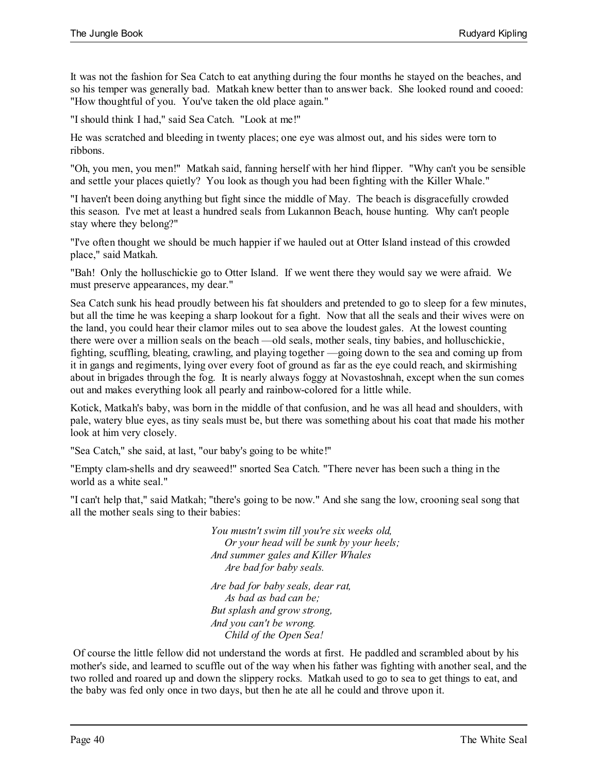It was not the fashion for Sea Catch to eat anything during the four months he stayed on the beaches, and so his temper was generally bad. Matkah knew better than to answer back. She looked round and cooed: "How thoughtful of you. You've taken the old place again."

"I should think I had," said Sea Catch. "Look at me!"

He was scratched and bleeding in twenty places; one eye was almost out, and his sides were torn to ribbons.

"Oh, you men, you men!" Matkah said, fanning herself with her hind flipper. "Why can't you be sensible and settle your places quietly? You look as though you had been fighting with the Killer Whale."

"I haven't been doing anything but fight since the middle of May. The beach is disgracefully crowded this season. I've met at least a hundred seals from Lukannon Beach, house hunting. Why can't people stay where they belong?"

"I've often thought we should be much happier if we hauled out at Otter Island instead of this crowded place," said Matkah.

"Bah! Only the holluschickie go to Otter Island. If we went there they would say we were afraid. We must preserve appearances, my dear."

Sea Catch sunk his head proudly between his fat shoulders and pretended to go to sleep for a few minutes, but all the time he was keeping a sharp lookout for a fight. Now that all the seals and their wives were on the land, you could hear their clamor miles out to sea above the loudest gales. At the lowest counting there were over a million seals on the beach —old seals, mother seals, tiny babies, and holluschickie, fighting, scuffling, bleating, crawling, and playing together —going down to the sea and coming up from it in gangs and regiments, lying over every foot of ground as far as the eye could reach, and skirmishing about in brigades through the fog. It is nearly always foggy at Novastoshnah, except when the sun comes out and makes everything look all pearly and rainbow-colored for a little while.

Kotick, Matkah's baby, was born in the middle of that confusion, and he was all head and shoulders, with pale, watery blue eyes, as tiny seals must be, but there was something about his coat that made his mother look at him very closely.

"Sea Catch," she said, at last, "our baby's going to be white!"

"Empty clam-shells and dry seaweed!" snorted Sea Catch. "There never has been such a thing in the world as a white seal."

"I can't help that," said Matkah; "there's going to be now." And she sang the low, crooning seal song that all the mother seals sing to their babies:

> *You mustn't swim till you're six weeks old, Or your head will be sunk by your heels; And summer gales and Killer Whales Are bad for baby seals. Are bad for baby seals, dear rat, As bad as bad can be; But splash and grow strong,*

*And you can't be wrong. Child of the Open Sea!*

 Of course the little fellow did not understand the words at first. He paddled and scrambled about by his mother's side, and learned to scuffle out of the way when his father was fighting with another seal, and the two rolled and roared up and down the slippery rocks. Matkah used to go to sea to get things to eat, and the baby was fed only once in two days, but then he ate all he could and throve upon it.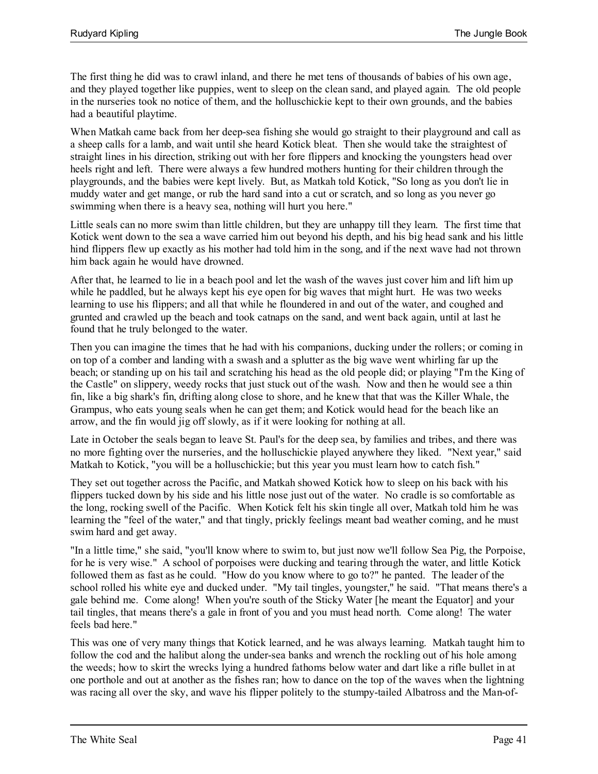The first thing he did was to crawl inland, and there he met tens of thousands of babies of his own age, and they played together like puppies, went to sleep on the clean sand, and played again. The old people in the nurseries took no notice of them, and the holluschickie kept to their own grounds, and the babies had a beautiful playtime.

When Matkah came back from her deep-sea fishing she would go straight to their playground and call as a sheep calls for a lamb, and wait until she heard Kotick bleat. Then she would take the straightest of straight lines in his direction, striking out with her fore flippers and knocking the youngsters head over heels right and left. There were always a few hundred mothers hunting for their children through the playgrounds, and the babies were kept lively. But, as Matkah told Kotick, "So long as you don't lie in muddy water and get mange, or rub the hard sand into a cut or scratch, and so long as you never go swimming when there is a heavy sea, nothing will hurt you here."

Little seals can no more swim than little children, but they are unhappy till they learn. The first time that Kotick went down to the sea a wave carried him out beyond his depth, and his big head sank and his little hind flippers flew up exactly as his mother had told him in the song, and if the next wave had not thrown him back again he would have drowned.

After that, he learned to lie in a beach pool and let the wash of the waves just cover him and lift him up while he paddled, but he always kept his eye open for big waves that might hurt. He was two weeks learning to use his flippers; and all that while he floundered in and out of the water, and coughed and grunted and crawled up the beach and took catnaps on the sand, and went back again, until at last he found that he truly belonged to the water.

Then you can imagine the times that he had with his companions, ducking under the rollers; or coming in on top of a comber and landing with a swash and a splutter as the big wave went whirling far up the beach; or standing up on his tail and scratching his head as the old people did; or playing "I'm the King of the Castle" on slippery, weedy rocks that just stuck out of the wash. Now and then he would see a thin fin, like a big shark's fin, drifting along close to shore, and he knew that that was the Killer Whale, the Grampus, who eats young seals when he can get them; and Kotick would head for the beach like an arrow, and the fin would jig off slowly, as if it were looking for nothing at all.

Late in October the seals began to leave St. Paul's for the deep sea, by families and tribes, and there was no more fighting over the nurseries, and the holluschickie played anywhere they liked. "Next year," said Matkah to Kotick, "you will be a holluschickie; but this year you must learn how to catch fish."

They set out together across the Pacific, and Matkah showed Kotick how to sleep on his back with his flippers tucked down by his side and his little nose just out of the water. No cradle is so comfortable as the long, rocking swell of the Pacific. When Kotick felt his skin tingle all over, Matkah told him he was learning the "feel of the water," and that tingly, prickly feelings meant bad weather coming, and he must swim hard and get away.

"In a little time," she said, "you'll know where to swim to, but just now we'll follow Sea Pig, the Porpoise, for he is very wise." A school of porpoises were ducking and tearing through the water, and little Kotick followed them as fast as he could. "How do you know where to go to?" he panted. The leader of the school rolled his white eye and ducked under. "My tail tingles, youngster," he said. "That means there's a gale behind me. Come along! When you're south of the Sticky Water [he meant the Equator] and your tail tingles, that means there's a gale in front of you and you must head north. Come along! The water feels bad here."

This was one of very many things that Kotick learned, and he was always learning. Matkah taught him to follow the cod and the halibut along the under-sea banks and wrench the rockling out of his hole among the weeds; how to skirt the wrecks lying a hundred fathoms below water and dart like a rifle bullet in at one porthole and out at another as the fishes ran; how to dance on the top of the waves when the lightning was racing all over the sky, and wave his flipper politely to the stumpy-tailed Albatross and the Man-of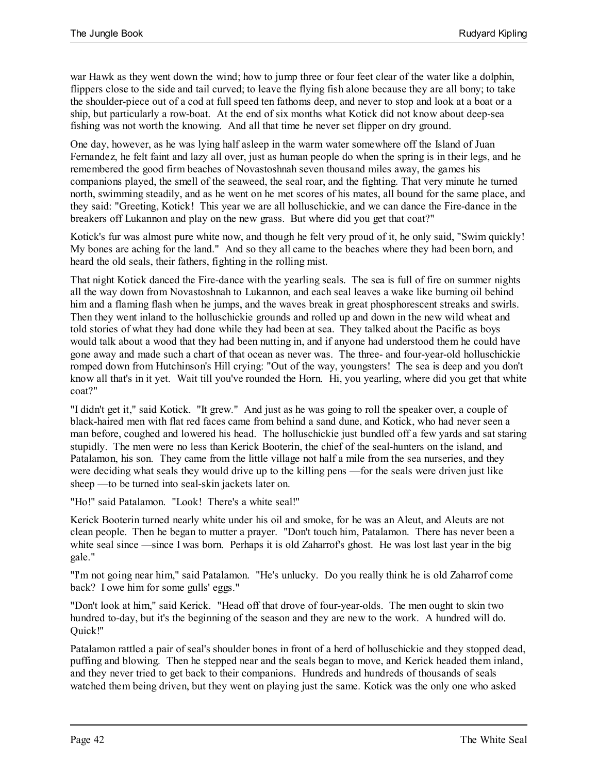war Hawk as they went down the wind; how to jump three or four feet clear of the water like a dolphin, flippers close to the side and tail curved; to leave the flying fish alone because they are all bony; to take the shoulder-piece out of a cod at full speed ten fathoms deep, and never to stop and look at a boat or a ship, but particularly a row-boat. At the end of six months what Kotick did not know about deep-sea fishing was not worth the knowing. And all that time he never set flipper on dry ground.

One day, however, as he was lying half asleep in the warm water somewhere off the Island of Juan Fernandez, he felt faint and lazy all over, just as human people do when the spring is in their legs, and he remembered the good firm beaches of Novastoshnah seven thousand miles away, the games his companions played, the smell of the seaweed, the seal roar, and the fighting. That very minute he turned north, swimming steadily, and as he went on he met scores of his mates, all bound for the same place, and they said: "Greeting, Kotick! This year we are all holluschickie, and we can dance the Fire-dance in the breakers off Lukannon and play on the new grass. But where did you get that coat?"

Kotick's fur was almost pure white now, and though he felt very proud of it, he only said, "Swim quickly! My bones are aching for the land." And so they all came to the beaches where they had been born, and heard the old seals, their fathers, fighting in the rolling mist.

That night Kotick danced the Fire-dance with the yearling seals. The sea is full of fire on summer nights all the way down from Novastoshnah to Lukannon, and each seal leaves a wake like burning oil behind him and a flaming flash when he jumps, and the waves break in great phosphorescent streaks and swirls. Then they went inland to the holluschickie grounds and rolled up and down in the new wild wheat and told stories of what they had done while they had been at sea. They talked about the Pacific as boys would talk about a wood that they had been nutting in, and if anyone had understood them he could have gone away and made such a chart of that ocean as never was. The three- and four-year-old holluschickie romped down from Hutchinson's Hill crying: "Out of the way, youngsters! The sea is deep and you don't know all that's in it yet. Wait till you've rounded the Horn. Hi, you yearling, where did you get that white coat?"

"I didn't get it," said Kotick. "It grew." And just as he was going to roll the speaker over, a couple of black-haired men with flat red faces came from behind a sand dune, and Kotick, who had never seen a man before, coughed and lowered his head. The holluschickie just bundled off a few yards and sat staring stupidly. The men were no less than Kerick Booterin, the chief of the seal-hunters on the island, and Patalamon, his son. They came from the little village not half a mile from the sea nurseries, and they were deciding what seals they would drive up to the killing pens —for the seals were driven just like sheep —to be turned into seal-skin jackets later on.

"Ho!" said Patalamon. "Look! There's a white seal!"

Kerick Booterin turned nearly white under his oil and smoke, for he was an Aleut, and Aleuts are not clean people. Then he began to mutter a prayer. "Don't touch him, Patalamon. There has never been a white seal since —since I was born. Perhaps it is old Zaharrof's ghost. He was lost last year in the big gale."

"I'm not going near him," said Patalamon. "He's unlucky. Do you really think he is old Zaharrof come back? I owe him for some gulls' eggs."

"Don't look at him," said Kerick. "Head off that drove of four-year-olds. The men ought to skin two hundred to-day, but it's the beginning of the season and they are new to the work. A hundred will do. Quick!"

Patalamon rattled a pair of seal's shoulder bones in front of a herd of holluschickie and they stopped dead, puffing and blowing. Then he stepped near and the seals began to move, and Kerick headed them inland, and they never tried to get back to their companions. Hundreds and hundreds of thousands of seals watched them being driven, but they went on playing just the same. Kotick was the only one who asked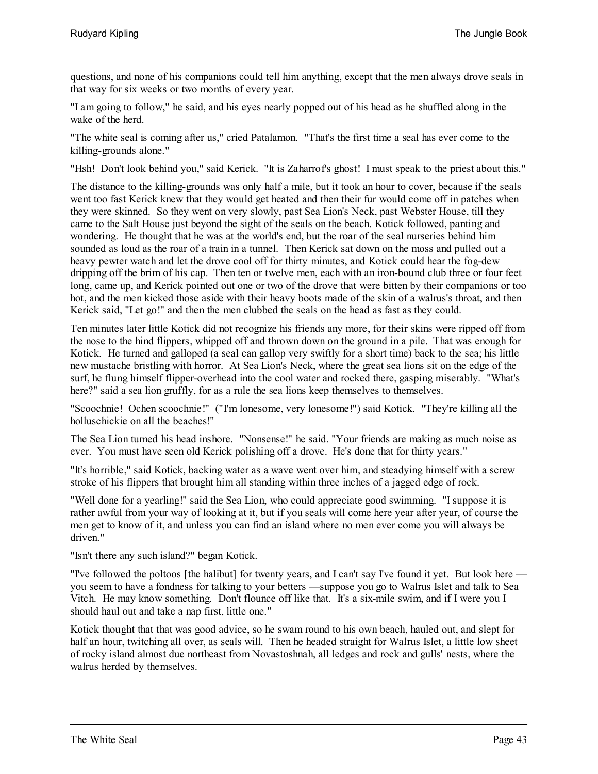questions, and none of his companions could tell him anything, except that the men always drove seals in that way for six weeks or two months of every year.

"I am going to follow," he said, and his eyes nearly popped out of his head as he shuffled along in the wake of the herd.

"The white seal is coming after us," cried Patalamon. "That's the first time a seal has ever come to the killing-grounds alone."

"Hsh! Don't look behind you," said Kerick. "It is Zaharrof's ghost! I must speak to the priest about this."

The distance to the killing-grounds was only half a mile, but it took an hour to cover, because if the seals went too fast Kerick knew that they would get heated and then their fur would come off in patches when they were skinned. So they went on very slowly, past Sea Lion's Neck, past Webster House, till they came to the Salt House just beyond the sight of the seals on the beach. Kotick followed, panting and wondering. He thought that he was at the world's end, but the roar of the seal nurseries behind him sounded as loud as the roar of a train in a tunnel. Then Kerick sat down on the moss and pulled out a heavy pewter watch and let the drove cool off for thirty minutes, and Kotick could hear the fog-dew dripping off the brim of his cap. Then ten or twelve men, each with an iron-bound club three or four feet long, came up, and Kerick pointed out one or two of the drove that were bitten by their companions or too hot, and the men kicked those aside with their heavy boots made of the skin of a walrus's throat, and then Kerick said, "Let go!" and then the men clubbed the seals on the head as fast as they could.

Ten minutes later little Kotick did not recognize his friends any more, for their skins were ripped off from the nose to the hind flippers, whipped off and thrown down on the ground in a pile. That was enough for Kotick. He turned and galloped (a seal can gallop very swiftly for a short time) back to the sea; his little new mustache bristling with horror. At Sea Lion's Neck, where the great sea lions sit on the edge of the surf, he flung himself flipper-overhead into the cool water and rocked there, gasping miserably. "What's here?" said a sea lion gruffly, for as a rule the sea lions keep themselves to themselves.

"Scoochnie! Ochen scoochnie!" ("I'm lonesome, very lonesome!") said Kotick. "They're killing all the holluschickie on all the beaches!"

The Sea Lion turned his head inshore. "Nonsense!" he said. "Your friends are making as much noise as ever. You must have seen old Kerick polishing off a drove. He's done that for thirty years."

"It's horrible," said Kotick, backing water as a wave went over him, and steadying himself with a screw stroke of his flippers that brought him all standing within three inches of a jagged edge of rock.

"Well done for a yearling!" said the Sea Lion, who could appreciate good swimming. "I suppose it is rather awful from your way of looking at it, but if you seals will come here year after year, of course the men get to know of it, and unless you can find an island where no men ever come you will always be driven"

"Isn't there any such island?" began Kotick.

"I've followed the poltoos [the halibut] for twenty years, and I can't say I've found it yet. But look here you seem to have a fondness for talking to your betters —suppose you go to Walrus Islet and talk to Sea Vitch. He may know something. Don't flounce off like that. It's a six-mile swim, and if I were you I should haul out and take a nap first, little one."

Kotick thought that that was good advice, so he swam round to his own beach, hauled out, and slept for half an hour, twitching all over, as seals will. Then he headed straight for Walrus Islet, a little low sheet of rocky island almost due northeast from Novastoshnah, all ledges and rock and gulls' nests, where the walrus herded by themselves.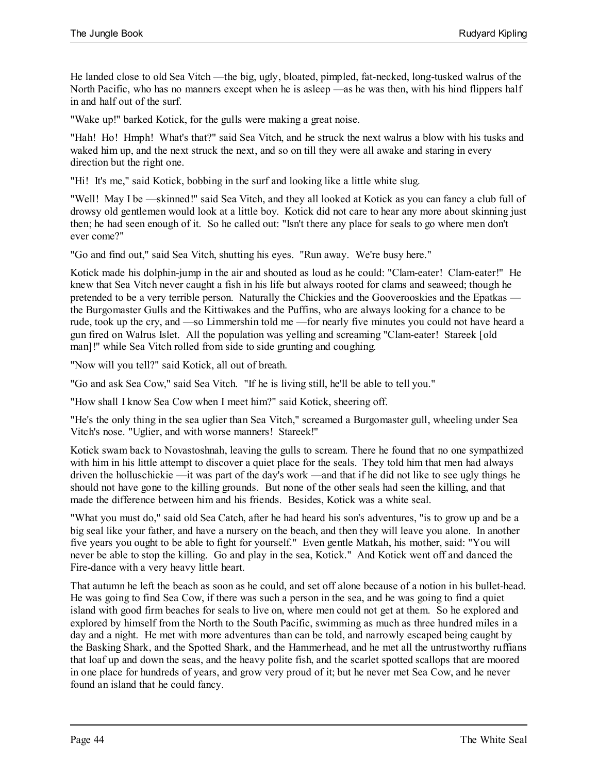He landed close to old Sea Vitch —the big, ugly, bloated, pimpled, fat-necked, long-tusked walrus of the North Pacific, who has no manners except when he is asleep —as he was then, with his hind flippers half in and half out of the surf.

"Wake up!" barked Kotick, for the gulls were making a great noise.

"Hah! Ho! Hmph! What's that?" said Sea Vitch, and he struck the next walrus a blow with his tusks and waked him up, and the next struck the next, and so on till they were all awake and staring in every direction but the right one.

"Hi! It's me," said Kotick, bobbing in the surf and looking like a little white slug.

"Well! May I be —skinned!" said Sea Vitch, and they all looked at Kotick as you can fancy a club full of drowsy old gentlemen would look at a little boy. Kotick did not care to hear any more about skinning just then; he had seen enough of it. So he called out: "Isn't there any place for seals to go where men don't ever come?"

"Go and find out," said Sea Vitch, shutting his eyes. "Run away. We're busy here."

Kotick made his dolphin-jump in the air and shouted as loud as he could: "Clam-eater! Clam-eater!" He knew that Sea Vitch never caught a fish in his life but always rooted for clams and seaweed; though he pretended to be a very terrible person. Naturally the Chickies and the Gooverooskies and the Epatkas the Burgomaster Gulls and the Kittiwakes and the Puffins, who are always looking for a chance to be rude, took up the cry, and —so Limmershin told me —for nearly five minutes you could not have heard a gun fired on Walrus Islet. All the population was yelling and screaming "Clam-eater! Stareek [old man]!" while Sea Vitch rolled from side to side grunting and coughing.

"Now will you tell?" said Kotick, all out of breath.

"Go and ask Sea Cow," said Sea Vitch. "If he is living still, he'll be able to tell you."

"How shall I know Sea Cow when I meet him?" said Kotick, sheering off.

"He's the only thing in the sea uglier than Sea Vitch," screamed a Burgomaster gull, wheeling under Sea Vitch's nose. "Uglier, and with worse manners! Stareek!"

Kotick swam back to Novastoshnah, leaving the gulls to scream. There he found that no one sympathized with him in his little attempt to discover a quiet place for the seals. They told him that men had always driven the holluschickie —it was part of the day's work —and that if he did not like to see ugly things he should not have gone to the killing grounds. But none of the other seals had seen the killing, and that made the difference between him and his friends. Besides, Kotick was a white seal.

"What you must do," said old Sea Catch, after he had heard his son's adventures, "is to grow up and be a big seal like your father, and have a nursery on the beach, and then they will leave you alone. In another five years you ought to be able to fight for yourself." Even gentle Matkah, his mother, said: "You will never be able to stop the killing. Go and play in the sea, Kotick." And Kotick went off and danced the Fire-dance with a very heavy little heart.

That autumn he left the beach as soon as he could, and set off alone because of a notion in his bullet-head. He was going to find Sea Cow, if there was such a person in the sea, and he was going to find a quiet island with good firm beaches for seals to live on, where men could not get at them. So he explored and explored by himself from the North to the South Pacific, swimming as much as three hundred miles in a day and a night. He met with more adventures than can be told, and narrowly escaped being caught by the Basking Shark, and the Spotted Shark, and the Hammerhead, and he met all the untrustworthy ruffians that loaf up and down the seas, and the heavy polite fish, and the scarlet spotted scallops that are moored in one place for hundreds of years, and grow very proud of it; but he never met Sea Cow, and he never found an island that he could fancy.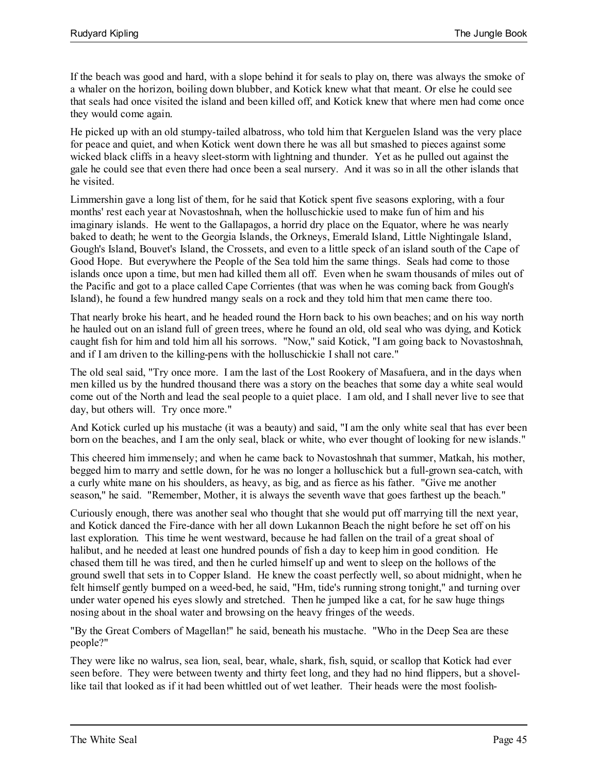If the beach was good and hard, with a slope behind it for seals to play on, there was always the smoke of a whaler on the horizon, boiling down blubber, and Kotick knew what that meant. Or else he could see that seals had once visited the island and been killed off, and Kotick knew that where men had come once they would come again.

He picked up with an old stumpy-tailed albatross, who told him that Kerguelen Island was the very place for peace and quiet, and when Kotick went down there he was all but smashed to pieces against some wicked black cliffs in a heavy sleet-storm with lightning and thunder. Yet as he pulled out against the gale he could see that even there had once been a seal nursery. And it was so in all the other islands that he visited.

Limmershin gave a long list of them, for he said that Kotick spent five seasons exploring, with a four months' rest each year at Novastoshnah, when the holluschickie used to make fun of him and his imaginary islands. He went to the Gallapagos, a horrid dry place on the Equator, where he was nearly baked to death; he went to the Georgia Islands, the Orkneys, Emerald Island, Little Nightingale Island, Gough's Island, Bouvet's Island, the Crossets, and even to a little speck of an island south of the Cape of Good Hope. But everywhere the People of the Sea told him the same things. Seals had come to those islands once upon a time, but men had killed them all off. Even when he swam thousands of miles out of the Pacific and got to a place called Cape Corrientes (that was when he was coming back from Gough's Island), he found a few hundred mangy seals on a rock and they told him that men came there too.

That nearly broke his heart, and he headed round the Horn back to his own beaches; and on his way north he hauled out on an island full of green trees, where he found an old, old seal who was dying, and Kotick caught fish for him and told him all his sorrows. "Now," said Kotick, "I am going back to Novastoshnah, and if I am driven to the killing-pens with the holluschickie I shall not care."

The old seal said, "Try once more. I am the last of the Lost Rookery of Masafuera, and in the days when men killed us by the hundred thousand there was a story on the beaches that some day a white seal would come out of the North and lead the seal people to a quiet place. I am old, and I shall never live to see that day, but others will. Try once more."

And Kotick curled up his mustache (it was a beauty) and said, "I am the only white seal that has ever been born on the beaches, and I am the only seal, black or white, who ever thought of looking for new islands."

This cheered him immensely; and when he came back to Novastoshnah that summer, Matkah, his mother, begged him to marry and settle down, for he was no longer a holluschick but a full-grown sea-catch, with a curly white mane on his shoulders, as heavy, as big, and as fierce as his father. "Give me another season," he said. "Remember, Mother, it is always the seventh wave that goes farthest up the beach."

Curiously enough, there was another seal who thought that she would put off marrying till the next year, and Kotick danced the Fire-dance with her all down Lukannon Beach the night before he set off on his last exploration. This time he went westward, because he had fallen on the trail of a great shoal of halibut, and he needed at least one hundred pounds of fish a day to keep him in good condition. He chased them till he was tired, and then he curled himself up and went to sleep on the hollows of the ground swell that sets in to Copper Island. He knew the coast perfectly well, so about midnight, when he felt himself gently bumped on a weed-bed, he said, "Hm, tide's running strong tonight," and turning over under water opened his eyes slowly and stretched. Then he jumped like a cat, for he saw huge things nosing about in the shoal water and browsing on the heavy fringes of the weeds.

"By the Great Combers of Magellan!" he said, beneath his mustache. "Who in the Deep Sea are these people?"

They were like no walrus, sea lion, seal, bear, whale, shark, fish, squid, or scallop that Kotick had ever seen before. They were between twenty and thirty feet long, and they had no hind flippers, but a shovellike tail that looked as if it had been whittled out of wet leather. Their heads were the most foolish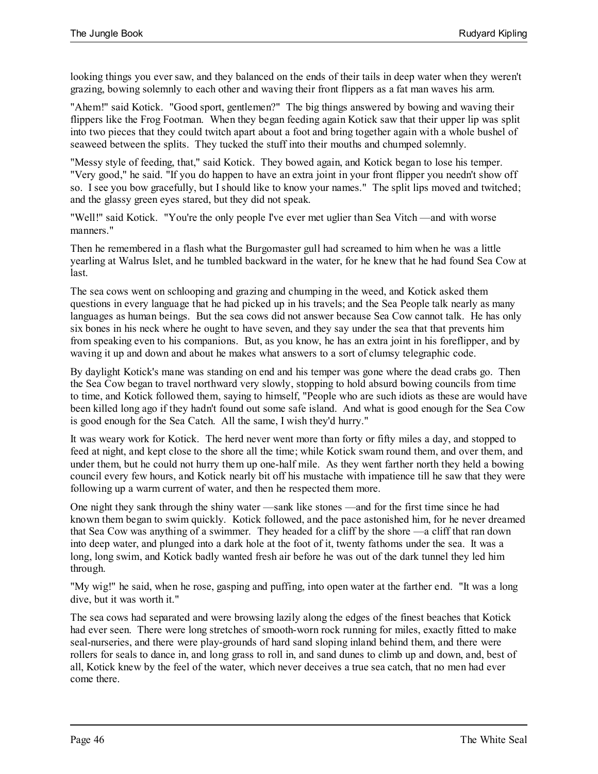looking things you ever saw, and they balanced on the ends of their tails in deep water when they weren't grazing, bowing solemnly to each other and waving their front flippers as a fat man waves his arm.

"Ahem!" said Kotick. "Good sport, gentlemen?" The big things answered by bowing and waving their flippers like the Frog Footman. When they began feeding again Kotick saw that their upper lip was split into two pieces that they could twitch apart about a foot and bring together again with a whole bushel of seaweed between the splits. They tucked the stuff into their mouths and chumped solemnly.

"Messy style of feeding, that," said Kotick. They bowed again, and Kotick began to lose his temper. "Very good," he said. "If you do happen to have an extra joint in your front flipper you needn't show off so. I see you bow gracefully, but I should like to know your names." The split lips moved and twitched; and the glassy green eyes stared, but they did not speak.

"Well!" said Kotick. "You're the only people I've ever met uglier than Sea Vitch —and with worse manners."

Then he remembered in a flash what the Burgomaster gull had screamed to him when he was a little yearling at Walrus Islet, and he tumbled backward in the water, for he knew that he had found Sea Cow at last.

The sea cows went on schlooping and grazing and chumping in the weed, and Kotick asked them questions in every language that he had picked up in his travels; and the Sea People talk nearly as many languages as human beings. But the sea cows did not answer because Sea Cow cannot talk. He has only six bones in his neck where he ought to have seven, and they say under the sea that that prevents him from speaking even to his companions. But, as you know, he has an extra joint in his foreflipper, and by waving it up and down and about he makes what answers to a sort of clumsy telegraphic code.

By daylight Kotick's mane was standing on end and his temper was gone where the dead crabs go. Then the Sea Cow began to travel northward very slowly, stopping to hold absurd bowing councils from time to time, and Kotick followed them, saying to himself, "People who are such idiots as these are would have been killed long ago if they hadn't found out some safe island. And what is good enough for the Sea Cow is good enough for the Sea Catch. All the same, I wish they'd hurry."

It was weary work for Kotick. The herd never went more than forty or fifty miles a day, and stopped to feed at night, and kept close to the shore all the time; while Kotick swam round them, and over them, and under them, but he could not hurry them up one-half mile. As they went farther north they held a bowing council every few hours, and Kotick nearly bit off his mustache with impatience till he saw that they were following up a warm current of water, and then he respected them more.

One night they sank through the shiny water —sank like stones —and for the first time since he had known them began to swim quickly. Kotick followed, and the pace astonished him, for he never dreamed that Sea Cow was anything of a swimmer. They headed for a cliff by the shore —a cliff that ran down into deep water, and plunged into a dark hole at the foot of it, twenty fathoms under the sea. It was a long, long swim, and Kotick badly wanted fresh air before he was out of the dark tunnel they led him through.

"My wig!" he said, when he rose, gasping and puffing, into open water at the farther end. "It was a long dive, but it was worth it."

The sea cows had separated and were browsing lazily along the edges of the finest beaches that Kotick had ever seen. There were long stretches of smooth-worn rock running for miles, exactly fitted to make seal-nurseries, and there were play-grounds of hard sand sloping inland behind them, and there were rollers for seals to dance in, and long grass to roll in, and sand dunes to climb up and down, and, best of all, Kotick knew by the feel of the water, which never deceives a true sea catch, that no men had ever come there.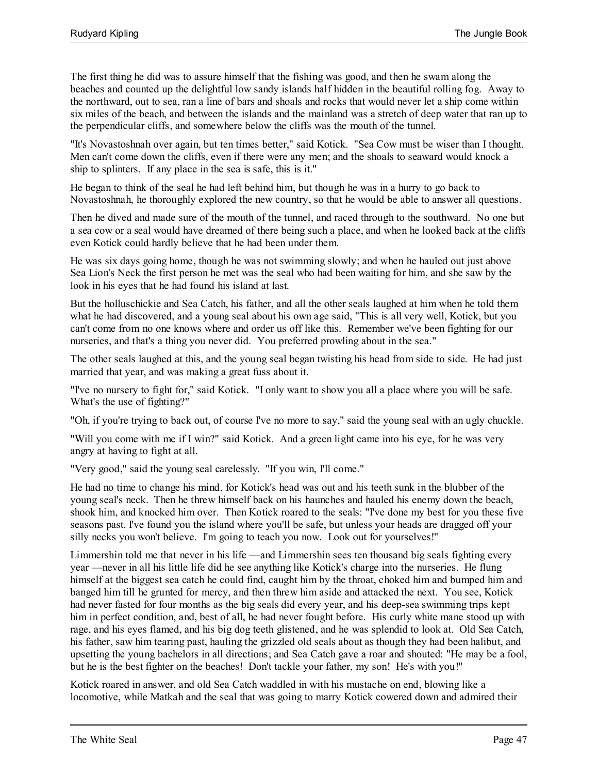The first thing he did was to assure himself that the fishing was good, and then he swam along the beaches and counted up the delightful low sandy islands half hidden in the beautiful rolling fog. Away to the northward, out to sea, ran a line of bars and shoals and rocks that would never let a ship come within six miles of the beach, and between the islands and the mainland was a stretch of deep water that ran up to the perpendicular cliffs, and somewhere below the cliffs was the mouth of the tunnel.

"It's Novastoshnah over again, but ten times better," said Kotick. "Sea Cow must be wiser than I thought. Men can't come down the cliffs, even if there were any men; and the shoals to seaward would knock a ship to splinters. If any place in the sea is safe, this is it."

He began to think of the seal he had left behind him, but though he was in a hurry to go back to Novastoshnah, he thoroughly explored the new country, so that he would be able to answer all questions.

Then he dived and made sure of the mouth of the tunnel, and raced through to the southward. No one but a sea cow or a seal would have dreamed of there being such a place, and when he looked back at the cliffs even Kotick could hardly believe that he had been under them.

He was six days going home, though he was not swimming slowly; and when he hauled out just above Sea Lion's Neck the first person he met was the seal who had been waiting for him, and she saw by the look in his eyes that he had found his island at last.

But the holluschickie and Sea Catch, his father, and all the other seals laughed at him when he told them what he had discovered, and a young seal about his own age said, "This is all very well, Kotick, but you can't come from no one knows where and order us off like this. Remember we've been fighting for our nurseries, and that's a thing you never did. You preferred prowling about in the sea."

The other seals laughed at this, and the young seal began twisting his head from side to side. He had just married that year, and was making a great fuss about it.

"I've no nursery to fight for," said Kotick. "I only want to show you all a place where you will be safe. What's the use of fighting?"

"Oh, if you're trying to back out, of course I've no more to say," said the young seal with an ugly chuckle.

"Will you come with me if I win?" said Kotick. And a green light came into his eye, for he was very angry at having to fight at all.

"Very good," said the young seal carelessly. "If you win, I'll come."

He had no time to change his mind, for Kotick's head was out and his teeth sunk in the blubber of the young seal's neck. Then he threw himself back on his haunches and hauled his enemy down the beach, shook him, and knocked him over. Then Kotick roared to the seals: "I've done my best for you these five seasons past. I've found you the island where you'll be safe, but unless your heads are dragged off your silly necks you won't believe. I'm going to teach you now. Look out for yourselves!"

Limmershin told me that never in his life —and Limmershin sees ten thousand big seals fighting every year —never in all his little life did he see anything like Kotick's charge into the nurseries. He flung himself at the biggest sea catch he could find, caught him by the throat, choked him and bumped him and banged him till he grunted for mercy, and then threw him aside and attacked the next. You see, Kotick had never fasted for four months as the big seals did every year, and his deep-sea swimming trips kept him in perfect condition, and, best of all, he had never fought before. His curly white mane stood up with rage, and his eyes flamed, and his big dog teeth glistened, and he was splendid to look at. Old Sea Catch, his father, saw him tearing past, hauling the grizzled old seals about as though they had been halibut, and upsetting the young bachelors in all directions; and Sea Catch gave a roar and shouted: "He may be a fool, but he is the best fighter on the beaches! Don't tackle your father, my son! He's with you!"

Kotick roared in answer, and old Sea Catch waddled in with his mustache on end, blowing like a locomotive, while Matkah and the seal that was going to marry Kotick cowered down and admired their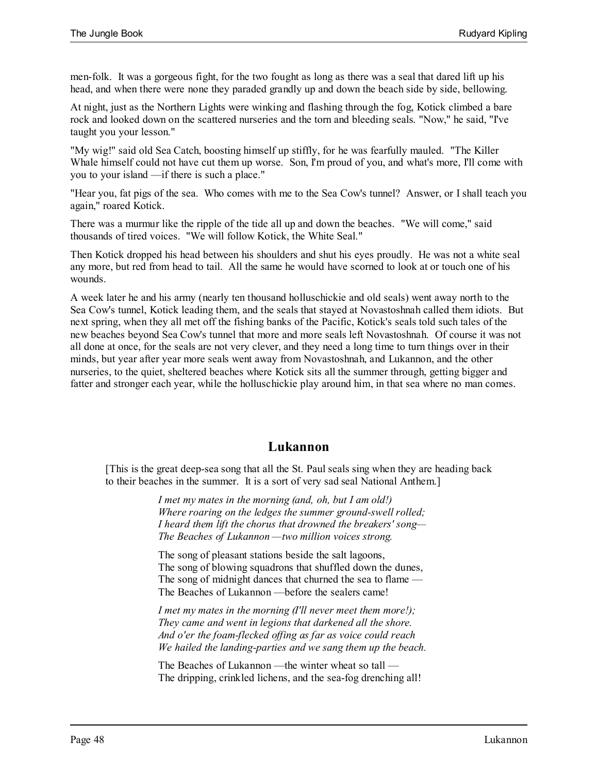men-folk. It was a gorgeous fight, for the two fought as long as there was a seal that dared lift up his head, and when there were none they paraded grandly up and down the beach side by side, bellowing.

At night, just as the Northern Lights were winking and flashing through the fog, Kotick climbed a bare rock and looked down on the scattered nurseries and the torn and bleeding seals. "Now," he said, "I've taught you your lesson."

"My wig!" said old Sea Catch, boosting himself up stiffly, for he was fearfully mauled. "The Killer Whale himself could not have cut them up worse. Son, I'm proud of you, and what's more, I'll come with you to your island —if there is such a place."

"Hear you, fat pigs of the sea. Who comes with me to the Sea Cow's tunnel? Answer, or I shall teach you again," roared Kotick.

There was a murmur like the ripple of the tide all up and down the beaches. "We will come," said thousands of tired voices. "We will follow Kotick, the White Seal."

Then Kotick dropped his head between his shoulders and shut his eyes proudly. He was not a white seal any more, but red from head to tail. All the same he would have scorned to look at or touch one of his wounds.

A week later he and his army (nearly ten thousand holluschickie and old seals) went away north to the Sea Cow's tunnel, Kotick leading them, and the seals that stayed at Novastoshnah called them idiots. But next spring, when they all met off the fishing banks of the Pacific, Kotick's seals told such tales of the new beaches beyond Sea Cow's tunnel that more and more seals left Novastoshnah. Of course it was not all done at once, for the seals are not very clever, and they need a long time to turn things over in their minds, but year after year more seals went away from Novastoshnah, and Lukannon, and the other nurseries, to the quiet, sheltered beaches where Kotick sits all the summer through, getting bigger and fatter and stronger each year, while the holluschickie play around him, in that sea where no man comes.

### **Lukannon**

[This is the great deep-sea song that all the St. Paul seals sing when they are heading back to their beaches in the summer. It is a sort of very sad seal National Anthem.]

> *I met my mates in the morning (and, oh, but I am old!) Where roaring on the ledges the summer ground-swell rolled; I heard them lift the chorus that drowned the breakers' song— The Beaches of Lukannon —two million voices strong.*

> The song of pleasant stations beside the salt lagoons, The song of blowing squadrons that shuffled down the dunes, The song of midnight dances that churned the sea to flame — The Beaches of Lukannon —before the sealers came!

> *I met my mates in the morning (I'll never meet them more!); They came and went in legions that darkened all the shore. And o'er the foam-flecked offing as far as voice could reach We hailed the landing-parties and we sang them up the beach.*

The Beaches of Lukannon —the winter wheat so tall — The dripping, crinkled lichens, and the sea-fog drenching all!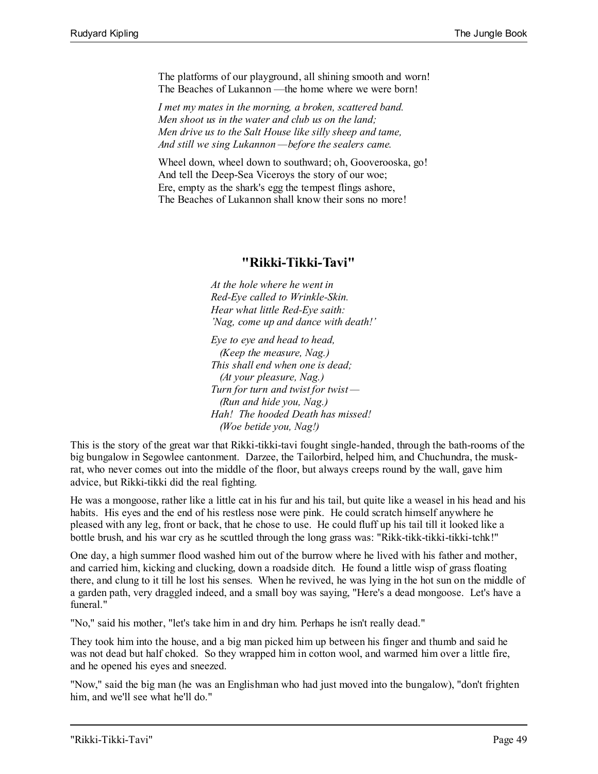The platforms of our playground, all shining smooth and worn! The Beaches of Lukannon —the home where we were born!

*I met my mates in the morning, a broken, scattered band. Men shoot us in the water and club us on the land; Men drive us to the Salt House like silly sheep and tame, And still we sing Lukannon —before the sealers came.*

Wheel down, wheel down to southward; oh, Gooverooska, go! And tell the Deep-Sea Viceroys the story of our woe; Ere, empty as the shark's egg the tempest flings ashore, The Beaches of Lukannon shall know their sons no more!

### **"Rikki-Tikki-Tavi"**

*At the hole where he went in Red-Eye called to Wrinkle-Skin. Hear what little Red-Eye saith: 'Nag, come up and dance with death!'*

*Eye to eye and head to head, (Keep the measure, Nag.) This shall end when one is dead; (At your pleasure, Nag.) Turn for turn and twist for twist — (Run and hide you, Nag.) Hah! The hooded Death has missed! (Woe betide you, Nag!)*

This is the story of the great war that Rikki-tikki-tavi fought single-handed, through the bath-rooms of the big bungalow in Segowlee cantonment. Darzee, the Tailorbird, helped him, and Chuchundra, the muskrat, who never comes out into the middle of the floor, but always creeps round by the wall, gave him advice, but Rikki-tikki did the real fighting.

He was a mongoose, rather like a little cat in his fur and his tail, but quite like a weasel in his head and his habits. His eyes and the end of his restless nose were pink. He could scratch himself anywhere he pleased with any leg, front or back, that he chose to use. He could fluff up his tail till it looked like a bottle brush, and his war cry as he scuttled through the long grass was: "Rikk-tikk-tikki-tikki-tchk!"

One day, a high summer flood washed him out of the burrow where he lived with his father and mother, and carried him, kicking and clucking, down a roadside ditch. He found a little wisp of grass floating there, and clung to it till he lost his senses. When he revived, he was lying in the hot sun on the middle of a garden path, very draggled indeed, and a small boy was saying, "Here's a dead mongoose. Let's have a funeral."

"No," said his mother, "let's take him in and dry him. Perhaps he isn't really dead."

They took him into the house, and a big man picked him up between his finger and thumb and said he was not dead but half choked. So they wrapped him in cotton wool, and warmed him over a little fire, and he opened his eyes and sneezed.

"Now," said the big man (he was an Englishman who had just moved into the bungalow), "don't frighten him, and we'll see what he'll do."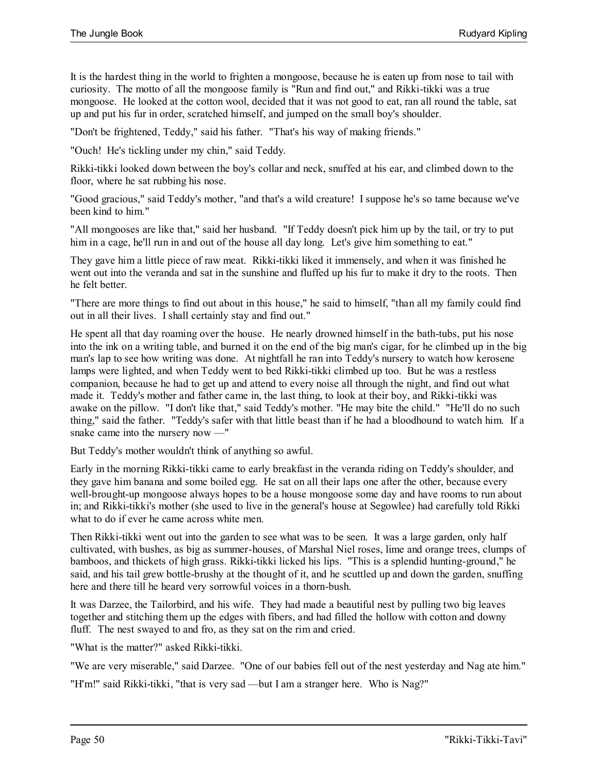It is the hardest thing in the world to frighten a mongoose, because he is eaten up from nose to tail with curiosity. The motto of all the mongoose family is "Run and find out," and Rikki-tikki was a true mongoose. He looked at the cotton wool, decided that it was not good to eat, ran all round the table, sat up and put his fur in order, scratched himself, and jumped on the small boy's shoulder.

"Don't be frightened, Teddy," said his father. "That's his way of making friends."

"Ouch! He's tickling under my chin," said Teddy.

Rikki-tikki looked down between the boy's collar and neck, snuffed at his ear, and climbed down to the floor, where he sat rubbing his nose.

"Good gracious," said Teddy's mother, "and that's a wild creature! I suppose he's so tame because we've been kind to him."

"All mongooses are like that," said her husband. "If Teddy doesn't pick him up by the tail, or try to put him in a cage, he'll run in and out of the house all day long. Let's give him something to eat."

They gave him a little piece of raw meat. Rikki-tikki liked it immensely, and when it was finished he went out into the veranda and sat in the sunshine and fluffed up his fur to make it dry to the roots. Then he felt better.

"There are more things to find out about in this house," he said to himself, "than all my family could find out in all their lives. I shall certainly stay and find out."

He spent all that day roaming over the house. He nearly drowned himself in the bath-tubs, put his nose into the ink on a writing table, and burned it on the end of the big man's cigar, for he climbed up in the big man's lap to see how writing was done. At nightfall he ran into Teddy's nursery to watch how kerosene lamps were lighted, and when Teddy went to bed Rikki-tikki climbed up too. But he was a restless companion, because he had to get up and attend to every noise all through the night, and find out what made it. Teddy's mother and father came in, the last thing, to look at their boy, and Rikki-tikki was awake on the pillow. "I don't like that," said Teddy's mother. "He may bite the child." "He'll do no such thing," said the father. "Teddy's safer with that little beast than if he had a bloodhound to watch him. If a snake came into the nursery now —"

But Teddy's mother wouldn't think of anything so awful.

Early in the morning Rikki-tikki came to early breakfast in the veranda riding on Teddy's shoulder, and they gave him banana and some boiled egg. He sat on all their laps one after the other, because every well-brought-up mongoose always hopes to be a house mongoose some day and have rooms to run about in; and Rikki-tikki's mother (she used to live in the general's house at Segowlee) had carefully told Rikki what to do if ever he came across white men.

Then Rikki-tikki went out into the garden to see what was to be seen. It was a large garden, only half cultivated, with bushes, as big as summer-houses, of Marshal Niel roses, lime and orange trees, clumps of bamboos, and thickets of high grass. Rikki-tikki licked his lips. "This is a splendid hunting-ground," he said, and his tail grew bottle-brushy at the thought of it, and he scuttled up and down the garden, snuffing here and there till he heard very sorrowful voices in a thorn-bush.

It was Darzee, the Tailorbird, and his wife. They had made a beautiful nest by pulling two big leaves together and stitching them up the edges with fibers, and had filled the hollow with cotton and downy fluff. The nest swayed to and fro, as they sat on the rim and cried.

"What is the matter?" asked Rikki-tikki.

"We are very miserable," said Darzee. "One of our babies fell out of the nest yesterday and Nag ate him."

"H'm!" said Rikki-tikki, "that is very sad —but I am a stranger here. Who is Nag?"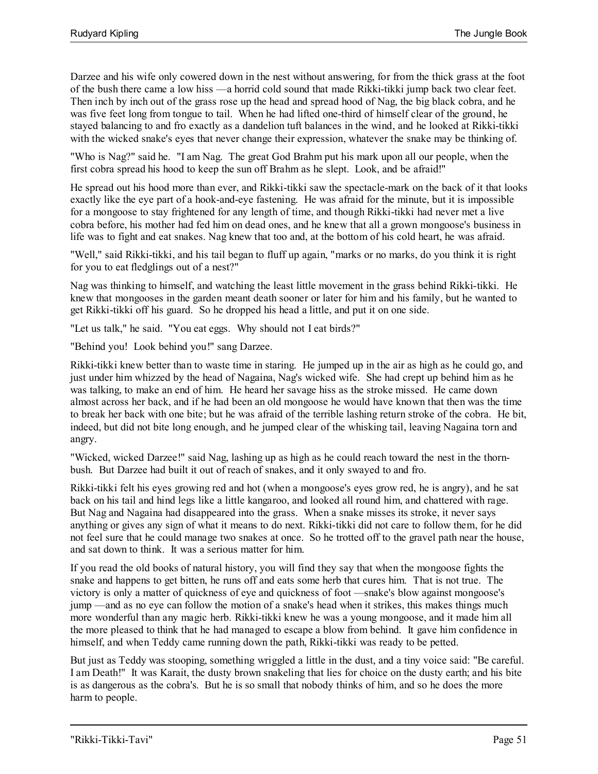Darzee and his wife only cowered down in the nest without answering, for from the thick grass at the foot of the bush there came a low hiss —a horrid cold sound that made Rikki-tikki jump back two clear feet. Then inch by inch out of the grass rose up the head and spread hood of Nag, the big black cobra, and he was five feet long from tongue to tail. When he had lifted one-third of himself clear of the ground, he stayed balancing to and fro exactly as a dandelion tuft balances in the wind, and he looked at Rikki-tikki with the wicked snake's eyes that never change their expression, whatever the snake may be thinking of.

"Who is Nag?" said he. "I am Nag. The great God Brahm put his mark upon all our people, when the first cobra spread his hood to keep the sun off Brahm as he slept. Look, and be afraid!"

He spread out his hood more than ever, and Rikki-tikki saw the spectacle-mark on the back of it that looks exactly like the eye part of a hook-and-eye fastening. He was afraid for the minute, but it is impossible for a mongoose to stay frightened for any length of time, and though Rikki-tikki had never met a live cobra before, his mother had fed him on dead ones, and he knew that all a grown mongoose's business in life was to fight and eat snakes. Nag knew that too and, at the bottom of his cold heart, he was afraid.

"Well," said Rikki-tikki, and his tail began to fluff up again, "marks or no marks, do you think it is right for you to eat fledglings out of a nest?"

Nag was thinking to himself, and watching the least little movement in the grass behind Rikki-tikki. He knew that mongooses in the garden meant death sooner or later for him and his family, but he wanted to get Rikki-tikki off his guard. So he dropped his head a little, and put it on one side.

"Let us talk," he said. "You eat eggs. Why should not I eat birds?"

"Behind you! Look behind you!" sang Darzee.

Rikki-tikki knew better than to waste time in staring. He jumped up in the air as high as he could go, and just under him whizzed by the head of Nagaina, Nag's wicked wife. She had crept up behind him as he was talking, to make an end of him. He heard her savage hiss as the stroke missed. He came down almost across her back, and if he had been an old mongoose he would have known that then was the time to break her back with one bite; but he was afraid of the terrible lashing return stroke of the cobra. He bit, indeed, but did not bite long enough, and he jumped clear of the whisking tail, leaving Nagaina torn and angry.

"Wicked, wicked Darzee!" said Nag, lashing up as high as he could reach toward the nest in the thornbush. But Darzee had built it out of reach of snakes, and it only swayed to and fro.

Rikki-tikki felt his eyes growing red and hot (when a mongoose's eyes grow red, he is angry), and he sat back on his tail and hind legs like a little kangaroo, and looked all round him, and chattered with rage. But Nag and Nagaina had disappeared into the grass. When a snake misses its stroke, it never says anything or gives any sign of what it means to do next. Rikki-tikki did not care to follow them, for he did not feel sure that he could manage two snakes at once. So he trotted off to the gravel path near the house, and sat down to think. It was a serious matter for him.

If you read the old books of natural history, you will find they say that when the mongoose fights the snake and happens to get bitten, he runs off and eats some herb that cures him. That is not true. The victory is only a matter of quickness of eye and quickness of foot —snake's blow against mongoose's jump —and as no eye can follow the motion of a snake's head when it strikes, this makes things much more wonderful than any magic herb. Rikki-tikki knew he was a young mongoose, and it made him all the more pleased to think that he had managed to escape a blow from behind. It gave him confidence in himself, and when Teddy came running down the path, Rikki-tikki was ready to be petted.

But just as Teddy was stooping, something wriggled a little in the dust, and a tiny voice said: "Be careful. I am Death!" It was Karait, the dusty brown snakeling that lies for choice on the dusty earth; and his bite is as dangerous as the cobra's. But he is so small that nobody thinks of him, and so he does the more harm to people.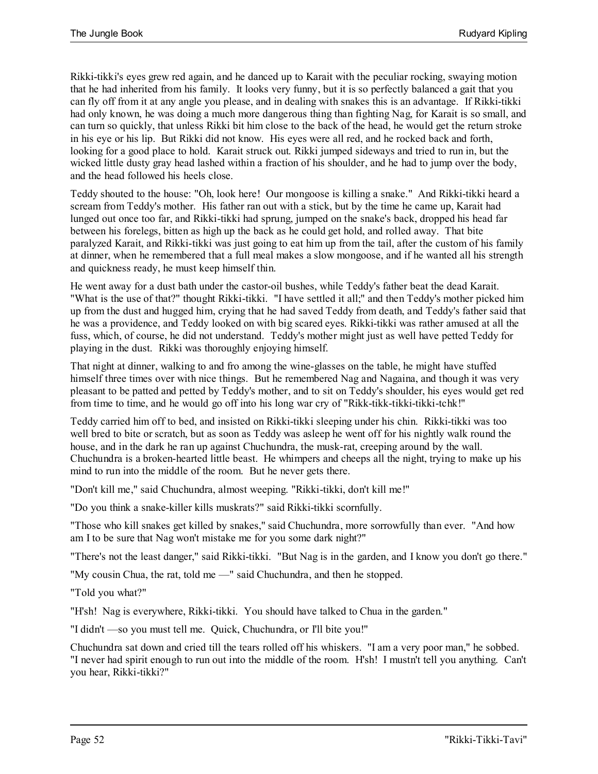Rikki-tikki's eyes grew red again, and he danced up to Karait with the peculiar rocking, swaying motion that he had inherited from his family. It looks very funny, but it is so perfectly balanced a gait that you can fly off from it at any angle you please, and in dealing with snakes this is an advantage. If Rikki-tikki had only known, he was doing a much more dangerous thing than fighting Nag, for Karait is so small, and can turn so quickly, that unless Rikki bit him close to the back of the head, he would get the return stroke in his eye or his lip. But Rikki did not know. His eyes were all red, and he rocked back and forth, looking for a good place to hold. Karait struck out. Rikki jumped sideways and tried to run in, but the wicked little dusty gray head lashed within a fraction of his shoulder, and he had to jump over the body, and the head followed his heels close.

Teddy shouted to the house: "Oh, look here! Our mongoose is killing a snake." And Rikki-tikki heard a scream from Teddy's mother. His father ran out with a stick, but by the time he came up, Karait had lunged out once too far, and Rikki-tikki had sprung, jumped on the snake's back, dropped his head far between his forelegs, bitten as high up the back as he could get hold, and rolled away. That bite paralyzed Karait, and Rikki-tikki was just going to eat him up from the tail, after the custom of his family at dinner, when he remembered that a full meal makes a slow mongoose, and if he wanted all his strength and quickness ready, he must keep himself thin.

He went away for a dust bath under the castor-oil bushes, while Teddy's father beat the dead Karait. "What is the use of that?" thought Rikki-tikki. "I have settled it all;" and then Teddy's mother picked him up from the dust and hugged him, crying that he had saved Teddy from death, and Teddy's father said that he was a providence, and Teddy looked on with big scared eyes. Rikki-tikki was rather amused at all the fuss, which, of course, he did not understand. Teddy's mother might just as well have petted Teddy for playing in the dust. Rikki was thoroughly enjoying himself.

That night at dinner, walking to and fro among the wine-glasses on the table, he might have stuffed himself three times over with nice things. But he remembered Nag and Nagaina, and though it was very pleasant to be patted and petted by Teddy's mother, and to sit on Teddy's shoulder, his eyes would get red from time to time, and he would go off into his long war cry of "Rikk-tikk-tikki-tikki-tchk!"

Teddy carried him off to bed, and insisted on Rikki-tikki sleeping under his chin. Rikki-tikki was too well bred to bite or scratch, but as soon as Teddy was asleep he went off for his nightly walk round the house, and in the dark he ran up against Chuchundra, the musk-rat, creeping around by the wall. Chuchundra is a broken-hearted little beast. He whimpers and cheeps all the night, trying to make up his mind to run into the middle of the room. But he never gets there.

"Don't kill me," said Chuchundra, almost weeping. "Rikki-tikki, don't kill me!"

"Do you think a snake-killer kills muskrats?" said Rikki-tikki scornfully.

"Those who kill snakes get killed by snakes," said Chuchundra, more sorrowfully than ever. "And how am I to be sure that Nag won't mistake me for you some dark night?"

"There's not the least danger," said Rikki-tikki. "But Nag is in the garden, and I know you don't go there."

"My cousin Chua, the rat, told me —" said Chuchundra, and then he stopped.

"Told you what?"

"H'sh! Nag is everywhere, Rikki-tikki. You should have talked to Chua in the garden."

"I didn't —so you must tell me. Quick, Chuchundra, or I'll bite you!"

Chuchundra sat down and cried till the tears rolled off his whiskers. "I am a very poor man," he sobbed. "I never had spirit enough to run out into the middle of the room. H'sh! I mustn't tell you anything. Can't you hear, Rikki-tikki?"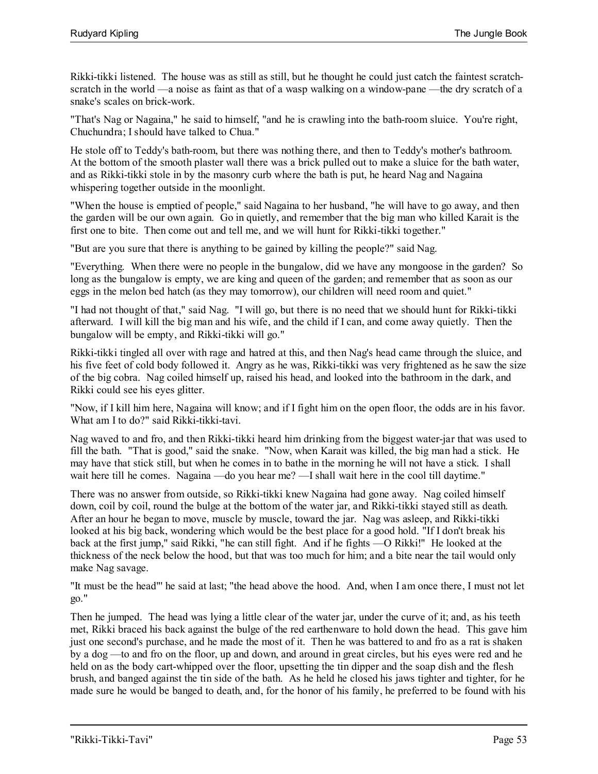Rikki-tikki listened. The house was as still as still, but he thought he could just catch the faintest scratchscratch in the world —a noise as faint as that of a wasp walking on a window-pane —the dry scratch of a snake's scales on brick-work.

"That's Nag or Nagaina," he said to himself, "and he is crawling into the bath-room sluice. You're right, Chuchundra; I should have talked to Chua."

He stole off to Teddy's bath-room, but there was nothing there, and then to Teddy's mother's bathroom. At the bottom of the smooth plaster wall there was a brick pulled out to make a sluice for the bath water, and as Rikki-tikki stole in by the masonry curb where the bath is put, he heard Nag and Nagaina whispering together outside in the moonlight.

"When the house is emptied of people," said Nagaina to her husband, "he will have to go away, and then the garden will be our own again. Go in quietly, and remember that the big man who killed Karait is the first one to bite. Then come out and tell me, and we will hunt for Rikki-tikki together."

"But are you sure that there is anything to be gained by killing the people?" said Nag.

"Everything. When there were no people in the bungalow, did we have any mongoose in the garden? So long as the bungalow is empty, we are king and queen of the garden; and remember that as soon as our eggs in the melon bed hatch (as they may tomorrow), our children will need room and quiet."

"I had not thought of that," said Nag. "I will go, but there is no need that we should hunt for Rikki-tikki afterward. I will kill the big man and his wife, and the child if I can, and come away quietly. Then the bungalow will be empty, and Rikki-tikki will go."

Rikki-tikki tingled all over with rage and hatred at this, and then Nag's head came through the sluice, and his five feet of cold body followed it. Angry as he was, Rikki-tikki was very frightened as he saw the size of the big cobra. Nag coiled himself up, raised his head, and looked into the bathroom in the dark, and Rikki could see his eyes glitter.

"Now, if I kill him here, Nagaina will know; and if I fight him on the open floor, the odds are in his favor. What am I to do?" said Rikki-tikki-tavi.

Nag waved to and fro, and then Rikki-tikki heard him drinking from the biggest water-jar that was used to fill the bath. "That is good," said the snake. "Now, when Karait was killed, the big man had a stick. He may have that stick still, but when he comes in to bathe in the morning he will not have a stick. I shall wait here till he comes. Nagaina —do you hear me? —I shall wait here in the cool till daytime."

There was no answer from outside, so Rikki-tikki knew Nagaina had gone away. Nag coiled himself down, coil by coil, round the bulge at the bottom of the water jar, and Rikki-tikki stayed still as death. After an hour he began to move, muscle by muscle, toward the jar. Nag was asleep, and Rikki-tikki looked at his big back, wondering which would be the best place for a good hold. "If I don't break his back at the first jump," said Rikki, "he can still fight. And if he fights —O Rikki!" He looked at the thickness of the neck below the hood, but that was too much for him; and a bite near the tail would only make Nag savage.

"It must be the head"' he said at last; "the head above the hood. And, when I am once there, I must not let go."

Then he jumped. The head was lying a little clear of the water jar, under the curve of it; and, as his teeth met, Rikki braced his back against the bulge of the red earthenware to hold down the head. This gave him just one second's purchase, and he made the most of it. Then he was battered to and fro as a rat is shaken by a dog —to and fro on the floor, up and down, and around in great circles, but his eyes were red and he held on as the body cart-whipped over the floor, upsetting the tin dipper and the soap dish and the flesh brush, and banged against the tin side of the bath. As he held he closed his jaws tighter and tighter, for he made sure he would be banged to death, and, for the honor of his family, he preferred to be found with his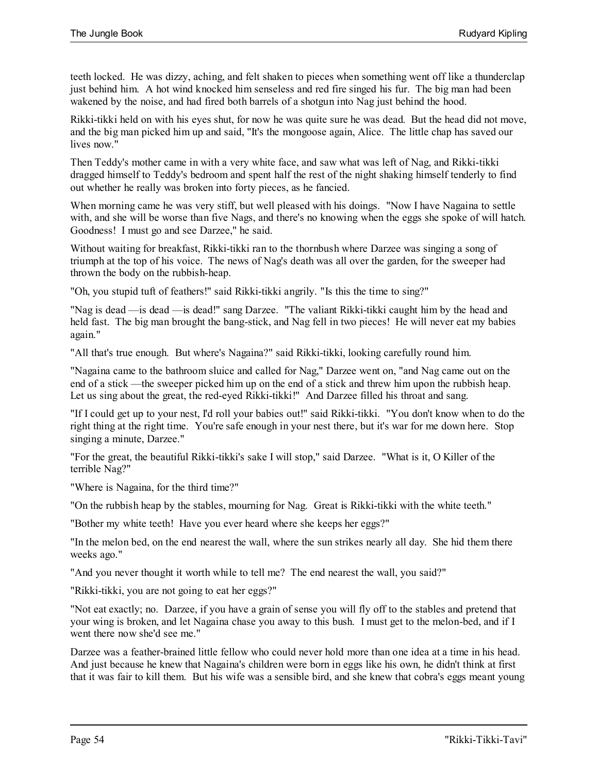teeth locked. He was dizzy, aching, and felt shaken to pieces when something went off like a thunderclap just behind him. A hot wind knocked him senseless and red fire singed his fur. The big man had been wakened by the noise, and had fired both barrels of a shotgun into Nag just behind the hood.

Rikki-tikki held on with his eyes shut, for now he was quite sure he was dead. But the head did not move, and the big man picked him up and said, "It's the mongoose again, Alice. The little chap has saved our lives now."

Then Teddy's mother came in with a very white face, and saw what was left of Nag, and Rikki-tikki dragged himself to Teddy's bedroom and spent half the rest of the night shaking himself tenderly to find out whether he really was broken into forty pieces, as he fancied.

When morning came he was very stiff, but well pleased with his doings. "Now I have Nagaina to settle with, and she will be worse than five Nags, and there's no knowing when the eggs she spoke of will hatch. Goodness! I must go and see Darzee," he said.

Without waiting for breakfast, Rikki-tikki ran to the thornbush where Darzee was singing a song of triumph at the top of his voice. The news of Nag's death was all over the garden, for the sweeper had thrown the body on the rubbish-heap.

"Oh, you stupid tuft of feathers!" said Rikki-tikki angrily. "Is this the time to sing?"

"Nag is dead —is dead —is dead!" sang Darzee. "The valiant Rikki-tikki caught him by the head and held fast. The big man brought the bang-stick, and Nag fell in two pieces! He will never eat my babies again."

"All that's true enough. But where's Nagaina?" said Rikki-tikki, looking carefully round him.

"Nagaina came to the bathroom sluice and called for Nag," Darzee went on, "and Nag came out on the end of a stick —the sweeper picked him up on the end of a stick and threw him upon the rubbish heap. Let us sing about the great, the red-eyed Rikki-tikki!" And Darzee filled his throat and sang.

"If I could get up to your nest, I'd roll your babies out!" said Rikki-tikki. "You don't know when to do the right thing at the right time. You're safe enough in your nest there, but it's war for me down here. Stop singing a minute, Darzee."

"For the great, the beautiful Rikki-tikki's sake I will stop," said Darzee. "What is it, O Killer of the terrible Nag?"

"Where is Nagaina, for the third time?"

"On the rubbish heap by the stables, mourning for Nag. Great is Rikki-tikki with the white teeth."

"Bother my white teeth! Have you ever heard where she keeps her eggs?"

"In the melon bed, on the end nearest the wall, where the sun strikes nearly all day. She hid them there weeks ago."

"And you never thought it worth while to tell me? The end nearest the wall, you said?"

"Rikki-tikki, you are not going to eat her eggs?"

"Not eat exactly; no. Darzee, if you have a grain of sense you will fly off to the stables and pretend that your wing is broken, and let Nagaina chase you away to this bush. I must get to the melon-bed, and if I went there now she'd see me."

Darzee was a feather-brained little fellow who could never hold more than one idea at a time in his head. And just because he knew that Nagaina's children were born in eggs like his own, he didn't think at first that it was fair to kill them. But his wife was a sensible bird, and she knew that cobra's eggs meant young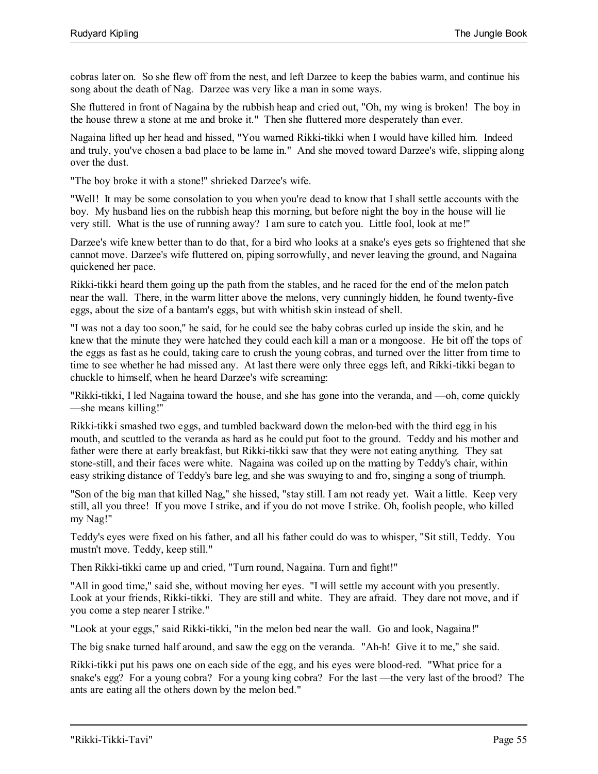cobras later on. So she flew off from the nest, and left Darzee to keep the babies warm, and continue his song about the death of Nag. Darzee was very like a man in some ways.

She fluttered in front of Nagaina by the rubbish heap and cried out, "Oh, my wing is broken! The boy in the house threw a stone at me and broke it." Then she fluttered more desperately than ever.

Nagaina lifted up her head and hissed, "You warned Rikki-tikki when I would have killed him. Indeed and truly, you've chosen a bad place to be lame in." And she moved toward Darzee's wife, slipping along over the dust.

"The boy broke it with a stone!" shrieked Darzee's wife.

"Well! It may be some consolation to you when you're dead to know that I shall settle accounts with the boy. My husband lies on the rubbish heap this morning, but before night the boy in the house will lie very still. What is the use of running away? I am sure to catch you. Little fool, look at me!"

Darzee's wife knew better than to do that, for a bird who looks at a snake's eyes gets so frightened that she cannot move. Darzee's wife fluttered on, piping sorrowfully, and never leaving the ground, and Nagaina quickened her pace.

Rikki-tikki heard them going up the path from the stables, and he raced for the end of the melon patch near the wall. There, in the warm litter above the melons, very cunningly hidden, he found twenty-five eggs, about the size of a bantam's eggs, but with whitish skin instead of shell.

"I was not a day too soon," he said, for he could see the baby cobras curled up inside the skin, and he knew that the minute they were hatched they could each kill a man or a mongoose. He bit off the tops of the eggs as fast as he could, taking care to crush the young cobras, and turned over the litter from time to time to see whether he had missed any. At last there were only three eggs left, and Rikki-tikki began to chuckle to himself, when he heard Darzee's wife screaming:

"Rikki-tikki, I led Nagaina toward the house, and she has gone into the veranda, and —oh, come quickly —she means killing!"

Rikki-tikki smashed two eggs, and tumbled backward down the melon-bed with the third egg in his mouth, and scuttled to the veranda as hard as he could put foot to the ground. Teddy and his mother and father were there at early breakfast, but Rikki-tikki saw that they were not eating anything. They sat stone-still, and their faces were white. Nagaina was coiled up on the matting by Teddy's chair, within easy striking distance of Teddy's bare leg, and she was swaying to and fro, singing a song of triumph.

"Son of the big man that killed Nag," she hissed, "stay still. I am not ready yet. Wait a little. Keep very still, all you three! If you move I strike, and if you do not move I strike. Oh, foolish people, who killed my Nag!"

Teddy's eyes were fixed on his father, and all his father could do was to whisper, "Sit still, Teddy. You mustn't move. Teddy, keep still."

Then Rikki-tikki came up and cried, "Turn round, Nagaina. Turn and fight!"

"All in good time," said she, without moving her eyes. "I will settle my account with you presently. Look at your friends, Rikki-tikki. They are still and white. They are afraid. They dare not move, and if you come a step nearer I strike."

"Look at your eggs," said Rikki-tikki, "in the melon bed near the wall. Go and look, Nagaina!"

The big snake turned half around, and saw the egg on the veranda. "Ah-h! Give it to me," she said.

Rikki-tikki put his paws one on each side of the egg, and his eyes were blood-red. "What price for a snake's egg? For a young cobra? For a young king cobra? For the last —the very last of the brood? The ants are eating all the others down by the melon bed."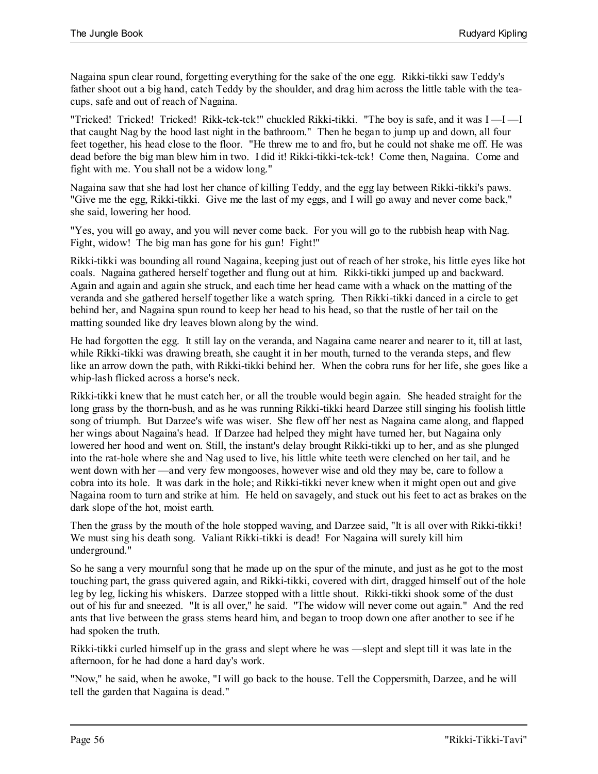Nagaina spun clear round, forgetting everything for the sake of the one egg. Rikki-tikki saw Teddy's father shoot out a big hand, catch Teddy by the shoulder, and drag him across the little table with the teacups, safe and out of reach of Nagaina.

"Tricked! Tricked! Tricked! Rikk-tck-tck!" chuckled Rikki-tikki. "The boy is safe, and it was  $I - I - I$ that caught Nag by the hood last night in the bathroom." Then he began to jump up and down, all four feet together, his head close to the floor. "He threw me to and fro, but he could not shake me off. He was dead before the big man blew him in two. I did it! Rikki-tikki-tck-tck! Come then, Nagaina. Come and fight with me. You shall not be a widow long."

Nagaina saw that she had lost her chance of killing Teddy, and the egg lay between Rikki-tikki's paws. "Give me the egg, Rikki-tikki. Give me the last of my eggs, and I will go away and never come back," she said, lowering her hood.

"Yes, you will go away, and you will never come back. For you will go to the rubbish heap with Nag. Fight, widow! The big man has gone for his gun! Fight!"

Rikki-tikki was bounding all round Nagaina, keeping just out of reach of her stroke, his little eyes like hot coals. Nagaina gathered herself together and flung out at him. Rikki-tikki jumped up and backward. Again and again and again she struck, and each time her head came with a whack on the matting of the veranda and she gathered herself together like a watch spring. Then Rikki-tikki danced in a circle to get behind her, and Nagaina spun round to keep her head to his head, so that the rustle of her tail on the matting sounded like dry leaves blown along by the wind.

He had forgotten the egg. It still lay on the veranda, and Nagaina came nearer and nearer to it, till at last, while Rikki-tikki was drawing breath, she caught it in her mouth, turned to the veranda steps, and flew like an arrow down the path, with Rikki-tikki behind her. When the cobra runs for her life, she goes like a whip-lash flicked across a horse's neck.

Rikki-tikki knew that he must catch her, or all the trouble would begin again. She headed straight for the long grass by the thorn-bush, and as he was running Rikki-tikki heard Darzee still singing his foolish little song of triumph. But Darzee's wife was wiser. She flew off her nest as Nagaina came along, and flapped her wings about Nagaina's head. If Darzee had helped they might have turned her, but Nagaina only lowered her hood and went on. Still, the instant's delay brought Rikki-tikki up to her, and as she plunged into the rat-hole where she and Nag used to live, his little white teeth were clenched on her tail, and he went down with her —and very few mongooses, however wise and old they may be, care to follow a cobra into its hole. It was dark in the hole; and Rikki-tikki never knew when it might open out and give Nagaina room to turn and strike at him. He held on savagely, and stuck out his feet to act as brakes on the dark slope of the hot, moist earth.

Then the grass by the mouth of the hole stopped waving, and Darzee said, "It is all over with Rikki-tikki!" We must sing his death song. Valiant Rikki-tikki is dead! For Nagaina will surely kill him underground."

So he sang a very mournful song that he made up on the spur of the minute, and just as he got to the most touching part, the grass quivered again, and Rikki-tikki, covered with dirt, dragged himself out of the hole leg by leg, licking his whiskers. Darzee stopped with a little shout. Rikki-tikki shook some of the dust out of his fur and sneezed. "It is all over," he said. "The widow will never come out again." And the red ants that live between the grass stems heard him, and began to troop down one after another to see if he had spoken the truth.

Rikki-tikki curled himself up in the grass and slept where he was —slept and slept till it was late in the afternoon, for he had done a hard day's work.

"Now," he said, when he awoke, "I will go back to the house. Tell the Coppersmith, Darzee, and he will tell the garden that Nagaina is dead."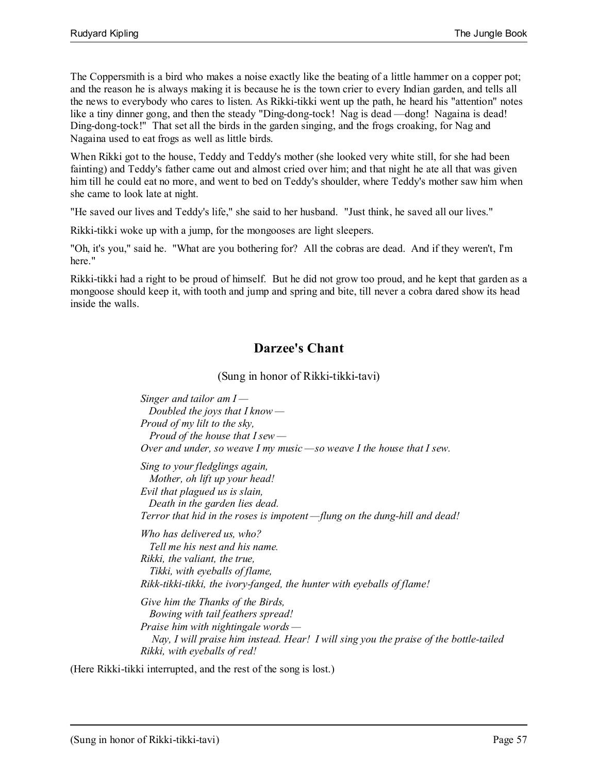The Coppersmith is a bird who makes a noise exactly like the beating of a little hammer on a copper pot; and the reason he is always making it is because he is the town crier to every Indian garden, and tells all the news to everybody who cares to listen. As Rikki-tikki went up the path, he heard his "attention" notes like a tiny dinner gong, and then the steady "Ding-dong-tock! Nag is dead —dong! Nagaina is dead! Ding-dong-tock!" That set all the birds in the garden singing, and the frogs croaking, for Nag and Nagaina used to eat frogs as well as little birds.

When Rikki got to the house, Teddy and Teddy's mother (she looked very white still, for she had been fainting) and Teddy's father came out and almost cried over him; and that night he ate all that was given him till he could eat no more, and went to bed on Teddy's shoulder, where Teddy's mother saw him when she came to look late at night.

"He saved our lives and Teddy's life," she said to her husband. "Just think, he saved all our lives."

Rikki-tikki woke up with a jump, for the mongooses are light sleepers.

"Oh, it's you," said he. "What are you bothering for? All the cobras are dead. And if they weren't, I'm here."

Rikki-tikki had a right to be proud of himself. But he did not grow too proud, and he kept that garden as a mongoose should keep it, with tooth and jump and spring and bite, till never a cobra dared show its head inside the walls.

### **Darzee's Chant**

(Sung in honor of Rikki-tikki-tavi)

*Singer and tailor am I — Doubled the joys that I know — Proud of my lilt to the sky, Proud of the house that I sew — Over and under, so weave I my music —so weave I the house that I sew.*

*Sing to your fledglings again, Mother, oh lift up your head! Evil that plagued us is slain, Death in the garden lies dead. Terror that hid in the roses is impotent —flung on the dung-hill and dead!*

*Who has delivered us, who? Tell me his nest and his name. Rikki, the valiant, the true, Tikki, with eyeballs of flame, Rikk-tikki-tikki, the ivory-fanged, the hunter with eyeballs of flame!*

*Give him the Thanks of the Birds, Bowing with tail feathers spread! Praise him with nightingale words — Nay, I will praise him instead. Hear! I will sing you the praise of the bottle-tailed Rikki, with eyeballs of red!*

(Here Rikki-tikki interrupted, and the rest of the song is lost.)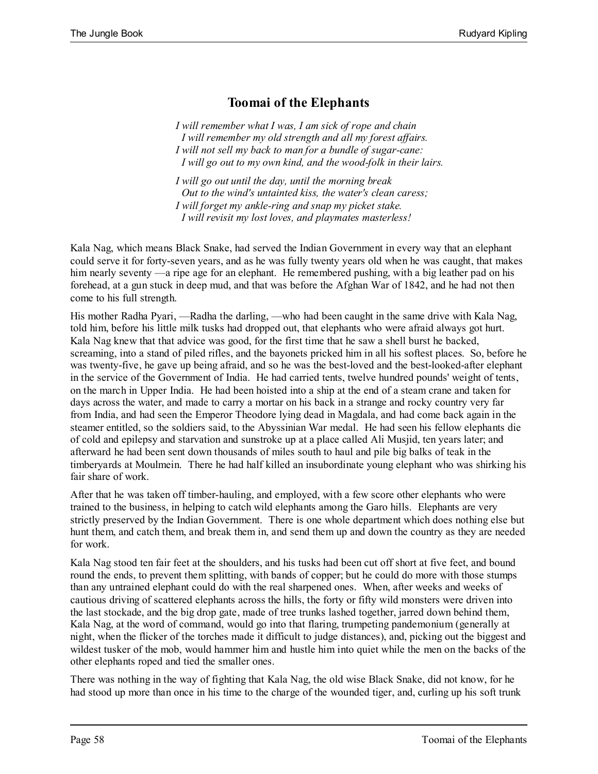## **Toomai of the Elephants**

*I will remember what I was, I am sick of rope and chain I will remember my old strength and all my forest affairs. I will not sell my back to man for a bundle of sugar-cane: I will go out to my own kind, and the wood-folk in their lairs.*

*I will go out until the day, until the morning break Out to the wind's untainted kiss, the water's clean caress; I will forget my ankle-ring and snap my picket stake. I will revisit my lost loves, and playmates masterless!*

Kala Nag, which means Black Snake, had served the Indian Government in every way that an elephant could serve it for forty-seven years, and as he was fully twenty years old when he was caught, that makes him nearly seventy —a ripe age for an elephant. He remembered pushing, with a big leather pad on his forehead, at a gun stuck in deep mud, and that was before the Afghan War of 1842, and he had not then come to his full strength.

His mother Radha Pyari, —Radha the darling, —who had been caught in the same drive with Kala Nag, told him, before his little milk tusks had dropped out, that elephants who were afraid always got hurt. Kala Nag knew that that advice was good, for the first time that he saw a shell burst he backed, screaming, into a stand of piled rifles, and the bayonets pricked him in all his softest places. So, before he was twenty-five, he gave up being afraid, and so he was the best-loved and the best-looked-after elephant in the service of the Government of India. He had carried tents, twelve hundred pounds' weight of tents, on the march in Upper India. He had been hoisted into a ship at the end of a steam crane and taken for days across the water, and made to carry a mortar on his back in a strange and rocky country very far from India, and had seen the Emperor Theodore lying dead in Magdala, and had come back again in the steamer entitled, so the soldiers said, to the Abyssinian War medal. He had seen his fellow elephants die of cold and epilepsy and starvation and sunstroke up at a place called Ali Musjid, ten years later; and afterward he had been sent down thousands of miles south to haul and pile big balks of teak in the timberyards at Moulmein. There he had half killed an insubordinate young elephant who was shirking his fair share of work.

After that he was taken off timber-hauling, and employed, with a few score other elephants who were trained to the business, in helping to catch wild elephants among the Garo hills. Elephants are very strictly preserved by the Indian Government. There is one whole department which does nothing else but hunt them, and catch them, and break them in, and send them up and down the country as they are needed for work.

Kala Nag stood ten fair feet at the shoulders, and his tusks had been cut off short at five feet, and bound round the ends, to prevent them splitting, with bands of copper; but he could do more with those stumps than any untrained elephant could do with the real sharpened ones. When, after weeks and weeks of cautious driving of scattered elephants across the hills, the forty or fifty wild monsters were driven into the last stockade, and the big drop gate, made of tree trunks lashed together, jarred down behind them, Kala Nag, at the word of command, would go into that flaring, trumpeting pandemonium (generally at night, when the flicker of the torches made it difficult to judge distances), and, picking out the biggest and wildest tusker of the mob, would hammer him and hustle him into quiet while the men on the backs of the other elephants roped and tied the smaller ones.

There was nothing in the way of fighting that Kala Nag, the old wise Black Snake, did not know, for he had stood up more than once in his time to the charge of the wounded tiger, and, curling up his soft trunk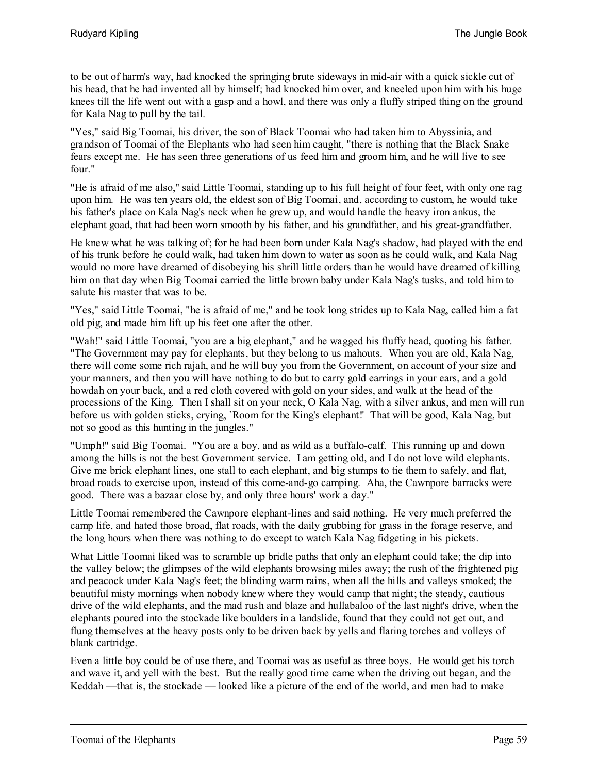to be out of harm's way, had knocked the springing brute sideways in mid-air with a quick sickle cut of his head, that he had invented all by himself; had knocked him over, and kneeled upon him with his huge knees till the life went out with a gasp and a howl, and there was only a fluffy striped thing on the ground for Kala Nag to pull by the tail.

"Yes," said Big Toomai, his driver, the son of Black Toomai who had taken him to Abyssinia, and grandson of Toomai of the Elephants who had seen him caught, "there is nothing that the Black Snake fears except me. He has seen three generations of us feed him and groom him, and he will live to see four."

"He is afraid of me also," said Little Toomai, standing up to his full height of four feet, with only one rag upon him. He was ten years old, the eldest son of Big Toomai, and, according to custom, he would take his father's place on Kala Nag's neck when he grew up, and would handle the heavy iron ankus, the elephant goad, that had been worn smooth by his father, and his grandfather, and his great-grandfather.

He knew what he was talking of; for he had been born under Kala Nag's shadow, had played with the end of his trunk before he could walk, had taken him down to water as soon as he could walk, and Kala Nag would no more have dreamed of disobeying his shrill little orders than he would have dreamed of killing him on that day when Big Toomai carried the little brown baby under Kala Nag's tusks, and told him to salute his master that was to be.

"Yes," said Little Toomai, "he is afraid of me," and he took long strides up to Kala Nag, called him a fat old pig, and made him lift up his feet one after the other.

"Wah!" said Little Toomai, "you are a big elephant," and he wagged his fluffy head, quoting his father. "The Government may pay for elephants, but they belong to us mahouts. When you are old, Kala Nag, there will come some rich rajah, and he will buy you from the Government, on account of your size and your manners, and then you will have nothing to do but to carry gold earrings in your ears, and a gold howdah on your back, and a red cloth covered with gold on your sides, and walk at the head of the processions of the King. Then I shall sit on your neck, O Kala Nag, with a silver ankus, and men will run before us with golden sticks, crying, `Room for the King's elephant!' That will be good, Kala Nag, but not so good as this hunting in the jungles."

"Umph!" said Big Toomai. "You are a boy, and as wild as a buffalo-calf. This running up and down among the hills is not the best Government service. I am getting old, and I do not love wild elephants. Give me brick elephant lines, one stall to each elephant, and big stumps to tie them to safely, and flat, broad roads to exercise upon, instead of this come-and-go camping. Aha, the Cawnpore barracks were good. There was a bazaar close by, and only three hours' work a day."

Little Toomai remembered the Cawnpore elephant-lines and said nothing. He very much preferred the camp life, and hated those broad, flat roads, with the daily grubbing for grass in the forage reserve, and the long hours when there was nothing to do except to watch Kala Nag fidgeting in his pickets.

What Little Toomai liked was to scramble up bridle paths that only an elephant could take; the dip into the valley below; the glimpses of the wild elephants browsing miles away; the rush of the frightened pig and peacock under Kala Nag's feet; the blinding warm rains, when all the hills and valleys smoked; the beautiful misty mornings when nobody knew where they would camp that night; the steady, cautious drive of the wild elephants, and the mad rush and blaze and hullabaloo of the last night's drive, when the elephants poured into the stockade like boulders in a landslide, found that they could not get out, and flung themselves at the heavy posts only to be driven back by yells and flaring torches and volleys of blank cartridge.

Even a little boy could be of use there, and Toomai was as useful as three boys. He would get his torch and wave it, and yell with the best. But the really good time came when the driving out began, and the Keddah —that is, the stockade — looked like a picture of the end of the world, and men had to make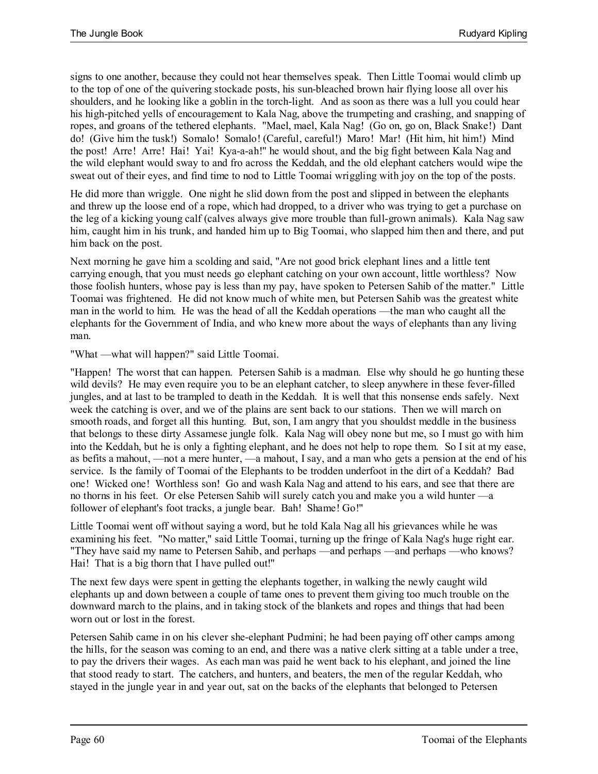signs to one another, because they could not hear themselves speak. Then Little Toomai would climb up to the top of one of the quivering stockade posts, his sun-bleached brown hair flying loose all over his shoulders, and he looking like a goblin in the torch-light. And as soon as there was a lull you could hear his high-pitched yells of encouragement to Kala Nag, above the trumpeting and crashing, and snapping of ropes, and groans of the tethered elephants. "Mael, mael, Kala Nag! (Go on, go on, Black Snake!) Dant do! (Give him the tusk!) Somalo! Somalo! (Careful, careful!) Maro! Mar! (Hit him, hit him!) Mind the post! Arre! Arre! Hai! Yai! Kya-a-ah!" he would shout, and the big fight between Kala Nag and the wild elephant would sway to and fro across the Keddah, and the old elephant catchers would wipe the sweat out of their eyes, and find time to nod to Little Toomai wriggling with joy on the top of the posts.

He did more than wriggle. One night he slid down from the post and slipped in between the elephants and threw up the loose end of a rope, which had dropped, to a driver who was trying to get a purchase on the leg of a kicking young calf (calves always give more trouble than full-grown animals). Kala Nag saw him, caught him in his trunk, and handed him up to Big Toomai, who slapped him then and there, and put him back on the post.

Next morning he gave him a scolding and said, "Are not good brick elephant lines and a little tent carrying enough, that you must needs go elephant catching on your own account, little worthless? Now those foolish hunters, whose pay is less than my pay, have spoken to Petersen Sahib of the matter." Little Toomai was frightened. He did not know much of white men, but Petersen Sahib was the greatest white man in the world to him. He was the head of all the Keddah operations —the man who caught all the elephants for the Government of India, and who knew more about the ways of elephants than any living man.

"What —what will happen?" said Little Toomai.

"Happen! The worst that can happen. Petersen Sahib is a madman. Else why should he go hunting these wild devils? He may even require you to be an elephant catcher, to sleep anywhere in these fever-filled jungles, and at last to be trampled to death in the Keddah. It is well that this nonsense ends safely. Next week the catching is over, and we of the plains are sent back to our stations. Then we will march on smooth roads, and forget all this hunting. But, son, I am angry that you shouldst meddle in the business that belongs to these dirty Assamese jungle folk. Kala Nag will obey none but me, so I must go with him into the Keddah, but he is only a fighting elephant, and he does not help to rope them. So I sit at my ease, as befits a mahout, —not a mere hunter, —a mahout, I say, and a man who gets a pension at the end of his service. Is the family of Toomai of the Elephants to be trodden underfoot in the dirt of a Keddah? Bad one! Wicked one! Worthless son! Go and wash Kala Nag and attend to his ears, and see that there are no thorns in his feet. Or else Petersen Sahib will surely catch you and make you a wild hunter —a follower of elephant's foot tracks, a jungle bear. Bah! Shame! Go!"

Little Toomai went off without saying a word, but he told Kala Nag all his grievances while he was examining his feet. "No matter," said Little Toomai, turning up the fringe of Kala Nag's huge right ear. "They have said my name to Petersen Sahib, and perhaps —and perhaps —and perhaps —who knows? Hai! That is a big thorn that I have pulled out!"

The next few days were spent in getting the elephants together, in walking the newly caught wild elephants up and down between a couple of tame ones to prevent them giving too much trouble on the downward march to the plains, and in taking stock of the blankets and ropes and things that had been worn out or lost in the forest.

Petersen Sahib came in on his clever she-elephant Pudmini; he had been paying off other camps among the hills, for the season was coming to an end, and there was a native clerk sitting at a table under a tree, to pay the drivers their wages. As each man was paid he went back to his elephant, and joined the line that stood ready to start. The catchers, and hunters, and beaters, the men of the regular Keddah, who stayed in the jungle year in and year out, sat on the backs of the elephants that belonged to Petersen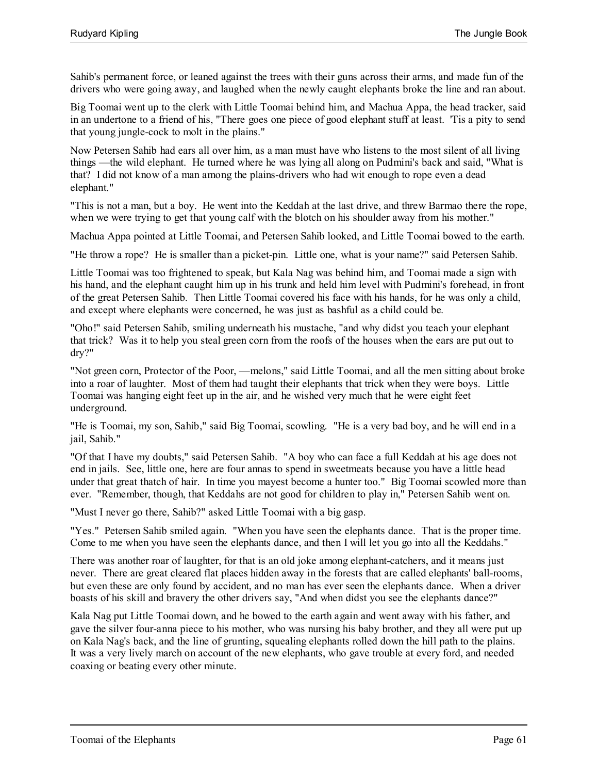Sahib's permanent force, or leaned against the trees with their guns across their arms, and made fun of the drivers who were going away, and laughed when the newly caught elephants broke the line and ran about.

Big Toomai went up to the clerk with Little Toomai behind him, and Machua Appa, the head tracker, said in an undertone to a friend of his, "There goes one piece of good elephant stuff at least. 'Tis a pity to send that young jungle-cock to molt in the plains."

Now Petersen Sahib had ears all over him, as a man must have who listens to the most silent of all living things —the wild elephant. He turned where he was lying all along on Pudmini's back and said, "What is that? I did not know of a man among the plains-drivers who had wit enough to rope even a dead elephant."

"This is not a man, but a boy. He went into the Keddah at the last drive, and threw Barmao there the rope, when we were trying to get that young calf with the blotch on his shoulder away from his mother."

Machua Appa pointed at Little Toomai, and Petersen Sahib looked, and Little Toomai bowed to the earth.

"He throw a rope? He is smaller than a picket-pin. Little one, what is your name?" said Petersen Sahib.

Little Toomai was too frightened to speak, but Kala Nag was behind him, and Toomai made a sign with his hand, and the elephant caught him up in his trunk and held him level with Pudmini's forehead, in front of the great Petersen Sahib. Then Little Toomai covered his face with his hands, for he was only a child, and except where elephants were concerned, he was just as bashful as a child could be.

"Oho!" said Petersen Sahib, smiling underneath his mustache, "and why didst you teach your elephant that trick? Was it to help you steal green corn from the roofs of the houses when the ears are put out to dry?"

"Not green corn, Protector of the Poor, —melons," said Little Toomai, and all the men sitting about broke into a roar of laughter. Most of them had taught their elephants that trick when they were boys. Little Toomai was hanging eight feet up in the air, and he wished very much that he were eight feet underground.

"He is Toomai, my son, Sahib," said Big Toomai, scowling. "He is a very bad boy, and he will end in a jail, Sahib."

"Of that I have my doubts," said Petersen Sahib. "A boy who can face a full Keddah at his age does not end in jails. See, little one, here are four annas to spend in sweetmeats because you have a little head under that great thatch of hair. In time you mayest become a hunter too." Big Toomai scowled more than ever. "Remember, though, that Keddahs are not good for children to play in," Petersen Sahib went on.

"Must I never go there, Sahib?" asked Little Toomai with a big gasp.

"Yes." Petersen Sahib smiled again. "When you have seen the elephants dance. That is the proper time. Come to me when you have seen the elephants dance, and then I will let you go into all the Keddahs."

There was another roar of laughter, for that is an old joke among elephant-catchers, and it means just never. There are great cleared flat places hidden away in the forests that are called elephants' ball-rooms, but even these are only found by accident, and no man has ever seen the elephants dance. When a driver boasts of his skill and bravery the other drivers say, "And when didst you see the elephants dance?"

Kala Nag put Little Toomai down, and he bowed to the earth again and went away with his father, and gave the silver four-anna piece to his mother, who was nursing his baby brother, and they all were put up on Kala Nag's back, and the line of grunting, squealing elephants rolled down the hill path to the plains. It was a very lively march on account of the new elephants, who gave trouble at every ford, and needed coaxing or beating every other minute.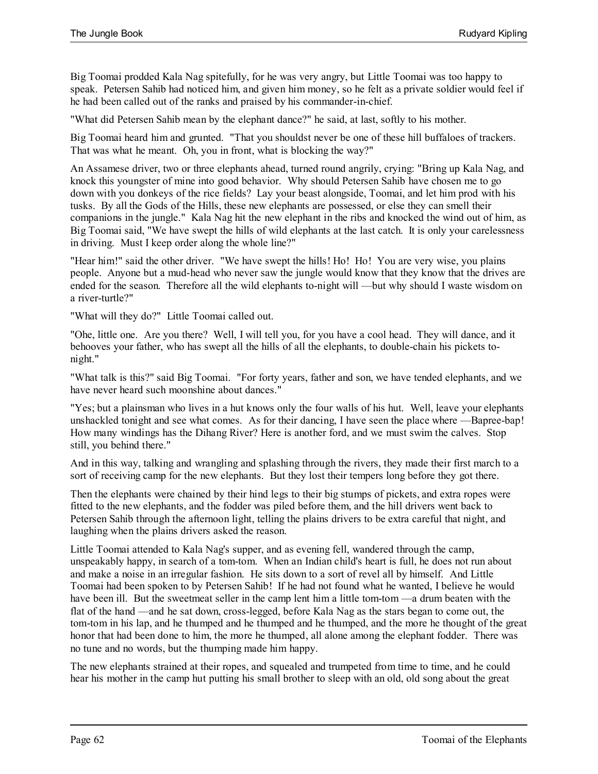Big Toomai prodded Kala Nag spitefully, for he was very angry, but Little Toomai was too happy to speak. Petersen Sahib had noticed him, and given him money, so he felt as a private soldier would feel if he had been called out of the ranks and praised by his commander-in-chief.

"What did Petersen Sahib mean by the elephant dance?" he said, at last, softly to his mother.

Big Toomai heard him and grunted. "That you shouldst never be one of these hill buffaloes of trackers. That was what he meant. Oh, you in front, what is blocking the way?"

An Assamese driver, two or three elephants ahead, turned round angrily, crying: "Bring up Kala Nag, and knock this youngster of mine into good behavior. Why should Petersen Sahib have chosen me to go down with you donkeys of the rice fields? Lay your beast alongside, Toomai, and let him prod with his tusks. By all the Gods of the Hills, these new elephants are possessed, or else they can smell their companions in the jungle." Kala Nag hit the new elephant in the ribs and knocked the wind out of him, as Big Toomai said, "We have swept the hills of wild elephants at the last catch. It is only your carelessness in driving. Must I keep order along the whole line?"

"Hear him!" said the other driver. "We have swept the hills! Ho! Ho! You are very wise, you plains people. Anyone but a mud-head who never saw the jungle would know that they know that the drives are ended for the season. Therefore all the wild elephants to-night will —but why should I waste wisdom on a river-turtle?"

"What will they do?" Little Toomai called out.

"Ohe, little one. Are you there? Well, I will tell you, for you have a cool head. They will dance, and it behooves your father, who has swept all the hills of all the elephants, to double-chain his pickets tonight."

"What talk is this?" said Big Toomai. "For forty years, father and son, we have tended elephants, and we have never heard such moonshine about dances."

"Yes; but a plainsman who lives in a hut knows only the four walls of his hut. Well, leave your elephants unshackled tonight and see what comes. As for their dancing, I have seen the place where —Bapree-bap! How many windings has the Dihang River? Here is another ford, and we must swim the calves. Stop still, you behind there."

And in this way, talking and wrangling and splashing through the rivers, they made their first march to a sort of receiving camp for the new elephants. But they lost their tempers long before they got there.

Then the elephants were chained by their hind legs to their big stumps of pickets, and extra ropes were fitted to the new elephants, and the fodder was piled before them, and the hill drivers went back to Petersen Sahib through the afternoon light, telling the plains drivers to be extra careful that night, and laughing when the plains drivers asked the reason.

Little Toomai attended to Kala Nag's supper, and as evening fell, wandered through the camp, unspeakably happy, in search of a tom-tom. When an Indian child's heart is full, he does not run about and make a noise in an irregular fashion. He sits down to a sort of revel all by himself. And Little Toomai had been spoken to by Petersen Sahib! If he had not found what he wanted, I believe he would have been ill. But the sweetmeat seller in the camp lent him a little tom-tom —a drum beaten with the flat of the hand —and he sat down, cross-legged, before Kala Nag as the stars began to come out, the tom-tom in his lap, and he thumped and he thumped and he thumped, and the more he thought of the great honor that had been done to him, the more he thumped, all alone among the elephant fodder. There was no tune and no words, but the thumping made him happy.

The new elephants strained at their ropes, and squealed and trumpeted from time to time, and he could hear his mother in the camp hut putting his small brother to sleep with an old, old song about the great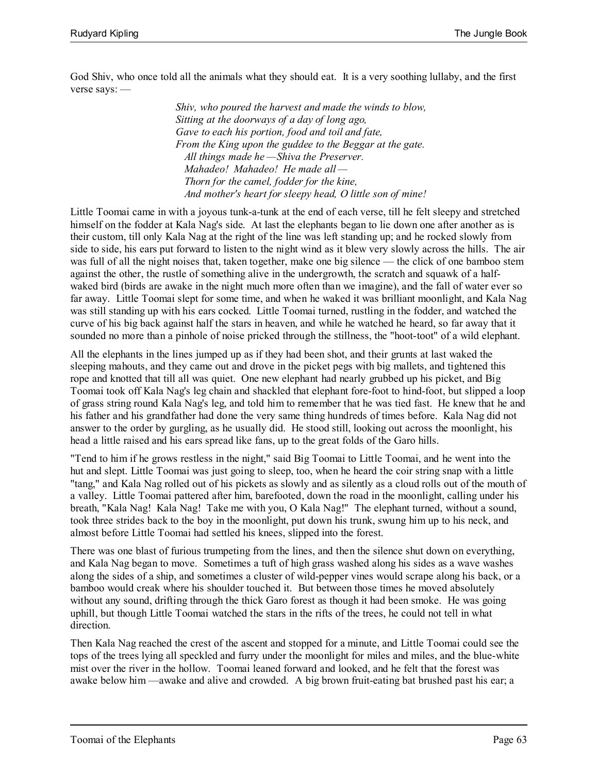God Shiv, who once told all the animals what they should eat. It is a very soothing lullaby, and the first verse says: —

> *Shiv, who poured the harvest and made the winds to blow, Sitting at the doorways of a day of long ago, Gave to each his portion, food and toil and fate, From the King upon the guddee to the Beggar at the gate. All things made he —Shiva the Preserver. Mahadeo! Mahadeo! He made all — Thorn for the camel, fodder for the kine, And mother's heart for sleepy head, O little son of mine!*

Little Toomai came in with a joyous tunk-a-tunk at the end of each verse, till he felt sleepy and stretched himself on the fodder at Kala Nag's side. At last the elephants began to lie down one after another as is their custom, till only Kala Nag at the right of the line was left standing up; and he rocked slowly from side to side, his ears put forward to listen to the night wind as it blew very slowly across the hills. The air was full of all the night noises that, taken together, make one big silence — the click of one bamboo stem against the other, the rustle of something alive in the undergrowth, the scratch and squawk of a halfwaked bird (birds are awake in the night much more often than we imagine), and the fall of water ever so far away. Little Toomai slept for some time, and when he waked it was brilliant moonlight, and Kala Nag was still standing up with his ears cocked. Little Toomai turned, rustling in the fodder, and watched the curve of his big back against half the stars in heaven, and while he watched he heard, so far away that it sounded no more than a pinhole of noise pricked through the stillness, the "hoot-toot" of a wild elephant.

All the elephants in the lines jumped up as if they had been shot, and their grunts at last waked the sleeping mahouts, and they came out and drove in the picket pegs with big mallets, and tightened this rope and knotted that till all was quiet. One new elephant had nearly grubbed up his picket, and Big Toomai took off Kala Nag's leg chain and shackled that elephant fore-foot to hind-foot, but slipped a loop of grass string round Kala Nag's leg, and told him to remember that he was tied fast. He knew that he and his father and his grandfather had done the very same thing hundreds of times before. Kala Nag did not answer to the order by gurgling, as he usually did. He stood still, looking out across the moonlight, his head a little raised and his ears spread like fans, up to the great folds of the Garo hills.

"Tend to him if he grows restless in the night," said Big Toomai to Little Toomai, and he went into the hut and slept. Little Toomai was just going to sleep, too, when he heard the coir string snap with a little "tang," and Kala Nag rolled out of his pickets as slowly and as silently as a cloud rolls out of the mouth of a valley. Little Toomai pattered after him, barefooted, down the road in the moonlight, calling under his breath, "Kala Nag! Kala Nag! Take me with you, O Kala Nag!" The elephant turned, without a sound, took three strides back to the boy in the moonlight, put down his trunk, swung him up to his neck, and almost before Little Toomai had settled his knees, slipped into the forest.

There was one blast of furious trumpeting from the lines, and then the silence shut down on everything, and Kala Nag began to move. Sometimes a tuft of high grass washed along his sides as a wave washes along the sides of a ship, and sometimes a cluster of wild-pepper vines would scrape along his back, or a bamboo would creak where his shoulder touched it. But between those times he moved absolutely without any sound, drifting through the thick Garo forest as though it had been smoke. He was going uphill, but though Little Toomai watched the stars in the rifts of the trees, he could not tell in what direction.

Then Kala Nag reached the crest of the ascent and stopped for a minute, and Little Toomai could see the tops of the trees lying all speckled and furry under the moonlight for miles and miles, and the blue-white mist over the river in the hollow. Toomai leaned forward and looked, and he felt that the forest was awake below him —awake and alive and crowded. A big brown fruit-eating bat brushed past his ear; a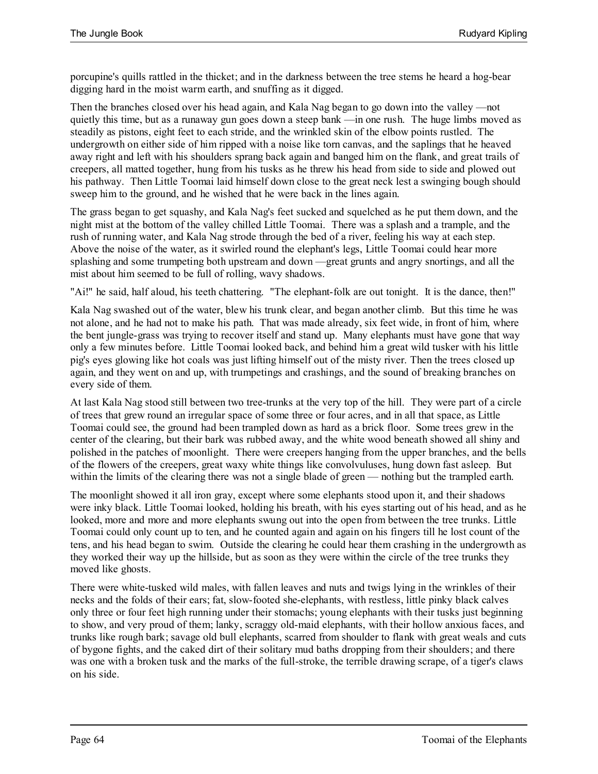porcupine's quills rattled in the thicket; and in the darkness between the tree stems he heard a hog-bear digging hard in the moist warm earth, and snuffing as it digged.

Then the branches closed over his head again, and Kala Nag began to go down into the valley —not quietly this time, but as a runaway gun goes down a steep bank —in one rush. The huge limbs moved as steadily as pistons, eight feet to each stride, and the wrinkled skin of the elbow points rustled. The undergrowth on either side of him ripped with a noise like torn canvas, and the saplings that he heaved away right and left with his shoulders sprang back again and banged him on the flank, and great trails of creepers, all matted together, hung from his tusks as he threw his head from side to side and plowed out his pathway. Then Little Toomai laid himself down close to the great neck lest a swinging bough should sweep him to the ground, and he wished that he were back in the lines again.

The grass began to get squashy, and Kala Nag's feet sucked and squelched as he put them down, and the night mist at the bottom of the valley chilled Little Toomai. There was a splash and a trample, and the rush of running water, and Kala Nag strode through the bed of a river, feeling his way at each step. Above the noise of the water, as it swirled round the elephant's legs, Little Toomai could hear more splashing and some trumpeting both upstream and down —great grunts and angry snortings, and all the mist about him seemed to be full of rolling, wavy shadows.

"Ai!" he said, half aloud, his teeth chattering. "The elephant-folk are out tonight. It is the dance, then!"

Kala Nag swashed out of the water, blew his trunk clear, and began another climb. But this time he was not alone, and he had not to make his path. That was made already, six feet wide, in front of him, where the bent jungle-grass was trying to recover itself and stand up. Many elephants must have gone that way only a few minutes before. Little Toomai looked back, and behind him a great wild tusker with his little pig's eyes glowing like hot coals was just lifting himself out of the misty river. Then the trees closed up again, and they went on and up, with trumpetings and crashings, and the sound of breaking branches on every side of them.

At last Kala Nag stood still between two tree-trunks at the very top of the hill. They were part of a circle of trees that grew round an irregular space of some three or four acres, and in all that space, as Little Toomai could see, the ground had been trampled down as hard as a brick floor. Some trees grew in the center of the clearing, but their bark was rubbed away, and the white wood beneath showed all shiny and polished in the patches of moonlight. There were creepers hanging from the upper branches, and the bells of the flowers of the creepers, great waxy white things like convolvuluses, hung down fast asleep. But within the limits of the clearing there was not a single blade of green — nothing but the trampled earth.

The moonlight showed it all iron gray, except where some elephants stood upon it, and their shadows were inky black. Little Toomai looked, holding his breath, with his eyes starting out of his head, and as he looked, more and more and more elephants swung out into the open from between the tree trunks. Little Toomai could only count up to ten, and he counted again and again on his fingers till he lost count of the tens, and his head began to swim. Outside the clearing he could hear them crashing in the undergrowth as they worked their way up the hillside, but as soon as they were within the circle of the tree trunks they moved like ghosts.

There were white-tusked wild males, with fallen leaves and nuts and twigs lying in the wrinkles of their necks and the folds of their ears; fat, slow-footed she-elephants, with restless, little pinky black calves only three or four feet high running under their stomachs; young elephants with their tusks just beginning to show, and very proud of them; lanky, scraggy old-maid elephants, with their hollow anxious faces, and trunks like rough bark; savage old bull elephants, scarred from shoulder to flank with great weals and cuts of bygone fights, and the caked dirt of their solitary mud baths dropping from their shoulders; and there was one with a broken tusk and the marks of the full-stroke, the terrible drawing scrape, of a tiger's claws on his side.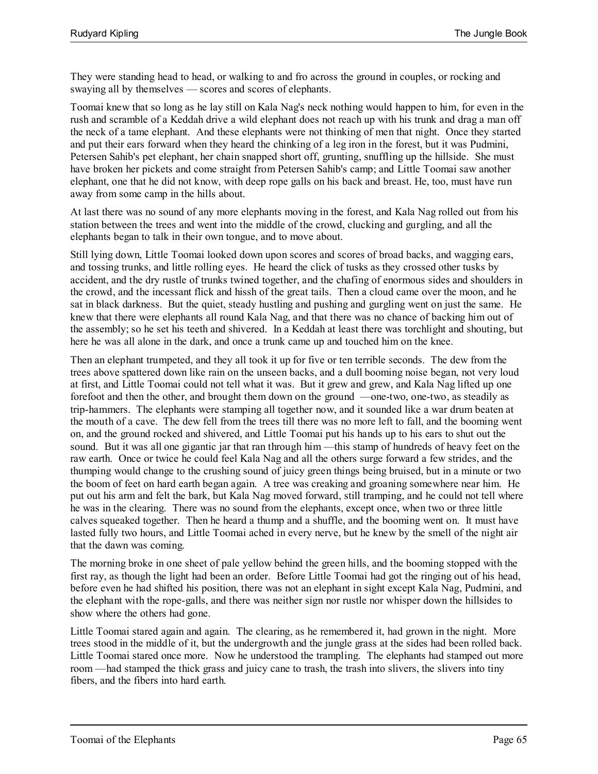They were standing head to head, or walking to and fro across the ground in couples, or rocking and swaying all by themselves — scores and scores of elephants.

Toomai knew that so long as he lay still on Kala Nag's neck nothing would happen to him, for even in the rush and scramble of a Keddah drive a wild elephant does not reach up with his trunk and drag a man off the neck of a tame elephant. And these elephants were not thinking of men that night. Once they started and put their ears forward when they heard the chinking of a leg iron in the forest, but it was Pudmini, Petersen Sahib's pet elephant, her chain snapped short off, grunting, snuffling up the hillside. She must have broken her pickets and come straight from Petersen Sahib's camp; and Little Toomai saw another elephant, one that he did not know, with deep rope galls on his back and breast. He, too, must have run away from some camp in the hills about.

At last there was no sound of any more elephants moving in the forest, and Kala Nag rolled out from his station between the trees and went into the middle of the crowd, clucking and gurgling, and all the elephants began to talk in their own tongue, and to move about.

Still lying down, Little Toomai looked down upon scores and scores of broad backs, and wagging ears, and tossing trunks, and little rolling eyes. He heard the click of tusks as they crossed other tusks by accident, and the dry rustle of trunks twined together, and the chafing of enormous sides and shoulders in the crowd, and the incessant flick and hissh of the great tails. Then a cloud came over the moon, and he sat in black darkness. But the quiet, steady hustling and pushing and gurgling went on just the same. He knew that there were elephants all round Kala Nag, and that there was no chance of backing him out of the assembly; so he set his teeth and shivered. In a Keddah at least there was torchlight and shouting, but here he was all alone in the dark, and once a trunk came up and touched him on the knee.

Then an elephant trumpeted, and they all took it up for five or ten terrible seconds. The dew from the trees above spattered down like rain on the unseen backs, and a dull booming noise began, not very loud at first, and Little Toomai could not tell what it was. But it grew and grew, and Kala Nag lifted up one forefoot and then the other, and brought them down on the ground —one-two, one-two, as steadily as trip-hammers. The elephants were stamping all together now, and it sounded like a war drum beaten at the mouth of a cave. The dew fell from the trees till there was no more left to fall, and the booming went on, and the ground rocked and shivered, and Little Toomai put his hands up to his ears to shut out the sound. But it was all one gigantic jar that ran through him —this stamp of hundreds of heavy feet on the raw earth. Once or twice he could feel Kala Nag and all the others surge forward a few strides, and the thumping would change to the crushing sound of juicy green things being bruised, but in a minute or two the boom of feet on hard earth began again. A tree was creaking and groaning somewhere near him. He put out his arm and felt the bark, but Kala Nag moved forward, still tramping, and he could not tell where he was in the clearing. There was no sound from the elephants, except once, when two or three little calves squeaked together. Then he heard a thump and a shuffle, and the booming went on. It must have lasted fully two hours, and Little Toomai ached in every nerve, but he knew by the smell of the night air that the dawn was coming.

The morning broke in one sheet of pale yellow behind the green hills, and the booming stopped with the first ray, as though the light had been an order. Before Little Toomai had got the ringing out of his head, before even he had shifted his position, there was not an elephant in sight except Kala Nag, Pudmini, and the elephant with the rope-galls, and there was neither sign nor rustle nor whisper down the hillsides to show where the others had gone.

Little Toomai stared again and again. The clearing, as he remembered it, had grown in the night. More trees stood in the middle of it, but the undergrowth and the jungle grass at the sides had been rolled back. Little Toomai stared once more. Now he understood the trampling. The elephants had stamped out more room —had stamped the thick grass and juicy cane to trash, the trash into slivers, the slivers into tiny fibers, and the fibers into hard earth.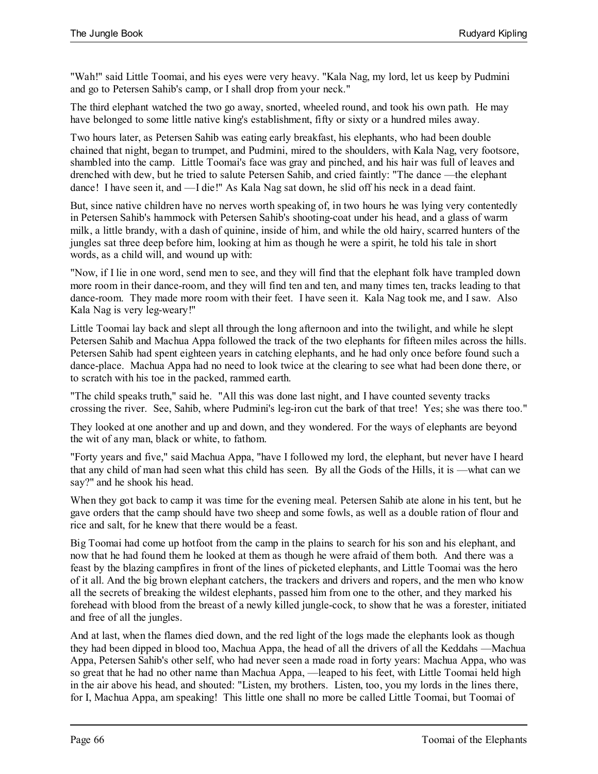"Wah!" said Little Toomai, and his eyes were very heavy. "Kala Nag, my lord, let us keep by Pudmini and go to Petersen Sahib's camp, or I shall drop from your neck."

The third elephant watched the two go away, snorted, wheeled round, and took his own path. He may have belonged to some little native king's establishment, fifty or sixty or a hundred miles away.

Two hours later, as Petersen Sahib was eating early breakfast, his elephants, who had been double chained that night, began to trumpet, and Pudmini, mired to the shoulders, with Kala Nag, very footsore, shambled into the camp. Little Toomai's face was gray and pinched, and his hair was full of leaves and drenched with dew, but he tried to salute Petersen Sahib, and cried faintly: "The dance —the elephant dance! I have seen it, and —I die!" As Kala Nag sat down, he slid off his neck in a dead faint.

But, since native children have no nerves worth speaking of, in two hours he was lying very contentedly in Petersen Sahib's hammock with Petersen Sahib's shooting-coat under his head, and a glass of warm milk, a little brandy, with a dash of quinine, inside of him, and while the old hairy, scarred hunters of the jungles sat three deep before him, looking at him as though he were a spirit, he told his tale in short words, as a child will, and wound up with:

"Now, if I lie in one word, send men to see, and they will find that the elephant folk have trampled down more room in their dance-room, and they will find ten and ten, and many times ten, tracks leading to that dance-room. They made more room with their feet. I have seen it. Kala Nag took me, and I saw. Also Kala Nag is very leg-weary!"

Little Toomai lay back and slept all through the long afternoon and into the twilight, and while he slept Petersen Sahib and Machua Appa followed the track of the two elephants for fifteen miles across the hills. Petersen Sahib had spent eighteen years in catching elephants, and he had only once before found such a dance-place. Machua Appa had no need to look twice at the clearing to see what had been done there, or to scratch with his toe in the packed, rammed earth.

"The child speaks truth," said he. "All this was done last night, and I have counted seventy tracks crossing the river. See, Sahib, where Pudmini's leg-iron cut the bark of that tree! Yes; she was there too."

They looked at one another and up and down, and they wondered. For the ways of elephants are beyond the wit of any man, black or white, to fathom.

"Forty years and five," said Machua Appa, "have I followed my lord, the elephant, but never have I heard that any child of man had seen what this child has seen. By all the Gods of the Hills, it is —what can we say?" and he shook his head.

When they got back to camp it was time for the evening meal. Petersen Sahib ate alone in his tent, but he gave orders that the camp should have two sheep and some fowls, as well as a double ration of flour and rice and salt, for he knew that there would be a feast.

Big Toomai had come up hotfoot from the camp in the plains to search for his son and his elephant, and now that he had found them he looked at them as though he were afraid of them both. And there was a feast by the blazing campfires in front of the lines of picketed elephants, and Little Toomai was the hero of it all. And the big brown elephant catchers, the trackers and drivers and ropers, and the men who know all the secrets of breaking the wildest elephants, passed him from one to the other, and they marked his forehead with blood from the breast of a newly killed jungle-cock, to show that he was a forester, initiated and free of all the jungles.

And at last, when the flames died down, and the red light of the logs made the elephants look as though they had been dipped in blood too, Machua Appa, the head of all the drivers of all the Keddahs —Machua Appa, Petersen Sahib's other self, who had never seen a made road in forty years: Machua Appa, who was so great that he had no other name than Machua Appa, —leaped to his feet, with Little Toomai held high in the air above his head, and shouted: "Listen, my brothers. Listen, too, you my lords in the lines there, for I, Machua Appa, am speaking! This little one shall no more be called Little Toomai, but Toomai of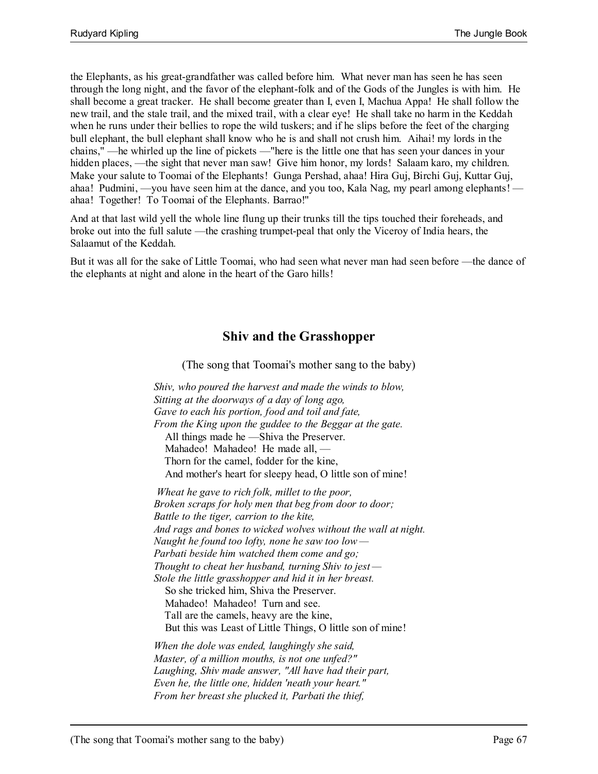the Elephants, as his great-grandfather was called before him. What never man has seen he has seen through the long night, and the favor of the elephant-folk and of the Gods of the Jungles is with him. He shall become a great tracker. He shall become greater than I, even I, Machua Appa! He shall follow the new trail, and the stale trail, and the mixed trail, with a clear eye! He shall take no harm in the Keddah when he runs under their bellies to rope the wild tuskers; and if he slips before the feet of the charging bull elephant, the bull elephant shall know who he is and shall not crush him. Aihai! my lords in the chains," —he whirled up the line of pickets —"here is the little one that has seen your dances in your hidden places, —the sight that never man saw! Give him honor, my lords! Salaam karo, my children. Make your salute to Toomai of the Elephants! Gunga Pershad, ahaa! Hira Guj, Birchi Guj, Kuttar Guj, ahaa! Pudmini, —you have seen him at the dance, and you too, Kala Nag, my pearl among elephants! ahaa! Together! To Toomai of the Elephants. Barrao!"

And at that last wild yell the whole line flung up their trunks till the tips touched their foreheads, and broke out into the full salute —the crashing trumpet-peal that only the Viceroy of India hears, the Salaamut of the Keddah.

But it was all for the sake of Little Toomai, who had seen what never man had seen before —the dance of the elephants at night and alone in the heart of the Garo hills!

# **Shiv and the Grasshopper**

(The song that Toomai's mother sang to the baby)

*Shiv, who poured the harvest and made the winds to blow, Sitting at the doorways of a day of long ago, Gave to each his portion, food and toil and fate, From the King upon the guddee to the Beggar at the gate.* All things made he —Shiva the Preserver. Mahadeo! Mahadeo! He made all, — Thorn for the camel, fodder for the kine, And mother's heart for sleepy head, O little son of mine!  *Wheat he gave to rich folk, millet to the poor, Broken scraps for holy men that beg from door to door; Battle to the tiger, carrion to the kite, And rags and bones to wicked wolves without the wall at night. Naught he found too lofty, none he saw too low — Parbati beside him watched them come and go; Thought to cheat her husband, turning Shiv to jest — Stole the little grasshopper and hid it in her breast.* So she tricked him, Shiva the Preserver. Mahadeo! Mahadeo! Turn and see. Tall are the camels, heavy are the kine, But this was Least of Little Things, O little son of mine! *When the dole was ended, laughingly she said, Master, of a million mouths, is not one unfed?" Laughing, Shiv made answer, "All have had their part,*

*Even he, the little one, hidden 'neath your heart." From her breast she plucked it, Parbati the thief,*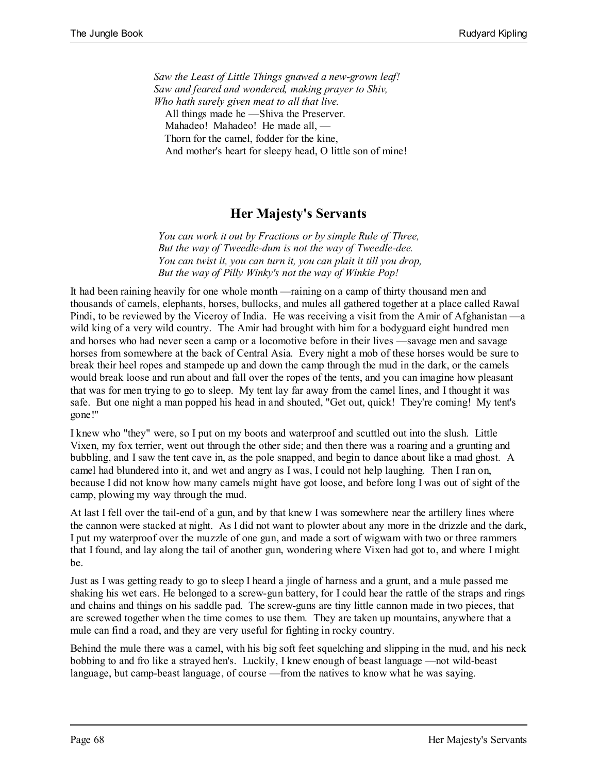*Saw the Least of Little Things gnawed a new-grown leaf! Saw and feared and wondered, making prayer to Shiv, Who hath surely given meat to all that live.* All things made he —Shiva the Preserver. Mahadeo! Mahadeo! He made all, — Thorn for the camel, fodder for the kine, And mother's heart for sleepy head, O little son of mine!

### **Her Majesty's Servants**

*You can work it out by Fractions or by simple Rule of Three, But the way of Tweedle-dum is not the way of Tweedle-dee. You can twist it, you can turn it, you can plait it till you drop, But the way of Pilly Winky's not the way of Winkie Pop!*

It had been raining heavily for one whole month —raining on a camp of thirty thousand men and thousands of camels, elephants, horses, bullocks, and mules all gathered together at a place called Rawal Pindi, to be reviewed by the Viceroy of India. He was receiving a visit from the Amir of Afghanistan —a wild king of a very wild country. The Amir had brought with him for a bodyguard eight hundred men and horses who had never seen a camp or a locomotive before in their lives —savage men and savage horses from somewhere at the back of Central Asia. Every night a mob of these horses would be sure to break their heel ropes and stampede up and down the camp through the mud in the dark, or the camels would break loose and run about and fall over the ropes of the tents, and you can imagine how pleasant that was for men trying to go to sleep. My tent lay far away from the camel lines, and I thought it was safe. But one night a man popped his head in and shouted, "Get out, quick! They're coming! My tent's gone!"

I knew who "they" were, so I put on my boots and waterproof and scuttled out into the slush. Little Vixen, my fox terrier, went out through the other side; and then there was a roaring and a grunting and bubbling, and I saw the tent cave in, as the pole snapped, and begin to dance about like a mad ghost. A camel had blundered into it, and wet and angry as I was, I could not help laughing. Then I ran on, because I did not know how many camels might have got loose, and before long I was out of sight of the camp, plowing my way through the mud.

At last I fell over the tail-end of a gun, and by that knew I was somewhere near the artillery lines where the cannon were stacked at night. As I did not want to plowter about any more in the drizzle and the dark, I put my waterproof over the muzzle of one gun, and made a sort of wigwam with two or three rammers that I found, and lay along the tail of another gun, wondering where Vixen had got to, and where I might be.

Just as I was getting ready to go to sleep I heard a jingle of harness and a grunt, and a mule passed me shaking his wet ears. He belonged to a screw-gun battery, for I could hear the rattle of the straps and rings and chains and things on his saddle pad. The screw-guns are tiny little cannon made in two pieces, that are screwed together when the time comes to use them. They are taken up mountains, anywhere that a mule can find a road, and they are very useful for fighting in rocky country.

Behind the mule there was a camel, with his big soft feet squelching and slipping in the mud, and his neck bobbing to and fro like a strayed hen's. Luckily, I knew enough of beast language —not wild-beast language, but camp-beast language, of course —from the natives to know what he was saying.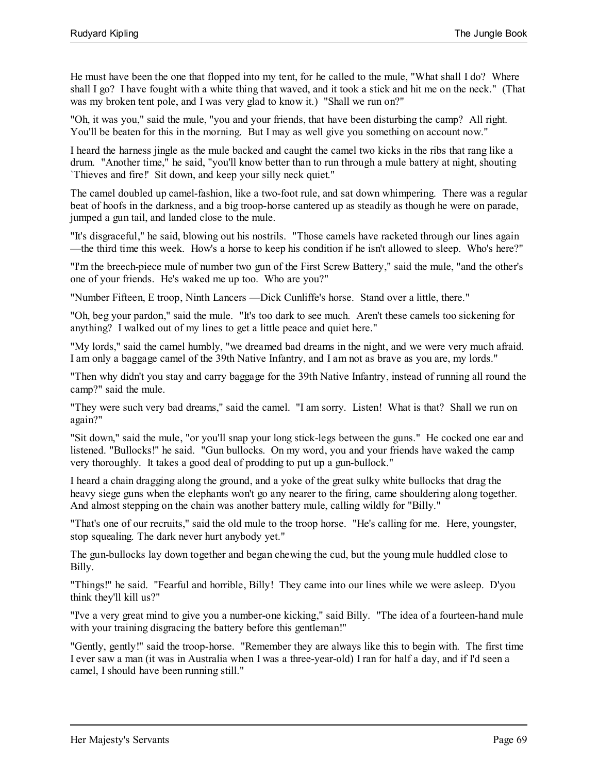He must have been the one that flopped into my tent, for he called to the mule, "What shall I do? Where shall I go? I have fought with a white thing that waved, and it took a stick and hit me on the neck." (That was my broken tent pole, and I was very glad to know it.) "Shall we run on?"

"Oh, it was you," said the mule, "you and your friends, that have been disturbing the camp? All right. You'll be beaten for this in the morning. But I may as well give you something on account now."

I heard the harness jingle as the mule backed and caught the camel two kicks in the ribs that rang like a drum. "Another time," he said, "you'll know better than to run through a mule battery at night, shouting `Thieves and fire!' Sit down, and keep your silly neck quiet."

The camel doubled up camel-fashion, like a two-foot rule, and sat down whimpering. There was a regular beat of hoofs in the darkness, and a big troop-horse cantered up as steadily as though he were on parade, jumped a gun tail, and landed close to the mule.

"It's disgraceful," he said, blowing out his nostrils. "Those camels have racketed through our lines again —the third time this week. How's a horse to keep his condition if he isn't allowed to sleep. Who's here?"

"I'm the breech-piece mule of number two gun of the First Screw Battery," said the mule, "and the other's one of your friends. He's waked me up too. Who are you?"

"Number Fifteen, E troop, Ninth Lancers —Dick Cunliffe's horse. Stand over a little, there."

"Oh, beg your pardon," said the mule. "It's too dark to see much. Aren't these camels too sickening for anything? I walked out of my lines to get a little peace and quiet here."

"My lords," said the camel humbly, "we dreamed bad dreams in the night, and we were very much afraid. I am only a baggage camel of the 39th Native Infantry, and I am not as brave as you are, my lords."

"Then why didn't you stay and carry baggage for the 39th Native Infantry, instead of running all round the camp?" said the mule.

"They were such very bad dreams," said the camel. "I am sorry. Listen! What is that? Shall we run on again?"

"Sit down," said the mule, "or you'll snap your long stick-legs between the guns." He cocked one ear and listened. "Bullocks!" he said. "Gun bullocks. On my word, you and your friends have waked the camp very thoroughly. It takes a good deal of prodding to put up a gun-bullock."

I heard a chain dragging along the ground, and a yoke of the great sulky white bullocks that drag the heavy siege guns when the elephants won't go any nearer to the firing, came shouldering along together. And almost stepping on the chain was another battery mule, calling wildly for "Billy."

"That's one of our recruits," said the old mule to the troop horse. "He's calling for me. Here, youngster, stop squealing. The dark never hurt anybody yet."

The gun-bullocks lay down together and began chewing the cud, but the young mule huddled close to Billy.

"Things!" he said. "Fearful and horrible, Billy! They came into our lines while we were asleep. D'you think they'll kill us?"

"I've a very great mind to give you a number-one kicking," said Billy. "The idea of a fourteen-hand mule with your training disgracing the battery before this gentleman!"

"Gently, gently!" said the troop-horse. "Remember they are always like this to begin with. The first time I ever saw a man (it was in Australia when I was a three-year-old) I ran for half a day, and if I'd seen a camel, I should have been running still."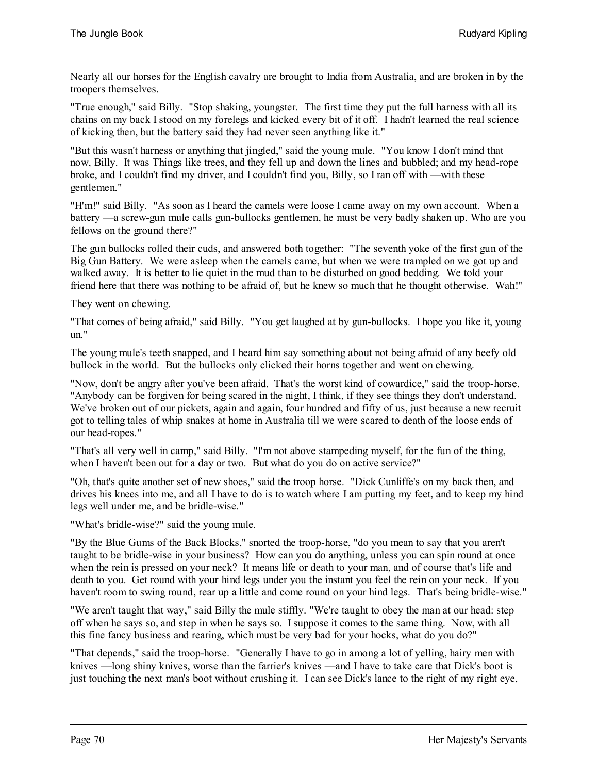Nearly all our horses for the English cavalry are brought to India from Australia, and are broken in by the troopers themselves.

"True enough," said Billy. "Stop shaking, youngster. The first time they put the full harness with all its chains on my back I stood on my forelegs and kicked every bit of it off. I hadn't learned the real science of kicking then, but the battery said they had never seen anything like it."

"But this wasn't harness or anything that jingled," said the young mule. "You know I don't mind that now, Billy. It was Things like trees, and they fell up and down the lines and bubbled; and my head-rope broke, and I couldn't find my driver, and I couldn't find you, Billy, so I ran off with —with these gentlemen."

"H'm!" said Billy. "As soon as I heard the camels were loose I came away on my own account. When a battery —a screw-gun mule calls gun-bullocks gentlemen, he must be very badly shaken up. Who are you fellows on the ground there?"

The gun bullocks rolled their cuds, and answered both together: "The seventh yoke of the first gun of the Big Gun Battery. We were asleep when the camels came, but when we were trampled on we got up and walked away. It is better to lie quiet in the mud than to be disturbed on good bedding. We told your friend here that there was nothing to be afraid of, but he knew so much that he thought otherwise. Wah!"

They went on chewing.

"That comes of being afraid," said Billy. "You get laughed at by gun-bullocks. I hope you like it, young un."

The young mule's teeth snapped, and I heard him say something about not being afraid of any beefy old bullock in the world. But the bullocks only clicked their horns together and went on chewing.

"Now, don't be angry after you've been afraid. That's the worst kind of cowardice," said the troop-horse. "Anybody can be forgiven for being scared in the night, I think, if they see things they don't understand. We've broken out of our pickets, again and again, four hundred and fifty of us, just because a new recruit got to telling tales of whip snakes at home in Australia till we were scared to death of the loose ends of our head-ropes."

"That's all very well in camp," said Billy. "I'm not above stampeding myself, for the fun of the thing, when I haven't been out for a day or two. But what do you do on active service?"

"Oh, that's quite another set of new shoes," said the troop horse. "Dick Cunliffe's on my back then, and drives his knees into me, and all I have to do is to watch where I am putting my feet, and to keep my hind legs well under me, and be bridle-wise."

"What's bridle-wise?" said the young mule.

"By the Blue Gums of the Back Blocks," snorted the troop-horse, "do you mean to say that you aren't taught to be bridle-wise in your business? How can you do anything, unless you can spin round at once when the rein is pressed on your neck? It means life or death to your man, and of course that's life and death to you. Get round with your hind legs under you the instant you feel the rein on your neck. If you haven't room to swing round, rear up a little and come round on your hind legs. That's being bridle-wise."

"We aren't taught that way," said Billy the mule stiffly. "We're taught to obey the man at our head: step off when he says so, and step in when he says so. I suppose it comes to the same thing. Now, with all this fine fancy business and rearing, which must be very bad for your hocks, what do you do?"

"That depends," said the troop-horse. "Generally I have to go in among a lot of yelling, hairy men with knives —long shiny knives, worse than the farrier's knives —and I have to take care that Dick's boot is just touching the next man's boot without crushing it. I can see Dick's lance to the right of my right eye,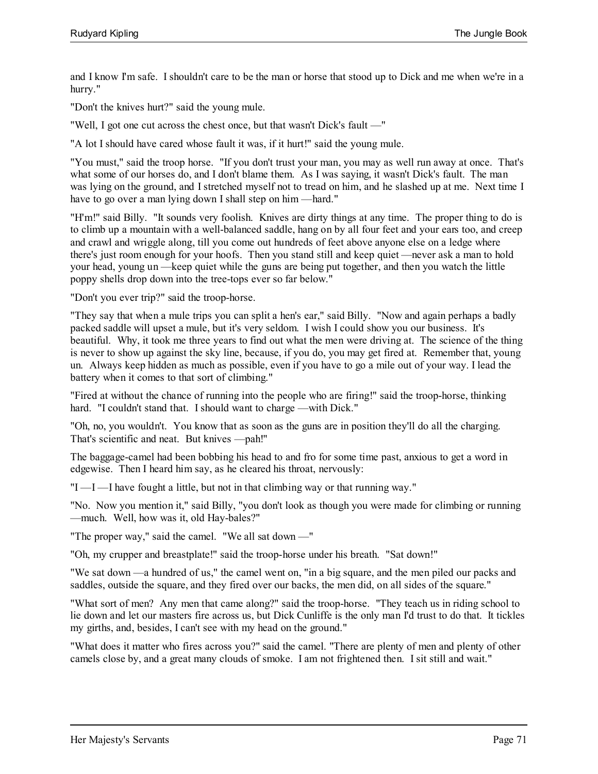and I know I'm safe. I shouldn't care to be the man or horse that stood up to Dick and me when we're in a hurry."

"Don't the knives hurt?" said the young mule.

"Well, I got one cut across the chest once, but that wasn't Dick's fault —"

"A lot I should have cared whose fault it was, if it hurt!" said the young mule.

"You must," said the troop horse. "If you don't trust your man, you may as well run away at once. That's what some of our horses do, and I don't blame them. As I was saying, it wasn't Dick's fault. The man was lying on the ground, and I stretched myself not to tread on him, and he slashed up at me. Next time I have to go over a man lying down I shall step on him —hard."

"H'm!" said Billy. "It sounds very foolish. Knives are dirty things at any time. The proper thing to do is to climb up a mountain with a well-balanced saddle, hang on by all four feet and your ears too, and creep and crawl and wriggle along, till you come out hundreds of feet above anyone else on a ledge where there's just room enough for your hoofs. Then you stand still and keep quiet —never ask a man to hold your head, young un —keep quiet while the guns are being put together, and then you watch the little poppy shells drop down into the tree-tops ever so far below."

"Don't you ever trip?" said the troop-horse.

"They say that when a mule trips you can split a hen's ear," said Billy. "Now and again perhaps a badly packed saddle will upset a mule, but it's very seldom. I wish I could show you our business. It's beautiful. Why, it took me three years to find out what the men were driving at. The science of the thing is never to show up against the sky line, because, if you do, you may get fired at. Remember that, young un. Always keep hidden as much as possible, even if you have to go a mile out of your way. I lead the battery when it comes to that sort of climbing."

"Fired at without the chance of running into the people who are firing!" said the troop-horse, thinking hard. "I couldn't stand that. I should want to charge —with Dick."

"Oh, no, you wouldn't. You know that as soon as the guns are in position they'll do all the charging. That's scientific and neat. But knives —pah!"

The baggage-camel had been bobbing his head to and fro for some time past, anxious to get a word in edgewise. Then I heard him say, as he cleared his throat, nervously:

"I —I —I have fought a little, but not in that climbing way or that running way."

"No. Now you mention it," said Billy, "you don't look as though you were made for climbing or running —much. Well, how was it, old Hay-bales?"

"The proper way," said the camel. "We all sat down —"

"Oh, my crupper and breastplate!" said the troop-horse under his breath. "Sat down!"

"We sat down —a hundred of us," the camel went on, "in a big square, and the men piled our packs and saddles, outside the square, and they fired over our backs, the men did, on all sides of the square."

"What sort of men? Any men that came along?" said the troop-horse. "They teach us in riding school to lie down and let our masters fire across us, but Dick Cunliffe is the only man I'd trust to do that. It tickles my girths, and, besides, I can't see with my head on the ground."

"What does it matter who fires across you?" said the camel. "There are plenty of men and plenty of other camels close by, and a great many clouds of smoke. I am not frightened then. I sit still and wait."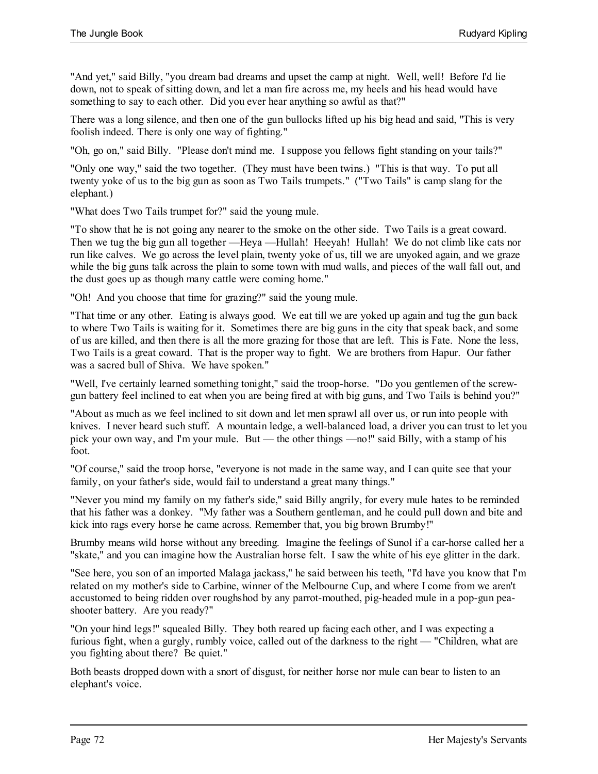"And yet," said Billy, "you dream bad dreams and upset the camp at night. Well, well! Before I'd lie down, not to speak of sitting down, and let a man fire across me, my heels and his head would have something to say to each other. Did you ever hear anything so awful as that?"

There was a long silence, and then one of the gun bullocks lifted up his big head and said, "This is very foolish indeed. There is only one way of fighting."

"Oh, go on," said Billy. "Please don't mind me. I suppose you fellows fight standing on your tails?"

"Only one way," said the two together. (They must have been twins.) "This is that way. To put all twenty yoke of us to the big gun as soon as Two Tails trumpets." ("Two Tails" is camp slang for the elephant.)

"What does Two Tails trumpet for?" said the young mule.

"To show that he is not going any nearer to the smoke on the other side. Two Tails is a great coward. Then we tug the big gun all together —Heya —Hullah! Heeyah! Hullah! We do not climb like cats nor run like calves. We go across the level plain, twenty yoke of us, till we are unyoked again, and we graze while the big guns talk across the plain to some town with mud walls, and pieces of the wall fall out, and the dust goes up as though many cattle were coming home."

"Oh! And you choose that time for grazing?" said the young mule.

"That time or any other. Eating is always good. We eat till we are yoked up again and tug the gun back to where Two Tails is waiting for it. Sometimes there are big guns in the city that speak back, and some of us are killed, and then there is all the more grazing for those that are left. This is Fate. None the less, Two Tails is a great coward. That is the proper way to fight. We are brothers from Hapur. Our father was a sacred bull of Shiva. We have spoken."

"Well, I've certainly learned something tonight," said the troop-horse. "Do you gentlemen of the screwgun battery feel inclined to eat when you are being fired at with big guns, and Two Tails is behind you?"

"About as much as we feel inclined to sit down and let men sprawl all over us, or run into people with knives. I never heard such stuff. A mountain ledge, a well-balanced load, a driver you can trust to let you pick your own way, and I'm your mule. But — the other things —no!" said Billy, with a stamp of his foot.

"Of course," said the troop horse, "everyone is not made in the same way, and I can quite see that your family, on your father's side, would fail to understand a great many things."

"Never you mind my family on my father's side," said Billy angrily, for every mule hates to be reminded that his father was a donkey. "My father was a Southern gentleman, and he could pull down and bite and kick into rags every horse he came across. Remember that, you big brown Brumby!"

Brumby means wild horse without any breeding. Imagine the feelings of Sunol if a car-horse called her a "skate," and you can imagine how the Australian horse felt. I saw the white of his eye glitter in the dark.

"See here, you son of an imported Malaga jackass," he said between his teeth, "I'd have you know that I'm related on my mother's side to Carbine, winner of the Melbourne Cup, and where I come from we aren't accustomed to being ridden over roughshod by any parrot-mouthed, pig-headed mule in a pop-gun peashooter battery. Are you ready?"

"On your hind legs!" squealed Billy. They both reared up facing each other, and I was expecting a furious fight, when a gurgly, rumbly voice, called out of the darkness to the right — "Children, what are you fighting about there? Be quiet."

Both beasts dropped down with a snort of disgust, for neither horse nor mule can bear to listen to an elephant's voice.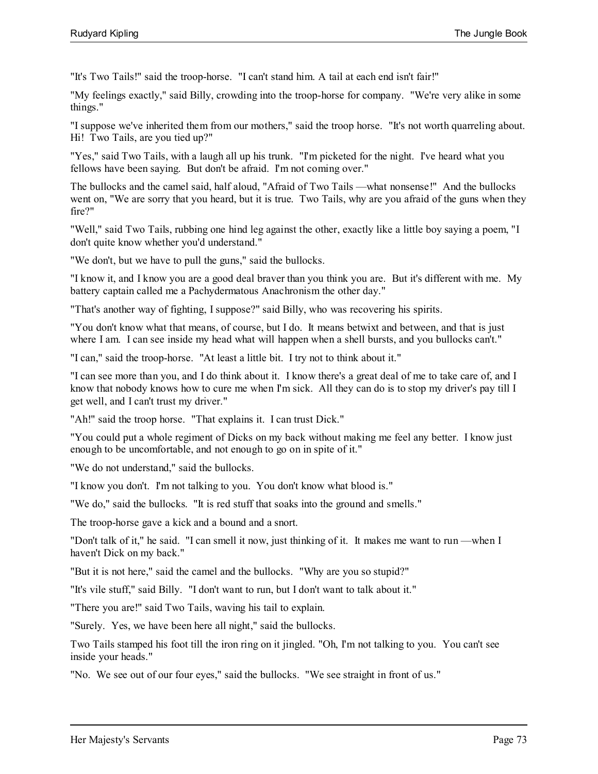"It's Two Tails!" said the troop-horse. "I can't stand him. A tail at each end isn't fair!"

"My feelings exactly," said Billy, crowding into the troop-horse for company. "We're very alike in some things."

"I suppose we've inherited them from our mothers," said the troop horse. "It's not worth quarreling about. Hi! Two Tails, are you tied up?"

"Yes," said Two Tails, with a laugh all up his trunk. "I'm picketed for the night. I've heard what you fellows have been saying. But don't be afraid. I'm not coming over."

The bullocks and the camel said, half aloud, "Afraid of Two Tails —what nonsense!" And the bullocks went on, "We are sorry that you heard, but it is true. Two Tails, why are you afraid of the guns when they fire?"

"Well," said Two Tails, rubbing one hind leg against the other, exactly like a little boy saying a poem, "I don't quite know whether you'd understand."

"We don't, but we have to pull the guns," said the bullocks.

"I know it, and I know you are a good deal braver than you think you are. But it's different with me. My battery captain called me a Pachydermatous Anachronism the other day."

"That's another way of fighting, I suppose?" said Billy, who was recovering his spirits.

"You don't know what that means, of course, but I do. It means betwixt and between, and that is just where I am. I can see inside my head what will happen when a shell bursts, and you bullocks can't."

"I can," said the troop-horse. "At least a little bit. I try not to think about it."

"I can see more than you, and I do think about it. I know there's a great deal of me to take care of, and I know that nobody knows how to cure me when I'm sick. All they can do is to stop my driver's pay till I get well, and I can't trust my driver."

"Ah!" said the troop horse. "That explains it. I can trust Dick."

"You could put a whole regiment of Dicks on my back without making me feel any better. I know just enough to be uncomfortable, and not enough to go on in spite of it."

"We do not understand," said the bullocks.

"I know you don't. I'm not talking to you. You don't know what blood is."

"We do," said the bullocks. "It is red stuff that soaks into the ground and smells."

The troop-horse gave a kick and a bound and a snort.

"Don't talk of it," he said. "I can smell it now, just thinking of it. It makes me want to run —when I haven't Dick on my back."

"But it is not here," said the camel and the bullocks. "Why are you so stupid?"

"It's vile stuff," said Billy. "I don't want to run, but I don't want to talk about it."

"There you are!" said Two Tails, waving his tail to explain.

"Surely. Yes, we have been here all night," said the bullocks.

Two Tails stamped his foot till the iron ring on it jingled. "Oh, I'm not talking to you. You can't see inside your heads."

"No. We see out of our four eyes," said the bullocks. "We see straight in front of us."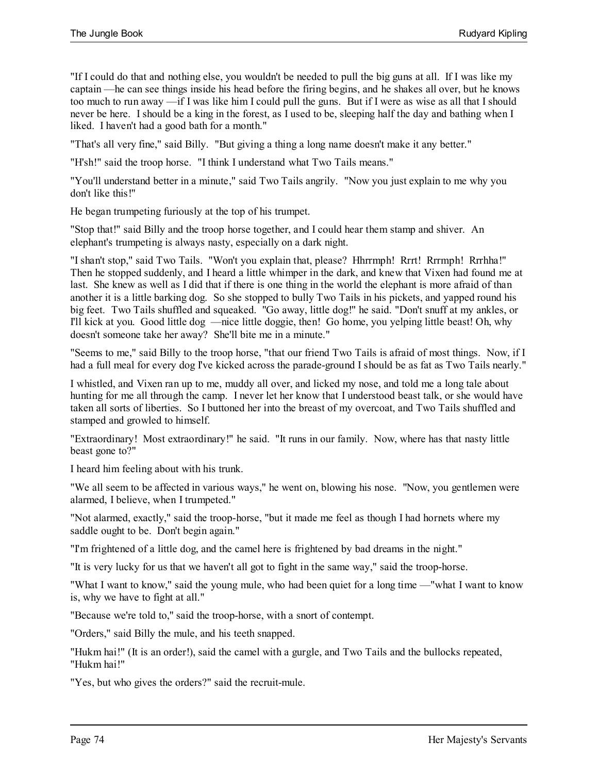"If I could do that and nothing else, you wouldn't be needed to pull the big guns at all. If I was like my captain —he can see things inside his head before the firing begins, and he shakes all over, but he knows too much to run away —if I was like him I could pull the guns. But if I were as wise as all that I should never be here. I should be a king in the forest, as I used to be, sleeping half the day and bathing when I liked. I haven't had a good bath for a month."

"That's all very fine," said Billy. "But giving a thing a long name doesn't make it any better."

"H'sh!" said the troop horse. "I think I understand what Two Tails means."

"You'll understand better in a minute," said Two Tails angrily. "Now you just explain to me why you don't like this!"

He began trumpeting furiously at the top of his trumpet.

"Stop that!" said Billy and the troop horse together, and I could hear them stamp and shiver. An elephant's trumpeting is always nasty, especially on a dark night.

"I shan't stop," said Two Tails. "Won't you explain that, please? Hhrrmph! Rrrt! Rrrmph! Rrrhha!" Then he stopped suddenly, and I heard a little whimper in the dark, and knew that Vixen had found me at last. She knew as well as I did that if there is one thing in the world the elephant is more afraid of than another it is a little barking dog. So she stopped to bully Two Tails in his pickets, and yapped round his big feet. Two Tails shuffled and squeaked. "Go away, little dog!" he said. "Don't snuff at my ankles, or I'll kick at you. Good little dog —nice little doggie, then! Go home, you yelping little beast! Oh, why doesn't someone take her away? She'll bite me in a minute."

"Seems to me," said Billy to the troop horse, "that our friend Two Tails is afraid of most things. Now, if I had a full meal for every dog I've kicked across the parade-ground I should be as fat as Two Tails nearly."

I whistled, and Vixen ran up to me, muddy all over, and licked my nose, and told me a long tale about hunting for me all through the camp. I never let her know that I understood beast talk, or she would have taken all sorts of liberties. So I buttoned her into the breast of my overcoat, and Two Tails shuffled and stamped and growled to himself.

"Extraordinary! Most extraordinary!" he said. "It runs in our family. Now, where has that nasty little beast gone to?"

I heard him feeling about with his trunk.

"We all seem to be affected in various ways," he went on, blowing his nose. "Now, you gentlemen were alarmed, I believe, when I trumpeted."

"Not alarmed, exactly," said the troop-horse, "but it made me feel as though I had hornets where my saddle ought to be. Don't begin again."

"I'm frightened of a little dog, and the camel here is frightened by bad dreams in the night."

"It is very lucky for us that we haven't all got to fight in the same way," said the troop-horse.

"What I want to know," said the young mule, who had been quiet for a long time —"what I want to know is, why we have to fight at all."

"Because we're told to," said the troop-horse, with a snort of contempt.

"Orders," said Billy the mule, and his teeth snapped.

"Hukm hai!" (It is an order!), said the camel with a gurgle, and Two Tails and the bullocks repeated, "Hukm hai!"

"Yes, but who gives the orders?" said the recruit-mule.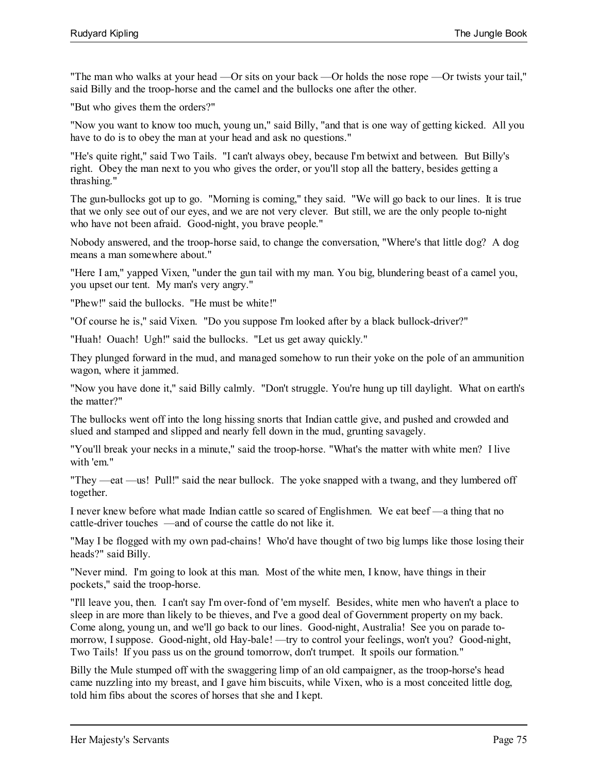"The man who walks at your head —Or sits on your back —Or holds the nose rope —Or twists your tail," said Billy and the troop-horse and the camel and the bullocks one after the other.

"But who gives them the orders?"

"Now you want to know too much, young un," said Billy, "and that is one way of getting kicked. All you have to do is to obey the man at your head and ask no questions."

"He's quite right," said Two Tails. "I can't always obey, because I'm betwixt and between. But Billy's right. Obey the man next to you who gives the order, or you'll stop all the battery, besides getting a thrashing."

The gun-bullocks got up to go. "Morning is coming," they said. "We will go back to our lines. It is true that we only see out of our eyes, and we are not very clever. But still, we are the only people to-night who have not been afraid. Good-night, you brave people."

Nobody answered, and the troop-horse said, to change the conversation, "Where's that little dog? A dog means a man somewhere about."

"Here I am," yapped Vixen, "under the gun tail with my man. You big, blundering beast of a camel you, you upset our tent. My man's very angry."

"Phew!" said the bullocks. "He must be white!"

"Of course he is," said Vixen. "Do you suppose I'm looked after by a black bullock-driver?"

"Huah! Ouach! Ugh!" said the bullocks. "Let us get away quickly."

They plunged forward in the mud, and managed somehow to run their yoke on the pole of an ammunition wagon, where it jammed.

"Now you have done it," said Billy calmly. "Don't struggle. You're hung up till daylight. What on earth's the matter?"

The bullocks went off into the long hissing snorts that Indian cattle give, and pushed and crowded and slued and stamped and slipped and nearly fell down in the mud, grunting savagely.

"You'll break your necks in a minute," said the troop-horse. "What's the matter with white men? I live with 'em."

"They —eat —us! Pull!" said the near bullock. The yoke snapped with a twang, and they lumbered off together.

I never knew before what made Indian cattle so scared of Englishmen. We eat beef —a thing that no cattle-driver touches —and of course the cattle do not like it.

"May I be flogged with my own pad-chains! Who'd have thought of two big lumps like those losing their heads?" said Billy.

"Never mind. I'm going to look at this man. Most of the white men, I know, have things in their pockets," said the troop-horse.

"I'll leave you, then. I can't say I'm over-fond of 'em myself. Besides, white men who haven't a place to sleep in are more than likely to be thieves, and I've a good deal of Government property on my back. Come along, young un, and we'll go back to our lines. Good-night, Australia! See you on parade tomorrow, I suppose. Good-night, old Hay-bale! —try to control your feelings, won't you? Good-night, Two Tails! If you pass us on the ground tomorrow, don't trumpet. It spoils our formation."

Billy the Mule stumped off with the swaggering limp of an old campaigner, as the troop-horse's head came nuzzling into my breast, and I gave him biscuits, while Vixen, who is a most conceited little dog, told him fibs about the scores of horses that she and I kept.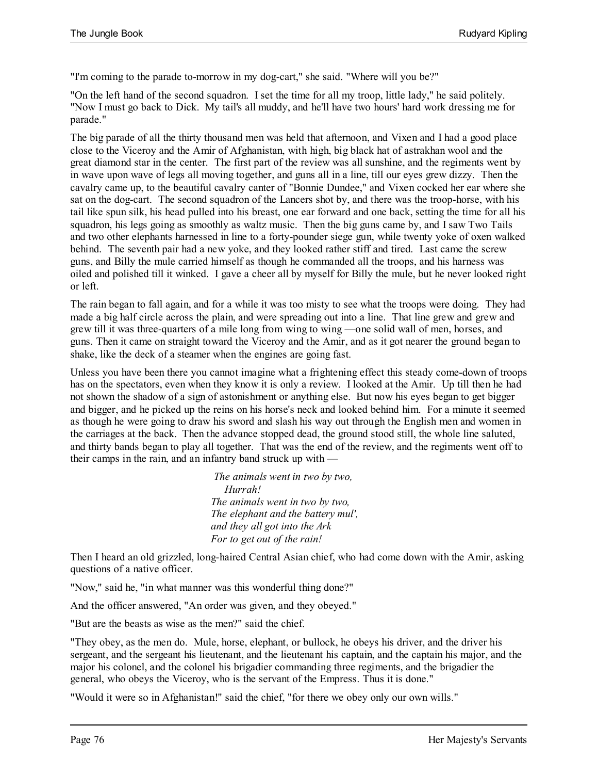"I'm coming to the parade to-morrow in my dog-cart," she said. "Where will you be?"

"On the left hand of the second squadron. I set the time for all my troop, little lady," he said politely. "Now I must go back to Dick. My tail's all muddy, and he'll have two hours' hard work dressing me for parade."

The big parade of all the thirty thousand men was held that afternoon, and Vixen and I had a good place close to the Viceroy and the Amir of Afghanistan, with high, big black hat of astrakhan wool and the great diamond star in the center. The first part of the review was all sunshine, and the regiments went by in wave upon wave of legs all moving together, and guns all in a line, till our eyes grew dizzy. Then the cavalry came up, to the beautiful cavalry canter of "Bonnie Dundee," and Vixen cocked her ear where she sat on the dog-cart. The second squadron of the Lancers shot by, and there was the troop-horse, with his tail like spun silk, his head pulled into his breast, one ear forward and one back, setting the time for all his squadron, his legs going as smoothly as waltz music. Then the big guns came by, and I saw Two Tails and two other elephants harnessed in line to a forty-pounder siege gun, while twenty yoke of oxen walked behind. The seventh pair had a new yoke, and they looked rather stiff and tired. Last came the screw guns, and Billy the mule carried himself as though he commanded all the troops, and his harness was oiled and polished till it winked. I gave a cheer all by myself for Billy the mule, but he never looked right or left.

The rain began to fall again, and for a while it was too misty to see what the troops were doing. They had made a big half circle across the plain, and were spreading out into a line. That line grew and grew and grew till it was three-quarters of a mile long from wing to wing —one solid wall of men, horses, and guns. Then it came on straight toward the Viceroy and the Amir, and as it got nearer the ground began to shake, like the deck of a steamer when the engines are going fast.

Unless you have been there you cannot imagine what a frightening effect this steady come-down of troops has on the spectators, even when they know it is only a review. I looked at the Amir. Up till then he had not shown the shadow of a sign of astonishment or anything else. But now his eyes began to get bigger and bigger, and he picked up the reins on his horse's neck and looked behind him. For a minute it seemed as though he were going to draw his sword and slash his way out through the English men and women in the carriages at the back. Then the advance stopped dead, the ground stood still, the whole line saluted, and thirty bands began to play all together. That was the end of the review, and the regiments went off to their camps in the rain, and an infantry band struck up with —

> *The animals went in two by two, Hurrah! The animals went in two by two, The elephant and the battery mul', and they all got into the Ark For to get out of the rain!*

Then I heard an old grizzled, long-haired Central Asian chief, who had come down with the Amir, asking questions of a native officer.

"Now," said he, "in what manner was this wonderful thing done?"

And the officer answered, "An order was given, and they obeyed."

"But are the beasts as wise as the men?" said the chief.

"They obey, as the men do. Mule, horse, elephant, or bullock, he obeys his driver, and the driver his sergeant, and the sergeant his lieutenant, and the lieutenant his captain, and the captain his major, and the major his colonel, and the colonel his brigadier commanding three regiments, and the brigadier the general, who obeys the Viceroy, who is the servant of the Empress. Thus it is done."

"Would it were so in Afghanistan!" said the chief, "for there we obey only our own wills."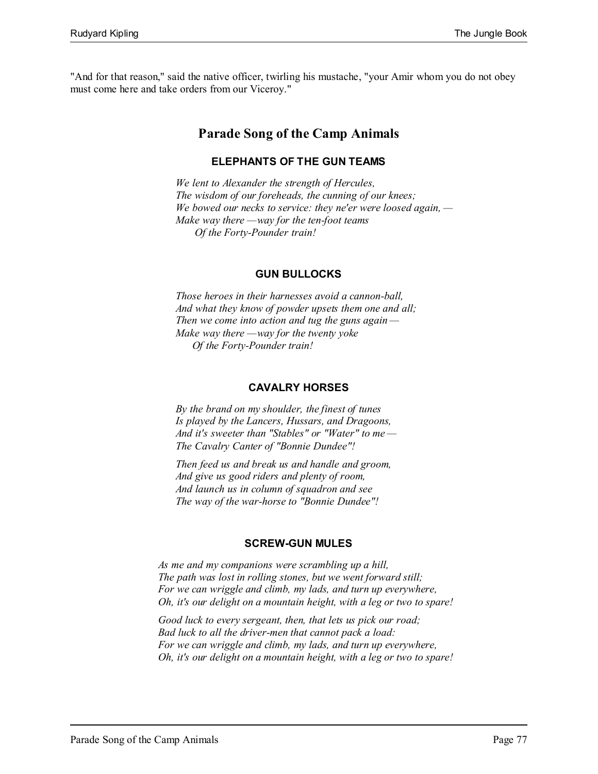"And for that reason," said the native officer, twirling his mustache, "your Amir whom you do not obey must come here and take orders from our Viceroy."

# **Parade Song of the Camp Animals**

# **ELEPHANTS OF THE GUN TEAMS**

*We lent to Alexander the strength of Hercules, The wisdom of our foreheads, the cunning of our knees; We bowed our necks to service: they ne'er were loosed again, — Make way there —way for the ten-foot teams Of the Forty-Pounder train!*

#### **GUN BULLOCKS**

*Those heroes in their harnesses avoid a cannon-ball, And what they know of powder upsets them one and all; Then we come into action and tug the guns again — Make way there —way for the twenty yoke Of the Forty-Pounder train!*

#### **CAVALRY HORSES**

*By the brand on my shoulder, the finest of tunes Is played by the Lancers, Hussars, and Dragoons, And it's sweeter than "Stables" or "Water" to me — The Cavalry Canter of "Bonnie Dundee"!*

*Then feed us and break us and handle and groom, And give us good riders and plenty of room, And launch us in column of squadron and see The way of the war-horse to "Bonnie Dundee"!*

#### **SCREW-GUN MULES**

*As me and my companions were scrambling up a hill, The path was lost in rolling stones, but we went forward still; For we can wriggle and climb, my lads, and turn up everywhere, Oh, it's our delight on a mountain height, with a leg or two to spare!*

*Good luck to every sergeant, then, that lets us pick our road; Bad luck to all the driver-men that cannot pack a load: For we can wriggle and climb, my lads, and turn up everywhere, Oh, it's our delight on a mountain height, with a leg or two to spare!*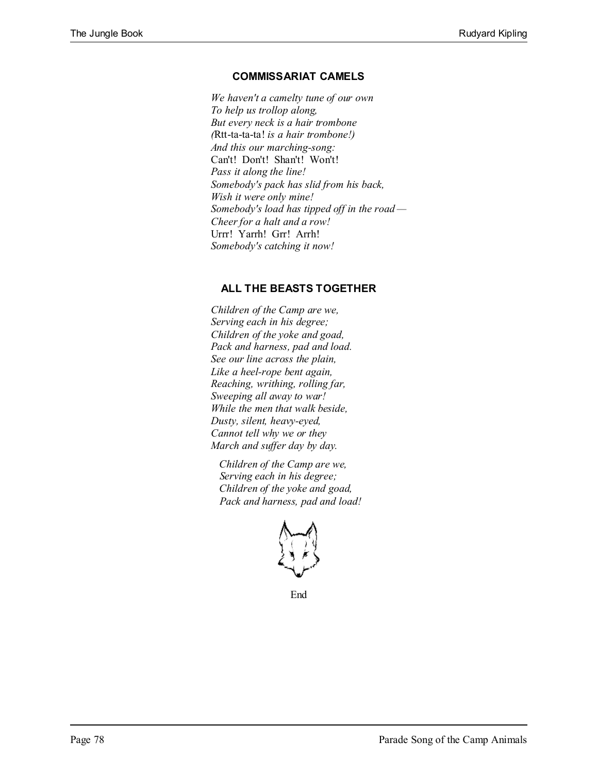### **COMMISSARIAT CAMELS**

*We haven't a camelty tune of our own To help us trollop along, But every neck is a hair trombone (*Rtt-ta-ta-ta! *is a hair trombone!) And this our marching-song:* Can't! Don't! Shan't! Won't! *Pass it along the line! Somebody's pack has slid from his back, Wish it were only mine! Somebody's load has tipped off in the road — Cheer for a halt and a row!* Urrr! Yarrh! Grr! Arrh! *Somebody's catching it now!*

## **ALL THE BEASTS TOGETHER**

*Children of the Camp are we, Serving each in his degree; Children of the yoke and goad, Pack and harness, pad and load. See our line across the plain, Like a heel-rope bent again, Reaching, writhing, rolling far, Sweeping all away to war! While the men that walk beside, Dusty, silent, heavy-eyed, Cannot tell why we or they March and suffer day by day.*

 *Children of the Camp are we, Serving each in his degree; Children of the yoke and goad, Pack and harness, pad and load!*



End